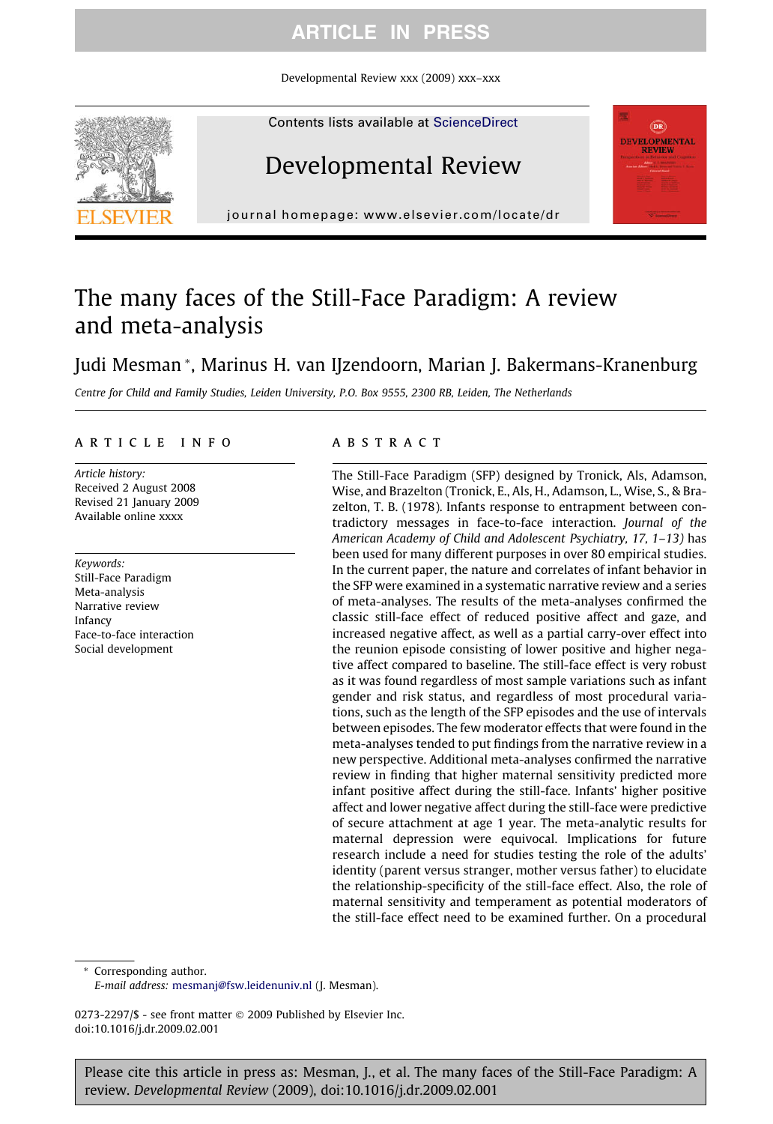Developmental Review xxx (2009) xxx–xxx



# The many faces of the Still-Face Paradigm: A review and meta-analysis

# Judi Mesman \*, Marinus H. van IJzendoorn, Marian J. Bakermans-Kranenburg

Centre for Child and Family Studies, Leiden University, P.O. Box 9555, 2300 RB, Leiden, The Netherlands

## article info

Article history: Received 2 August 2008 Revised 21 January 2009 Available online xxxx

Keywords: Still-Face Paradigm Meta-analysis Narrative review Infancy Face-to-face interaction Social development

# **ABSTRACT**

The Still-Face Paradigm (SFP) designed by Tronick, Als, Adamson, Wise, and Brazelton (Tronick, E., Als, H., Adamson, L., Wise, S., & Brazelton, T. B. (1978). Infants response to entrapment between contradictory messages in face-to-face interaction. Journal of the American Academy of Child and Adolescent Psychiatry, 17, 1–13) has been used for many different purposes in over 80 empirical studies. In the current paper, the nature and correlates of infant behavior in the SFP were examined in a systematic narrative review and a series of meta-analyses. The results of the meta-analyses confirmed the classic still-face effect of reduced positive affect and gaze, and increased negative affect, as well as a partial carry-over effect into the reunion episode consisting of lower positive and higher negative affect compared to baseline. The still-face effect is very robust as it was found regardless of most sample variations such as infant gender and risk status, and regardless of most procedural variations, such as the length of the SFP episodes and the use of intervals between episodes. The few moderator effects that were found in the meta-analyses tended to put findings from the narrative review in a new perspective. Additional meta-analyses confirmed the narrative review in finding that higher maternal sensitivity predicted more infant positive affect during the still-face. Infants' higher positive affect and lower negative affect during the still-face were predictive of secure attachment at age 1 year. The meta-analytic results for maternal depression were equivocal. Implications for future research include a need for studies testing the role of the adults' identity (parent versus stranger, mother versus father) to elucidate the relationship-specificity of the still-face effect. Also, the role of maternal sensitivity and temperament as potential moderators of the still-face effect need to be examined further. On a procedural

Corresponding author.

E-mail address: [mesmanj@fsw.leidenuniv.nl](mailto:mesmanj@fsw.leidenuniv.nl) (J. Mesman).

 $0273 - 2297$  /\$ - see front matter  $\odot$  2009 Published by Elsevier Inc. doi:10.1016/j.dr.2009.02.001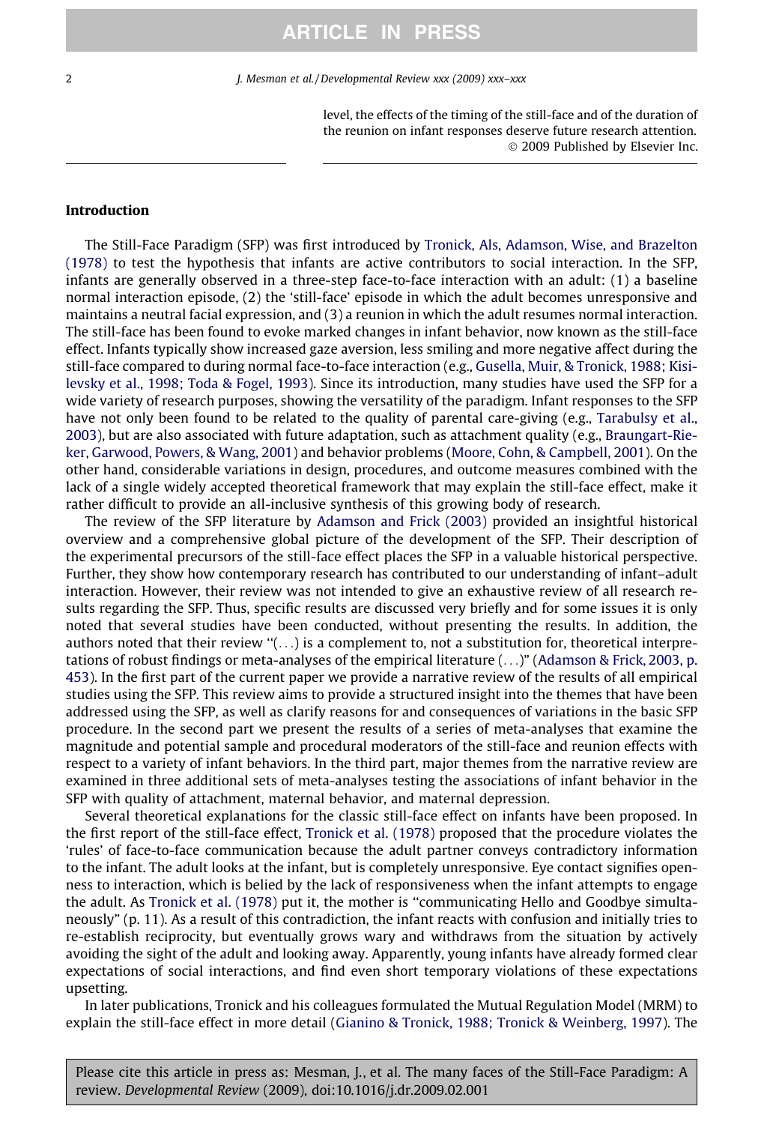2 J. Mesman et al. / Developmental Review xxx (2009) xxx–xxx

level, the effects of the timing of the still-face and of the duration of the reunion on infant responses deserve future research attention. © 2009 Published by Elsevier Inc.

### Introduction

The Still-Face Paradigm (SFP) was first introduced by [Tronick, Als, Adamson, Wise, and Brazelton](#page-42-0) [\(1978\)](#page-42-0) to test the hypothesis that infants are active contributors to social interaction. In the SFP, infants are generally observed in a three-step face-to-face interaction with an adult: (1) a baseline normal interaction episode, (2) the 'still-face' episode in which the adult becomes unresponsive and maintains a neutral facial expression, and (3) a reunion in which the adult resumes normal interaction. The still-face has been found to evoke marked changes in infant behavior, now known as the still-face effect. Infants typically show increased gaze aversion, less smiling and more negative affect during the still-face compared to during normal face-to-face interaction (e.g., [Gusella, Muir, & Tronick, 1988; Kisi](#page-40-0)[levsky et al., 1998; Toda & Fogel, 1993\)](#page-40-0). Since its introduction, many studies have used the SFP for a wide variety of research purposes, showing the versatility of the paradigm. Infant responses to the SFP have not only been found to be related to the quality of parental care-giving (e.g., [Tarabulsy et al.,](#page-42-0) [2003\)](#page-42-0), but are also associated with future adaptation, such as attachment quality (e.g., [Braungart-Rie](#page-39-0)[ker, Garwood, Powers, & Wang, 2001](#page-39-0)) and behavior problems [\(Moore, Cohn, & Campbell, 2001\)](#page-41-0). On the other hand, considerable variations in design, procedures, and outcome measures combined with the lack of a single widely accepted theoretical framework that may explain the still-face effect, make it rather difficult to provide an all-inclusive synthesis of this growing body of research.

The review of the SFP literature by [Adamson and Frick \(2003\)](#page-38-0) provided an insightful historical overview and a comprehensive global picture of the development of the SFP. Their description of the experimental precursors of the still-face effect places the SFP in a valuable historical perspective. Further, they show how contemporary research has contributed to our understanding of infant–adult interaction. However, their review was not intended to give an exhaustive review of all research results regarding the SFP. Thus, specific results are discussed very briefly and for some issues it is only noted that several studies have been conducted, without presenting the results. In addition, the authors noted that their review  $\cdot$ ( $\dots$ ) is a complement to, not a substitution for, theoretical interpretations of robust findings or meta-analyses of the empirical literature (...)" ([Adamson & Frick, 2003, p.](#page-38-0) [453](#page-38-0)). In the first part of the current paper we provide a narrative review of the results of all empirical studies using the SFP. This review aims to provide a structured insight into the themes that have been addressed using the SFP, as well as clarify reasons for and consequences of variations in the basic SFP procedure. In the second part we present the results of a series of meta-analyses that examine the magnitude and potential sample and procedural moderators of the still-face and reunion effects with respect to a variety of infant behaviors. In the third part, major themes from the narrative review are examined in three additional sets of meta-analyses testing the associations of infant behavior in the SFP with quality of attachment, maternal behavior, and maternal depression.

Several theoretical explanations for the classic still-face effect on infants have been proposed. In the first report of the still-face effect, [Tronick et al. \(1978\)](#page-42-0) proposed that the procedure violates the 'rules' of face-to-face communication because the adult partner conveys contradictory information to the infant. The adult looks at the infant, but is completely unresponsive. Eye contact signifies openness to interaction, which is belied by the lack of responsiveness when the infant attempts to engage the adult. As [Tronick et al. \(1978\)](#page-42-0) put it, the mother is ''communicating Hello and Goodbye simultaneously" (p. 11). As a result of this contradiction, the infant reacts with confusion and initially tries to re-establish reciprocity, but eventually grows wary and withdraws from the situation by actively avoiding the sight of the adult and looking away. Apparently, young infants have already formed clear expectations of social interactions, and find even short temporary violations of these expectations upsetting.

In later publications, Tronick and his colleagues formulated the Mutual Regulation Model (MRM) to explain the still-face effect in more detail [\(Gianino & Tronick, 1988; Tronick & Weinberg, 1997](#page-40-0)). The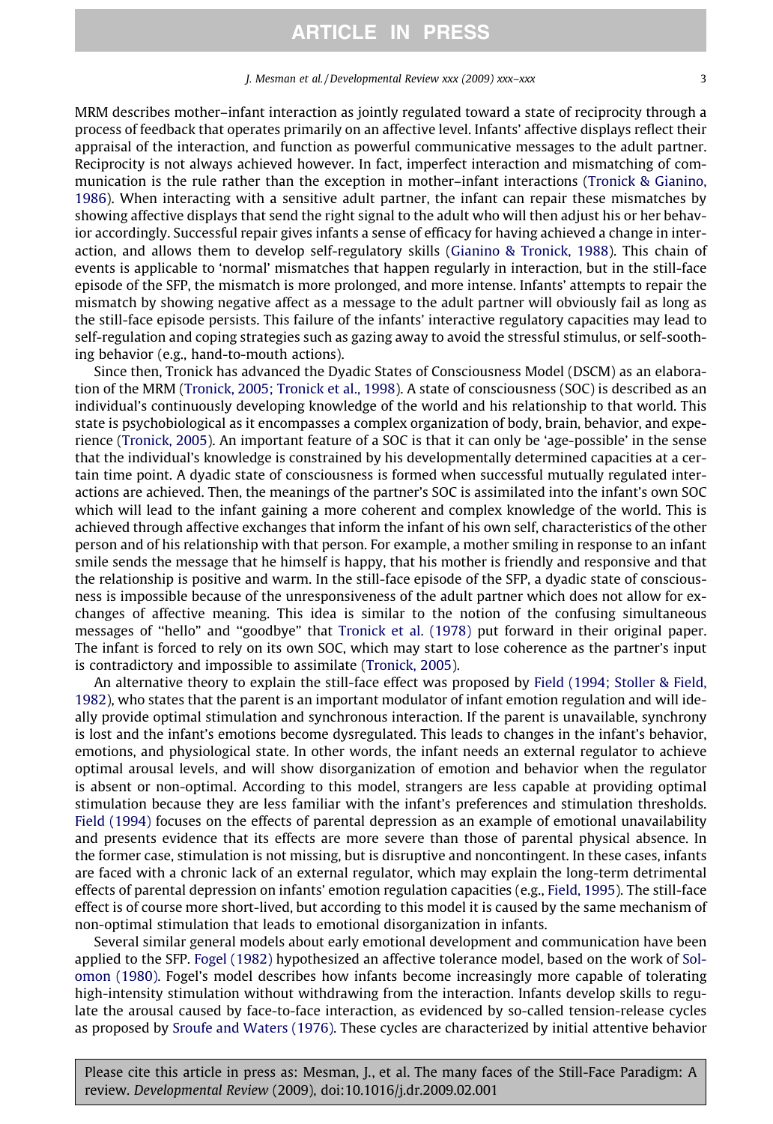### J. Mesman et al. / Developmental Review xxx (2009) xxx–xxx 3

MRM describes mother–infant interaction as jointly regulated toward a state of reciprocity through a process of feedback that operates primarily on an affective level. Infants' affective displays reflect their appraisal of the interaction, and function as powerful communicative messages to the adult partner. Reciprocity is not always achieved however. In fact, imperfect interaction and mismatching of communication is the rule rather than the exception in mother–infant interactions [\(Tronick & Gianino,](#page-42-0) [1986](#page-42-0)). When interacting with a sensitive adult partner, the infant can repair these mismatches by showing affective displays that send the right signal to the adult who will then adjust his or her behavior accordingly. Successful repair gives infants a sense of efficacy for having achieved a change in interaction, and allows them to develop self-regulatory skills [\(Gianino & Tronick, 1988\)](#page-40-0). This chain of events is applicable to 'normal' mismatches that happen regularly in interaction, but in the still-face episode of the SFP, the mismatch is more prolonged, and more intense. Infants' attempts to repair the mismatch by showing negative affect as a message to the adult partner will obviously fail as long as the still-face episode persists. This failure of the infants' interactive regulatory capacities may lead to self-regulation and coping strategies such as gazing away to avoid the stressful stimulus, or self-soothing behavior (e.g., hand-to-mouth actions).

Since then, Tronick has advanced the Dyadic States of Consciousness Model (DSCM) as an elaboration of the MRM ([Tronick, 2005; Tronick et al., 1998](#page-42-0)). A state of consciousness (SOC) is described as an individual's continuously developing knowledge of the world and his relationship to that world. This state is psychobiological as it encompasses a complex organization of body, brain, behavior, and experience [\(Tronick, 2005\)](#page-42-0). An important feature of a SOC is that it can only be 'age-possible' in the sense that the individual's knowledge is constrained by his developmentally determined capacities at a certain time point. A dyadic state of consciousness is formed when successful mutually regulated interactions are achieved. Then, the meanings of the partner's SOC is assimilated into the infant's own SOC which will lead to the infant gaining a more coherent and complex knowledge of the world. This is achieved through affective exchanges that inform the infant of his own self, characteristics of the other person and of his relationship with that person. For example, a mother smiling in response to an infant smile sends the message that he himself is happy, that his mother is friendly and responsive and that the relationship is positive and warm. In the still-face episode of the SFP, a dyadic state of consciousness is impossible because of the unresponsiveness of the adult partner which does not allow for exchanges of affective meaning. This idea is similar to the notion of the confusing simultaneous messages of ''hello" and ''goodbye" that [Tronick et al. \(1978\)](#page-42-0) put forward in their original paper. The infant is forced to rely on its own SOC, which may start to lose coherence as the partner's input is contradictory and impossible to assimilate ([Tronick, 2005\)](#page-42-0).

An alternative theory to explain the still-face effect was proposed by [Field \(1994; Stoller & Field,](#page-40-0) [1982](#page-40-0)), who states that the parent is an important modulator of infant emotion regulation and will ideally provide optimal stimulation and synchronous interaction. If the parent is unavailable, synchrony is lost and the infant's emotions become dysregulated. This leads to changes in the infant's behavior, emotions, and physiological state. In other words, the infant needs an external regulator to achieve optimal arousal levels, and will show disorganization of emotion and behavior when the regulator is absent or non-optimal. According to this model, strangers are less capable at providing optimal stimulation because they are less familiar with the infant's preferences and stimulation thresholds. [Field \(1994\)](#page-40-0) focuses on the effects of parental depression as an example of emotional unavailability and presents evidence that its effects are more severe than those of parental physical absence. In the former case, stimulation is not missing, but is disruptive and noncontingent. In these cases, infants are faced with a chronic lack of an external regulator, which may explain the long-term detrimental effects of parental depression on infants' emotion regulation capacities (e.g., [Field, 1995\)](#page-40-0). The still-face effect is of course more short-lived, but according to this model it is caused by the same mechanism of non-optimal stimulation that leads to emotional disorganization in infants.

Several similar general models about early emotional development and communication have been applied to the SFP. [Fogel \(1982\)](#page-40-0) hypothesized an affective tolerance model, based on the work of [Sol](#page-42-0)[omon \(1980\)](#page-42-0). Fogel's model describes how infants become increasingly more capable of tolerating high-intensity stimulation without withdrawing from the interaction. Infants develop skills to regulate the arousal caused by face-to-face interaction, as evidenced by so-called tension-release cycles as proposed by [Sroufe and Waters \(1976\).](#page-42-0) These cycles are characterized by initial attentive behavior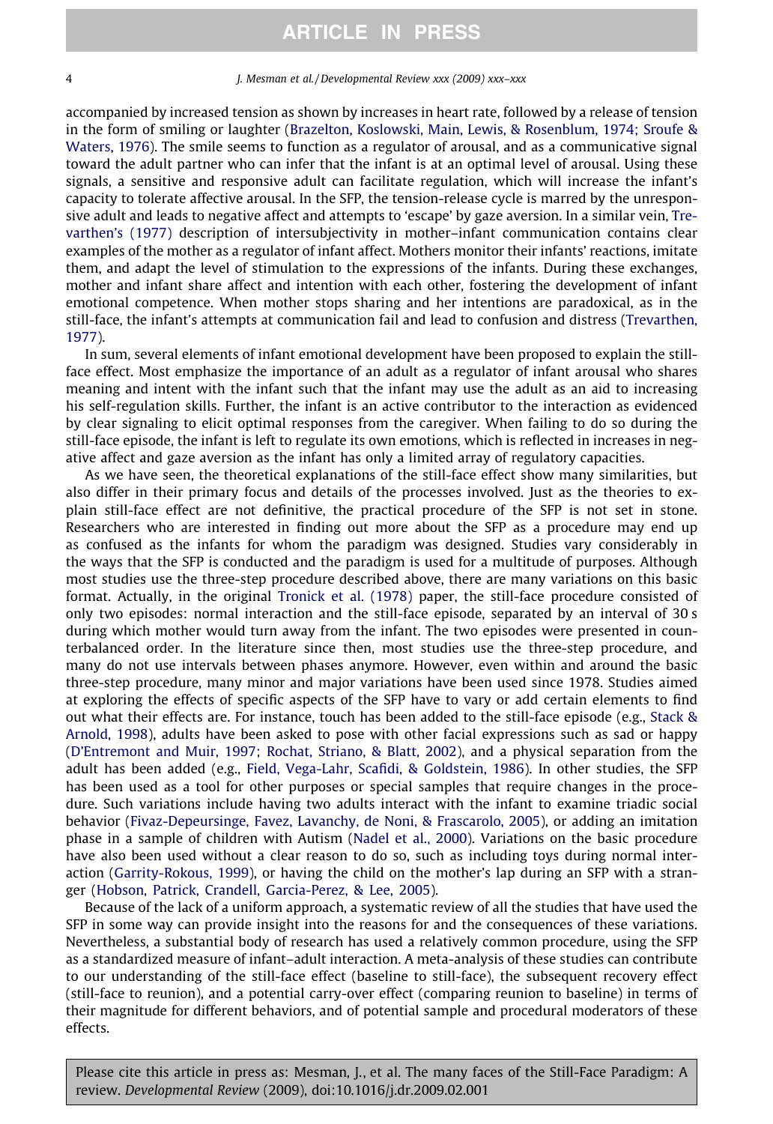accompanied by increased tension as shown by increases in heart rate, followed by a release of tension in the form of smiling or laughter ([Brazelton, Koslowski, Main, Lewis, & Rosenblum, 1974; Sroufe &](#page-39-0) [Waters, 1976](#page-39-0)). The smile seems to function as a regulator of arousal, and as a communicative signal toward the adult partner who can infer that the infant is at an optimal level of arousal. Using these signals, a sensitive and responsive adult can facilitate regulation, which will increase the infant's capacity to tolerate affective arousal. In the SFP, the tension-release cycle is marred by the unresponsive adult and leads to negative affect and attempts to 'escape' by gaze aversion. In a similar vein, [Tre](#page-42-0)[varthen's \(1977\)](#page-42-0) description of intersubjectivity in mother–infant communication contains clear examples of the mother as a regulator of infant affect. Mothers monitor their infants' reactions, imitate them, and adapt the level of stimulation to the expressions of the infants. During these exchanges, mother and infant share affect and intention with each other, fostering the development of infant emotional competence. When mother stops sharing and her intentions are paradoxical, as in the still-face, the infant's attempts at communication fail and lead to confusion and distress [\(Trevarthen,](#page-42-0) [1977\)](#page-42-0).

In sum, several elements of infant emotional development have been proposed to explain the stillface effect. Most emphasize the importance of an adult as a regulator of infant arousal who shares meaning and intent with the infant such that the infant may use the adult as an aid to increasing his self-regulation skills. Further, the infant is an active contributor to the interaction as evidenced by clear signaling to elicit optimal responses from the caregiver. When failing to do so during the still-face episode, the infant is left to regulate its own emotions, which is reflected in increases in negative affect and gaze aversion as the infant has only a limited array of regulatory capacities.

As we have seen, the theoretical explanations of the still-face effect show many similarities, but also differ in their primary focus and details of the processes involved. Just as the theories to explain still-face effect are not definitive, the practical procedure of the SFP is not set in stone. Researchers who are interested in finding out more about the SFP as a procedure may end up as confused as the infants for whom the paradigm was designed. Studies vary considerably in the ways that the SFP is conducted and the paradigm is used for a multitude of purposes. Although most studies use the three-step procedure described above, there are many variations on this basic format. Actually, in the original [Tronick et al. \(1978\)](#page-42-0) paper, the still-face procedure consisted of only two episodes: normal interaction and the still-face episode, separated by an interval of 30 s during which mother would turn away from the infant. The two episodes were presented in counterbalanced order. In the literature since then, most studies use the three-step procedure, and many do not use intervals between phases anymore. However, even within and around the basic three-step procedure, many minor and major variations have been used since 1978. Studies aimed at exploring the effects of specific aspects of the SFP have to vary or add certain elements to find out what their effects are. For instance, touch has been added to the still-face episode (e.g., [Stack &](#page-42-0) [Arnold, 1998\)](#page-42-0), adults have been asked to pose with other facial expressions such as sad or happy ([D'Entremont and Muir, 1997; Rochat, Striano, & Blatt, 2002\)](#page-39-0), and a physical separation from the adult has been added (e.g., [Field, Vega-Lahr, Scafidi, & Goldstein, 1986](#page-40-0)). In other studies, the SFP has been used as a tool for other purposes or special samples that require changes in the procedure. Such variations include having two adults interact with the infant to examine triadic social behavior [\(Fivaz-Depeursinge, Favez, Lavanchy, de Noni, & Frascarolo, 2005](#page-40-0)), or adding an imitation phase in a sample of children with Autism ([Nadel et al., 2000\)](#page-41-0). Variations on the basic procedure have also been used without a clear reason to do so, such as including toys during normal interaction [\(Garrity-Rokous, 1999\)](#page-40-0), or having the child on the mother's lap during an SFP with a stranger [\(Hobson, Patrick, Crandell, Garcia-Perez, & Lee, 2005\)](#page-40-0).

Because of the lack of a uniform approach, a systematic review of all the studies that have used the SFP in some way can provide insight into the reasons for and the consequences of these variations. Nevertheless, a substantial body of research has used a relatively common procedure, using the SFP as a standardized measure of infant–adult interaction. A meta-analysis of these studies can contribute to our understanding of the still-face effect (baseline to still-face), the subsequent recovery effect (still-face to reunion), and a potential carry-over effect (comparing reunion to baseline) in terms of their magnitude for different behaviors, and of potential sample and procedural moderators of these effects.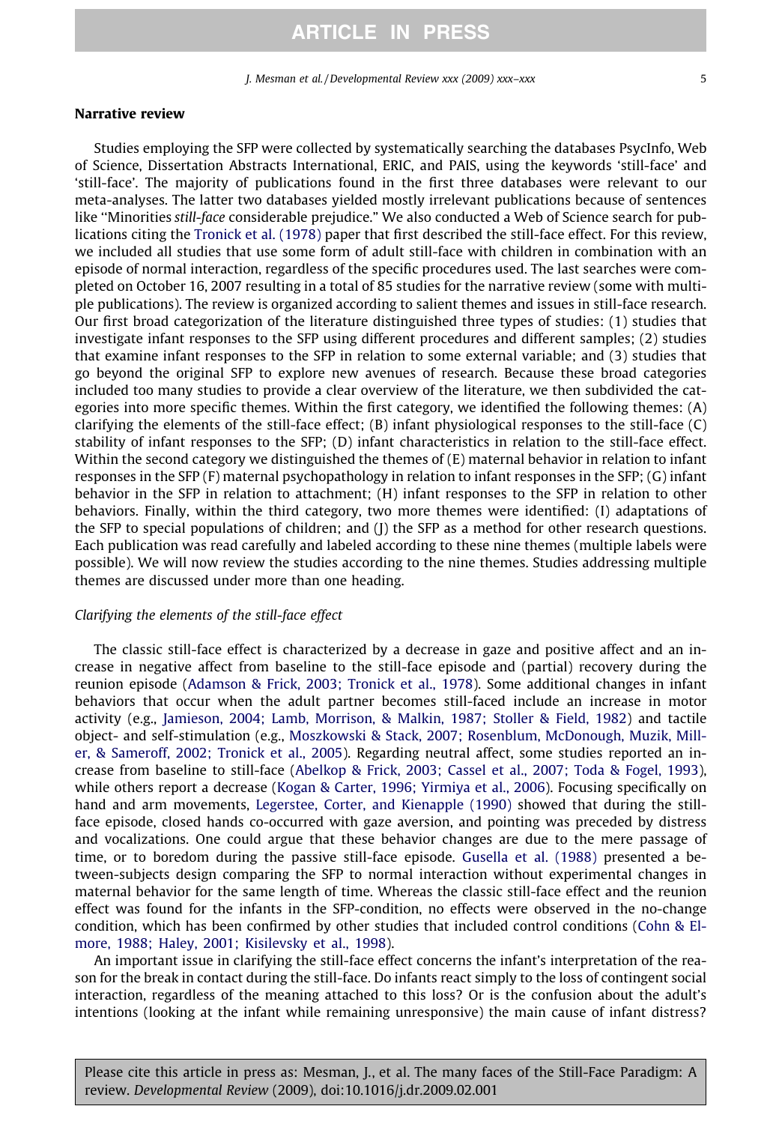### Narrative review

Studies employing the SFP were collected by systematically searching the databases PsycInfo, Web of Science, Dissertation Abstracts International, ERIC, and PAIS, using the keywords 'still-face' and 'still-face'. The majority of publications found in the first three databases were relevant to our meta-analyses. The latter two databases yielded mostly irrelevant publications because of sentences like ''Minorities still-face considerable prejudice." We also conducted a Web of Science search for publications citing the [Tronick et al. \(1978\)](#page-42-0) paper that first described the still-face effect. For this review, we included all studies that use some form of adult still-face with children in combination with an episode of normal interaction, regardless of the specific procedures used. The last searches were completed on October 16, 2007 resulting in a total of 85 studies for the narrative review (some with multiple publications). The review is organized according to salient themes and issues in still-face research. Our first broad categorization of the literature distinguished three types of studies: (1) studies that investigate infant responses to the SFP using different procedures and different samples; (2) studies that examine infant responses to the SFP in relation to some external variable; and (3) studies that go beyond the original SFP to explore new avenues of research. Because these broad categories included too many studies to provide a clear overview of the literature, we then subdivided the categories into more specific themes. Within the first category, we identified the following themes: (A) clarifying the elements of the still-face effect;  $(B)$  infant physiological responses to the still-face  $(C)$ stability of infant responses to the SFP; (D) infant characteristics in relation to the still-face effect. Within the second category we distinguished the themes of (E) maternal behavior in relation to infant responses in the SFP (F) maternal psychopathology in relation to infant responses in the SFP; (G) infant behavior in the SFP in relation to attachment; (H) infant responses to the SFP in relation to other behaviors. Finally, within the third category, two more themes were identified: (I) adaptations of the SFP to special populations of children; and (J) the SFP as a method for other research questions. Each publication was read carefully and labeled according to these nine themes (multiple labels were possible). We will now review the studies according to the nine themes. Studies addressing multiple themes are discussed under more than one heading.

## Clarifying the elements of the still-face effect

The classic still-face effect is characterized by a decrease in gaze and positive affect and an increase in negative affect from baseline to the still-face episode and (partial) recovery during the reunion episode ([Adamson & Frick, 2003; Tronick et al., 1978](#page-38-0)). Some additional changes in infant behaviors that occur when the adult partner becomes still-faced include an increase in motor activity (e.g., [Jamieson, 2004; Lamb, Morrison, & Malkin, 1987; Stoller & Field, 1982\)](#page-40-0) and tactile object- and self-stimulation (e.g., [Moszkowski & Stack, 2007; Rosenblum, McDonough, Muzik, Mill](#page-41-0)[er, & Sameroff, 2002; Tronick et al., 2005\)](#page-41-0). Regarding neutral affect, some studies reported an increase from baseline to still-face ([Abelkop & Frick, 2003; Cassel et al., 2007; Toda & Fogel, 1993](#page-38-0)), while others report a decrease ([Kogan & Carter, 1996; Yirmiya et al., 2006](#page-41-0)). Focusing specifically on hand and arm movements, [Legerstee, Corter, and Kienapple \(1990\)](#page-41-0) showed that during the stillface episode, closed hands co-occurred with gaze aversion, and pointing was preceded by distress and vocalizations. One could argue that these behavior changes are due to the mere passage of time, or to boredom during the passive still-face episode. [Gusella et al. \(1988\)](#page-40-0) presented a between-subjects design comparing the SFP to normal interaction without experimental changes in maternal behavior for the same length of time. Whereas the classic still-face effect and the reunion effect was found for the infants in the SFP-condition, no effects were observed in the no-change condition, which has been confirmed by other studies that included control conditions [\(Cohn & El](#page-39-0)[more, 1988; Haley, 2001; Kisilevsky et al., 1998\)](#page-39-0).

An important issue in clarifying the still-face effect concerns the infant's interpretation of the reason for the break in contact during the still-face. Do infants react simply to the loss of contingent social interaction, regardless of the meaning attached to this loss? Or is the confusion about the adult's intentions (looking at the infant while remaining unresponsive) the main cause of infant distress?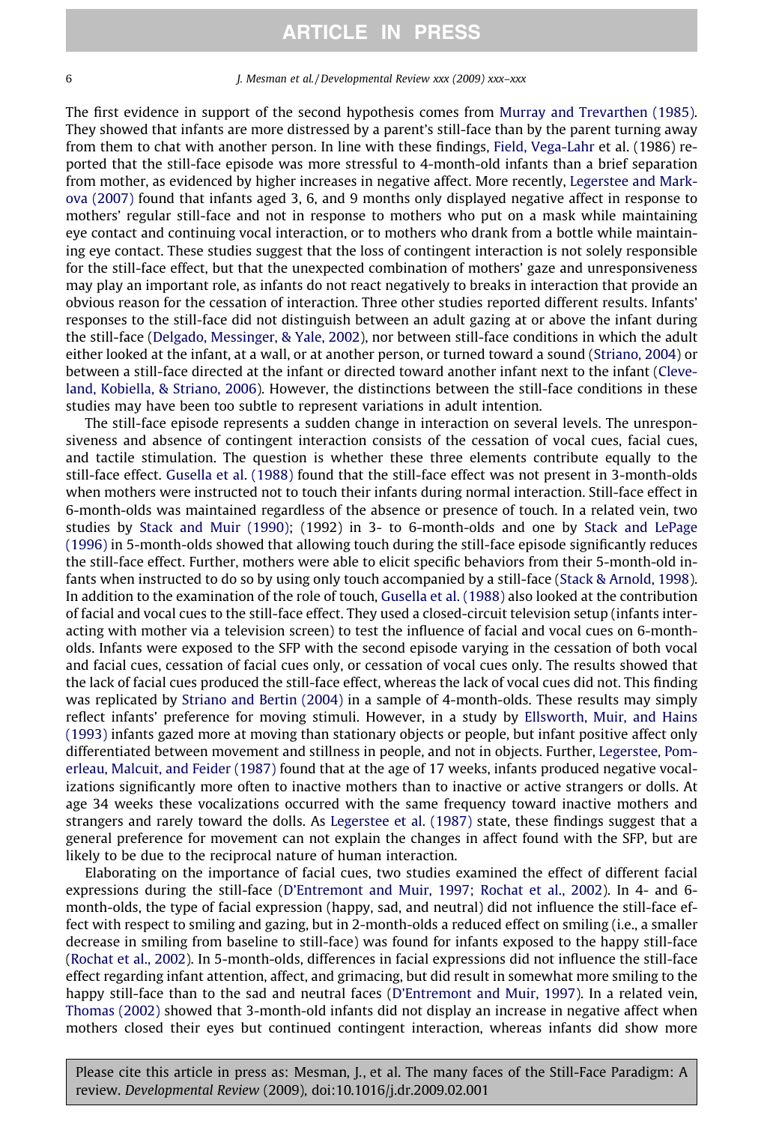#### 6 J. Mesman et al. / Developmental Review xxx (2009) xxx–xxx

The first evidence in support of the second hypothesis comes from [Murray and Trevarthen \(1985\)](#page-41-0). They showed that infants are more distressed by a parent's still-face than by the parent turning away from them to chat with another person. In line with these findings, [Field, Vega-Lahr](#page-40-0) et al. (1986) reported that the still-face episode was more stressful to 4-month-old infants than a brief separation from mother, as evidenced by higher increases in negative affect. More recently, [Legerstee and Mark](#page-41-0)[ova \(2007\)](#page-41-0) found that infants aged 3, 6, and 9 months only displayed negative affect in response to mothers' regular still-face and not in response to mothers who put on a mask while maintaining eye contact and continuing vocal interaction, or to mothers who drank from a bottle while maintaining eye contact. These studies suggest that the loss of contingent interaction is not solely responsible for the still-face effect, but that the unexpected combination of mothers' gaze and unresponsiveness may play an important role, as infants do not react negatively to breaks in interaction that provide an obvious reason for the cessation of interaction. Three other studies reported different results. Infants' responses to the still-face did not distinguish between an adult gazing at or above the infant during the still-face ([Delgado, Messinger, & Yale, 2002](#page-39-0)), nor between still-face conditions in which the adult either looked at the infant, at a wall, or at another person, or turned toward a sound ([Striano, 2004](#page-42-0)) or between a still-face directed at the infant or directed toward another infant next to the infant ([Cleve](#page-39-0)[land, Kobiella, & Striano, 2006](#page-39-0)). However, the distinctions between the still-face conditions in these studies may have been too subtle to represent variations in adult intention.

The still-face episode represents a sudden change in interaction on several levels. The unresponsiveness and absence of contingent interaction consists of the cessation of vocal cues, facial cues, and tactile stimulation. The question is whether these three elements contribute equally to the still-face effect. [Gusella et al. \(1988\)](#page-40-0) found that the still-face effect was not present in 3-month-olds when mothers were instructed not to touch their infants during normal interaction. Still-face effect in 6-month-olds was maintained regardless of the absence or presence of touch. In a related vein, two studies by [Stack and Muir \(1990\);](#page-42-0) (1992) in 3- to 6-month-olds and one by [Stack and LePage](#page-42-0) [\(1996\)](#page-42-0) in 5-month-olds showed that allowing touch during the still-face episode significantly reduces the still-face effect. Further, mothers were able to elicit specific behaviors from their 5-month-old infants when instructed to do so by using only touch accompanied by a still-face [\(Stack & Arnold, 1998](#page-42-0)). In addition to the examination of the role of touch, [Gusella et al. \(1988\)](#page-40-0) also looked at the contribution of facial and vocal cues to the still-face effect. They used a closed-circuit television setup (infants interacting with mother via a television screen) to test the influence of facial and vocal cues on 6-montholds. Infants were exposed to the SFP with the second episode varying in the cessation of both vocal and facial cues, cessation of facial cues only, or cessation of vocal cues only. The results showed that the lack of facial cues produced the still-face effect, whereas the lack of vocal cues did not. This finding was replicated by [Striano and Bertin \(2004\)](#page-42-0) in a sample of 4-month-olds. These results may simply reflect infants' preference for moving stimuli. However, in a study by [Ellsworth, Muir, and Hains](#page-39-0) [\(1993\)](#page-39-0) infants gazed more at moving than stationary objects or people, but infant positive affect only differentiated between movement and stillness in people, and not in objects. Further, [Legerstee, Pom](#page-41-0)[erleau, Malcuit, and Feider \(1987\)](#page-41-0) found that at the age of 17 weeks, infants produced negative vocalizations significantly more often to inactive mothers than to inactive or active strangers or dolls. At age 34 weeks these vocalizations occurred with the same frequency toward inactive mothers and strangers and rarely toward the dolls. As [Legerstee et al. \(1987\)](#page-41-0) state, these findings suggest that a general preference for movement can not explain the changes in affect found with the SFP, but are likely to be due to the reciprocal nature of human interaction.

Elaborating on the importance of facial cues, two studies examined the effect of different facial expressions during the still-face ([D'Entremont and Muir, 1997; Rochat et al., 2002\)](#page-39-0). In 4- and 6 month-olds, the type of facial expression (happy, sad, and neutral) did not influence the still-face effect with respect to smiling and gazing, but in 2-month-olds a reduced effect on smiling (i.e., a smaller decrease in smiling from baseline to still-face) was found for infants exposed to the happy still-face ([Rochat et al., 2002\)](#page-41-0). In 5-month-olds, differences in facial expressions did not influence the still-face effect regarding infant attention, affect, and grimacing, but did result in somewhat more smiling to the happy still-face than to the sad and neutral faces ([D'Entremont and Muir, 1997\)](#page-39-0). In a related vein, [Thomas \(2002\)](#page-42-0) showed that 3-month-old infants did not display an increase in negative affect when mothers closed their eyes but continued contingent interaction, whereas infants did show more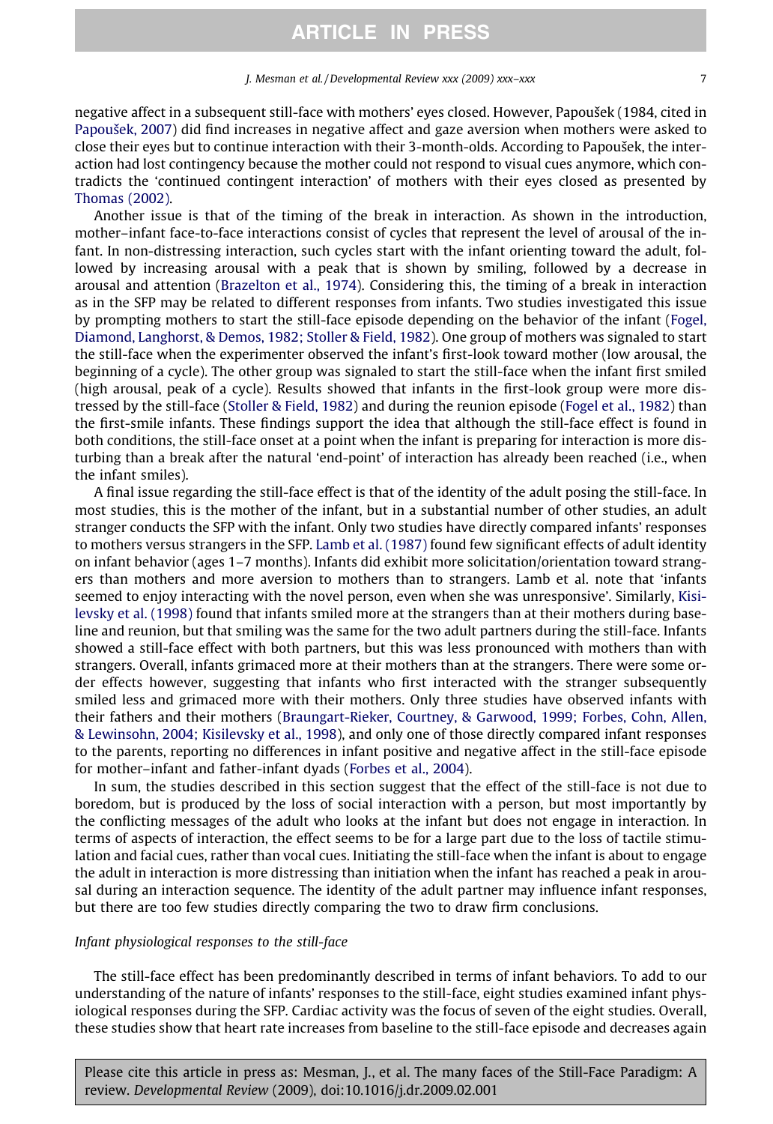negative affect in a subsequent still-face with mothers' eyes closed. However, Papoušek (1984, cited in [Papoušek, 2007](#page-41-0)) did find increases in negative affect and gaze aversion when mothers were asked to close their eyes but to continue interaction with their 3-month-olds. According to Papoušek, the interaction had lost contingency because the mother could not respond to visual cues anymore, which contradicts the 'continued contingent interaction' of mothers with their eyes closed as presented by [Thomas \(2002\).](#page-42-0)

Another issue is that of the timing of the break in interaction. As shown in the introduction, mother–infant face-to-face interactions consist of cycles that represent the level of arousal of the infant. In non-distressing interaction, such cycles start with the infant orienting toward the adult, followed by increasing arousal with a peak that is shown by smiling, followed by a decrease in arousal and attention ([Brazelton et al., 1974\)](#page-39-0). Considering this, the timing of a break in interaction as in the SFP may be related to different responses from infants. Two studies investigated this issue by prompting mothers to start the still-face episode depending on the behavior of the infant [\(Fogel,](#page-40-0) [Diamond, Langhorst, & Demos, 1982; Stoller & Field, 1982\)](#page-40-0). One group of mothers was signaled to start the still-face when the experimenter observed the infant's first-look toward mother (low arousal, the beginning of a cycle). The other group was signaled to start the still-face when the infant first smiled (high arousal, peak of a cycle). Results showed that infants in the first-look group were more distressed by the still-face [\(Stoller & Field, 1982\)](#page-42-0) and during the reunion episode [\(Fogel et al., 1982\)](#page-40-0) than the first-smile infants. These findings support the idea that although the still-face effect is found in both conditions, the still-face onset at a point when the infant is preparing for interaction is more disturbing than a break after the natural 'end-point' of interaction has already been reached (i.e., when the infant smiles).

A final issue regarding the still-face effect is that of the identity of the adult posing the still-face. In most studies, this is the mother of the infant, but in a substantial number of other studies, an adult stranger conducts the SFP with the infant. Only two studies have directly compared infants' responses to mothers versus strangers in the SFP. [Lamb et al. \(1987\)](#page-41-0) found few significant effects of adult identity on infant behavior (ages 1–7 months). Infants did exhibit more solicitation/orientation toward strangers than mothers and more aversion to mothers than to strangers. Lamb et al. note that 'infants seemed to enjoy interacting with the novel person, even when she was unresponsive'. Similarly, [Kisi](#page-40-0)[levsky et al. \(1998\)](#page-40-0) found that infants smiled more at the strangers than at their mothers during baseline and reunion, but that smiling was the same for the two adult partners during the still-face. Infants showed a still-face effect with both partners, but this was less pronounced with mothers than with strangers. Overall, infants grimaced more at their mothers than at the strangers. There were some order effects however, suggesting that infants who first interacted with the stranger subsequently smiled less and grimaced more with their mothers. Only three studies have observed infants with their fathers and their mothers [\(Braungart-Rieker, Courtney, & Garwood, 1999; Forbes, Cohn, Allen,](#page-39-0) [& Lewinsohn, 2004; Kisilevsky et al., 1998](#page-39-0)), and only one of those directly compared infant responses to the parents, reporting no differences in infant positive and negative affect in the still-face episode for mother–infant and father-infant dyads ([Forbes et al., 2004](#page-40-0)).

In sum, the studies described in this section suggest that the effect of the still-face is not due to boredom, but is produced by the loss of social interaction with a person, but most importantly by the conflicting messages of the adult who looks at the infant but does not engage in interaction. In terms of aspects of interaction, the effect seems to be for a large part due to the loss of tactile stimulation and facial cues, rather than vocal cues. Initiating the still-face when the infant is about to engage the adult in interaction is more distressing than initiation when the infant has reached a peak in arousal during an interaction sequence. The identity of the adult partner may influence infant responses, but there are too few studies directly comparing the two to draw firm conclusions.

## Infant physiological responses to the still-face

The still-face effect has been predominantly described in terms of infant behaviors. To add to our understanding of the nature of infants' responses to the still-face, eight studies examined infant physiological responses during the SFP. Cardiac activity was the focus of seven of the eight studies. Overall, these studies show that heart rate increases from baseline to the still-face episode and decreases again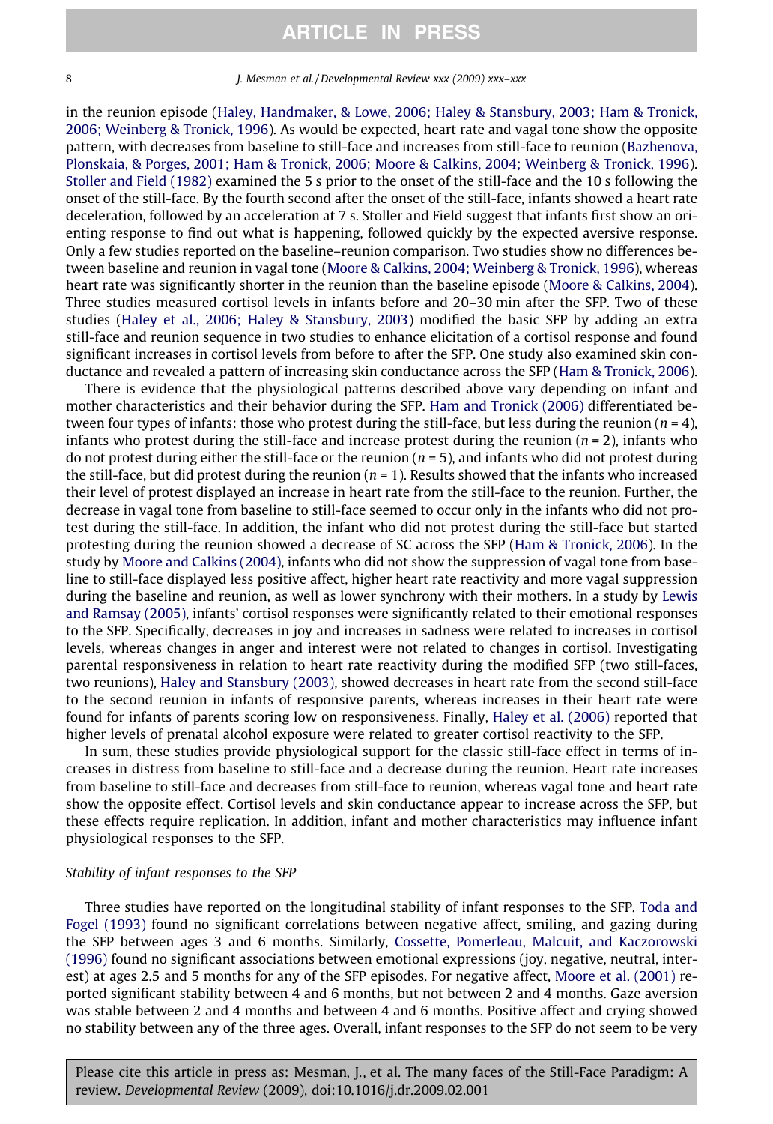in the reunion episode ([Haley, Handmaker, & Lowe, 2006; Haley & Stansbury, 2003; Ham & Tronick,](#page-40-0) [2006; Weinberg & Tronick, 1996\)](#page-40-0). As would be expected, heart rate and vagal tone show the opposite pattern, with decreases from baseline to still-face and increases from still-face to reunion ([Bazhenova,](#page-39-0) [Plonskaia, & Porges, 2001; Ham & Tronick, 2006; Moore & Calkins, 2004; Weinberg & Tronick, 1996](#page-39-0)). [Stoller and Field \(1982\)](#page-42-0) examined the 5 s prior to the onset of the still-face and the 10 s following the onset of the still-face. By the fourth second after the onset of the still-face, infants showed a heart rate deceleration, followed by an acceleration at 7 s. Stoller and Field suggest that infants first show an orienting response to find out what is happening, followed quickly by the expected aversive response. Only a few studies reported on the baseline–reunion comparison. Two studies show no differences between baseline and reunion in vagal tone [\(Moore & Calkins, 2004; Weinberg & Tronick, 1996](#page-41-0)), whereas heart rate was significantly shorter in the reunion than the baseline episode [\(Moore & Calkins, 2004](#page-41-0)). Three studies measured cortisol levels in infants before and 20–30 min after the SFP. Two of these studies ([Haley et al., 2006; Haley & Stansbury, 2003](#page-40-0)) modified the basic SFP by adding an extra still-face and reunion sequence in two studies to enhance elicitation of a cortisol response and found significant increases in cortisol levels from before to after the SFP. One study also examined skin conductance and revealed a pattern of increasing skin conductance across the SFP [\(Ham & Tronick, 2006](#page-40-0)).

There is evidence that the physiological patterns described above vary depending on infant and mother characteristics and their behavior during the SFP. [Ham and Tronick \(2006\)](#page-40-0) differentiated between four types of infants: those who protest during the still-face, but less during the reunion ( $n = 4$ ), infants who protest during the still-face and increase protest during the reunion ( $n = 2$ ), infants who do not protest during either the still-face or the reunion ( $n = 5$ ), and infants who did not protest during the still-face, but did protest during the reunion ( $n = 1$ ). Results showed that the infants who increased their level of protest displayed an increase in heart rate from the still-face to the reunion. Further, the decrease in vagal tone from baseline to still-face seemed to occur only in the infants who did not protest during the still-face. In addition, the infant who did not protest during the still-face but started protesting during the reunion showed a decrease of SC across the SFP ([Ham & Tronick, 2006](#page-40-0)). In the study by [Moore and Calkins \(2004\)](#page-41-0), infants who did not show the suppression of vagal tone from baseline to still-face displayed less positive affect, higher heart rate reactivity and more vagal suppression during the baseline and reunion, as well as lower synchrony with their mothers. In a study by [Lewis](#page-41-0) [and Ramsay \(2005\),](#page-41-0) infants' cortisol responses were significantly related to their emotional responses to the SFP. Specifically, decreases in joy and increases in sadness were related to increases in cortisol levels, whereas changes in anger and interest were not related to changes in cortisol. Investigating parental responsiveness in relation to heart rate reactivity during the modified SFP (two still-faces, two reunions), [Haley and Stansbury \(2003\)](#page-40-0), showed decreases in heart rate from the second still-face to the second reunion in infants of responsive parents, whereas increases in their heart rate were found for infants of parents scoring low on responsiveness. Finally, [Haley et al. \(2006\)](#page-40-0) reported that higher levels of prenatal alcohol exposure were related to greater cortisol reactivity to the SFP.

In sum, these studies provide physiological support for the classic still-face effect in terms of increases in distress from baseline to still-face and a decrease during the reunion. Heart rate increases from baseline to still-face and decreases from still-face to reunion, whereas vagal tone and heart rate show the opposite effect. Cortisol levels and skin conductance appear to increase across the SFP, but these effects require replication. In addition, infant and mother characteristics may influence infant physiological responses to the SFP.

## Stability of infant responses to the SFP

Three studies have reported on the longitudinal stability of infant responses to the SFP. [Toda and](#page-42-0) [Fogel \(1993\)](#page-42-0) found no significant correlations between negative affect, smiling, and gazing during the SFP between ages 3 and 6 months. Similarly, [Cossette, Pomerleau, Malcuit, and Kaczorowski](#page-39-0) [\(1996\)](#page-39-0) found no significant associations between emotional expressions (joy, negative, neutral, interest) at ages 2.5 and 5 months for any of the SFP episodes. For negative affect, [Moore et al. \(2001\)](#page-41-0) reported significant stability between 4 and 6 months, but not between 2 and 4 months. Gaze aversion was stable between 2 and 4 months and between 4 and 6 months. Positive affect and crying showed no stability between any of the three ages. Overall, infant responses to the SFP do not seem to be very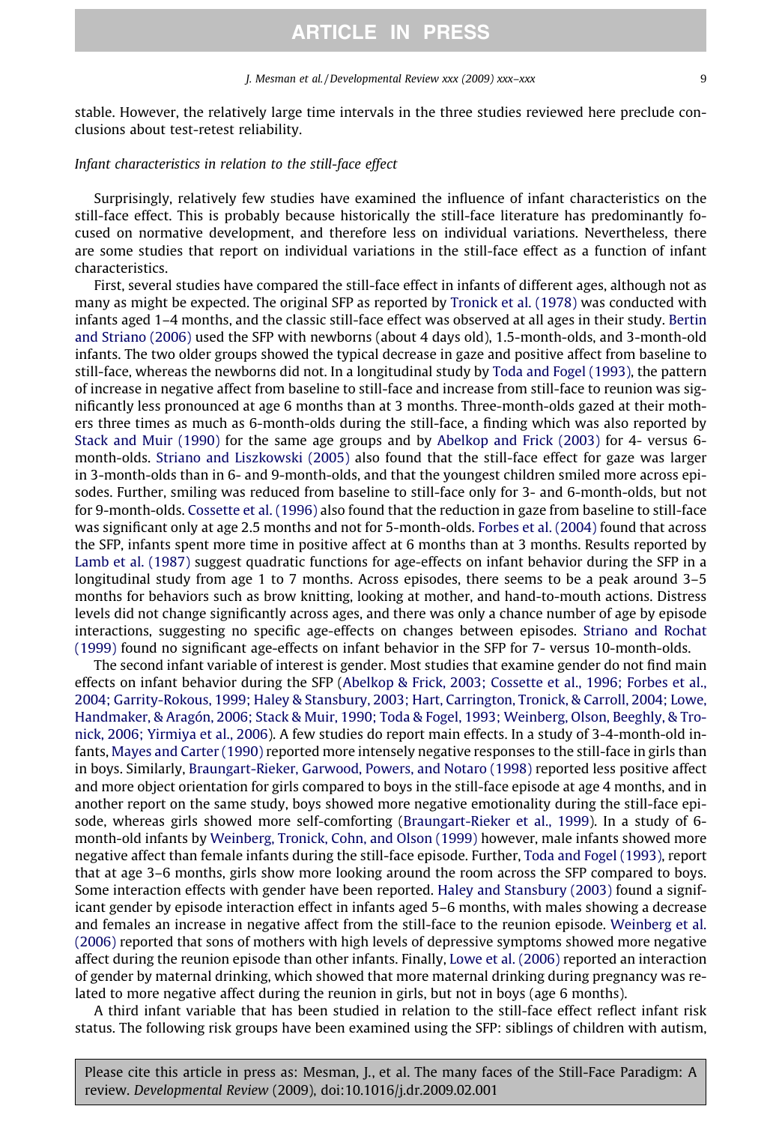stable. However, the relatively large time intervals in the three studies reviewed here preclude conclusions about test-retest reliability.

## Infant characteristics in relation to the still-face effect

Surprisingly, relatively few studies have examined the influence of infant characteristics on the still-face effect. This is probably because historically the still-face literature has predominantly focused on normative development, and therefore less on individual variations. Nevertheless, there are some studies that report on individual variations in the still-face effect as a function of infant characteristics.

First, several studies have compared the still-face effect in infants of different ages, although not as many as might be expected. The original SFP as reported by [Tronick et al. \(1978\)](#page-42-0) was conducted with infants aged 1–4 months, and the classic still-face effect was observed at all ages in their study. [Bertin](#page-39-0) [and Striano \(2006\)](#page-39-0) used the SFP with newborns (about 4 days old), 1.5-month-olds, and 3-month-old infants. The two older groups showed the typical decrease in gaze and positive affect from baseline to still-face, whereas the newborns did not. In a longitudinal study by [Toda and Fogel \(1993\),](#page-42-0) the pattern of increase in negative affect from baseline to still-face and increase from still-face to reunion was significantly less pronounced at age 6 months than at 3 months. Three-month-olds gazed at their mothers three times as much as 6-month-olds during the still-face, a finding which was also reported by [Stack and Muir \(1990\)](#page-42-0) for the same age groups and by [Abelkop and Frick \(2003\)](#page-38-0) for 4- versus 6 month-olds. [Striano and Liszkowski \(2005\)](#page-42-0) also found that the still-face effect for gaze was larger in 3-month-olds than in 6- and 9-month-olds, and that the youngest children smiled more across episodes. Further, smiling was reduced from baseline to still-face only for 3- and 6-month-olds, but not for 9-month-olds. [Cossette et al. \(1996\)](#page-39-0) also found that the reduction in gaze from baseline to still-face was significant only at age 2.5 months and not for 5-month-olds. [Forbes et al. \(2004\)](#page-40-0) found that across the SFP, infants spent more time in positive affect at 6 months than at 3 months. Results reported by [Lamb et al. \(1987\)](#page-41-0) suggest quadratic functions for age-effects on infant behavior during the SFP in a longitudinal study from age 1 to 7 months. Across episodes, there seems to be a peak around 3–5 months for behaviors such as brow knitting, looking at mother, and hand-to-mouth actions. Distress levels did not change significantly across ages, and there was only a chance number of age by episode interactions, suggesting no specific age-effects on changes between episodes. [Striano and Rochat](#page-42-0) [\(1999\)](#page-42-0) found no significant age-effects on infant behavior in the SFP for 7- versus 10-month-olds.

The second infant variable of interest is gender. Most studies that examine gender do not find main effects on infant behavior during the SFP ([Abelkop & Frick, 2003; Cossette et al., 1996; Forbes et al.,](#page-38-0) [2004; Garrity-Rokous, 1999; Haley & Stansbury, 2003; Hart, Carrington, Tronick, & Carroll, 2004; Lowe,](#page-38-0) [Handmaker, & Aragón, 2006; Stack & Muir, 1990; Toda & Fogel, 1993; Weinberg, Olson, Beeghly, & Tro](#page-38-0)[nick, 2006; Yirmiya et al., 2006](#page-38-0)). A few studies do report main effects. In a study of 3-4-month-old infants, [Mayes and Carter \(1990\)](#page-41-0) reported more intensely negative responses to the still-face in girls than in boys. Similarly, [Braungart-Rieker, Garwood, Powers, and Notaro \(1998\)](#page-39-0) reported less positive affect and more object orientation for girls compared to boys in the still-face episode at age 4 months, and in another report on the same study, boys showed more negative emotionality during the still-face episode, whereas girls showed more self-comforting [\(Braungart-Rieker et al., 1999\)](#page-39-0). In a study of 6 month-old infants by [Weinberg, Tronick, Cohn, and Olson \(1999\)](#page-42-0) however, male infants showed more negative affect than female infants during the still-face episode. Further, [Toda and Fogel \(1993\),](#page-42-0) report that at age 3–6 months, girls show more looking around the room across the SFP compared to boys. Some interaction effects with gender have been reported. [Haley and Stansbury \(2003\)](#page-40-0) found a significant gender by episode interaction effect in infants aged 5–6 months, with males showing a decrease and females an increase in negative affect from the still-face to the reunion episode. [Weinberg et al.](#page-42-0) [\(2006\)](#page-42-0) reported that sons of mothers with high levels of depressive symptoms showed more negative affect during the reunion episode than other infants. Finally, [Lowe et al. \(2006\)](#page-41-0) reported an interaction of gender by maternal drinking, which showed that more maternal drinking during pregnancy was related to more negative affect during the reunion in girls, but not in boys (age 6 months).

A third infant variable that has been studied in relation to the still-face effect reflect infant risk status. The following risk groups have been examined using the SFP: siblings of children with autism,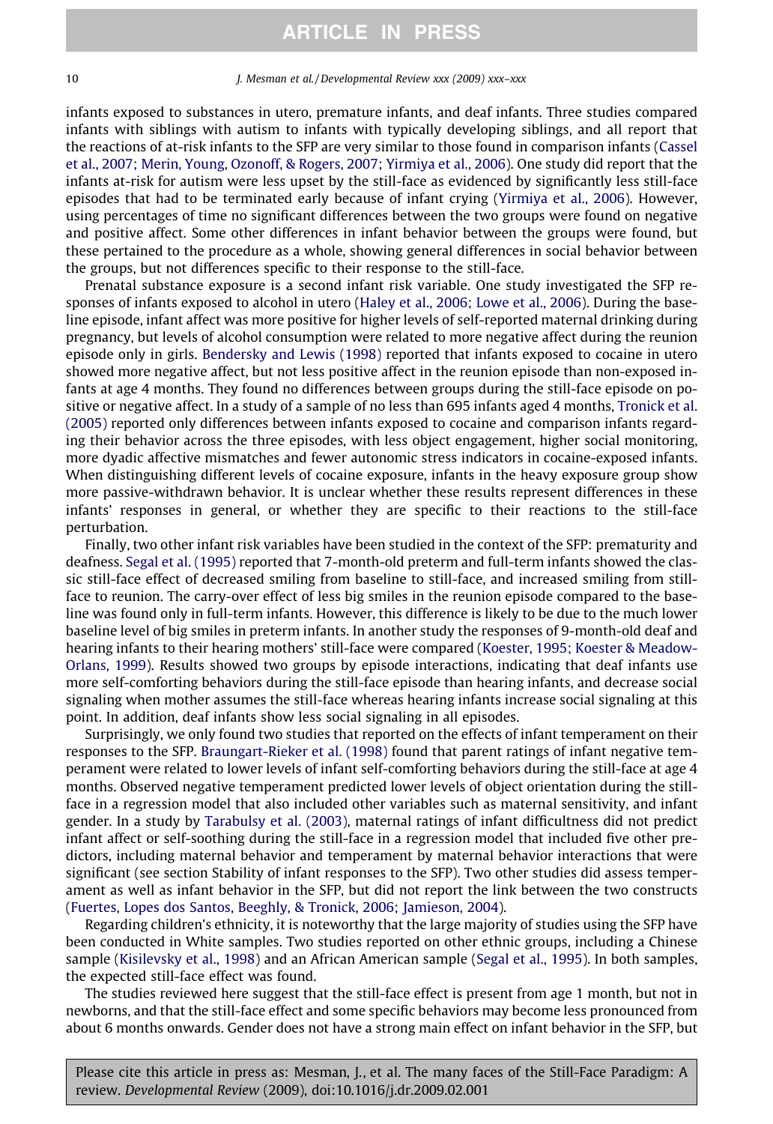10 J. Mesman et al. / Developmental Review xxx (2009) xxx–xxx

infants exposed to substances in utero, premature infants, and deaf infants. Three studies compared infants with siblings with autism to infants with typically developing siblings, and all report that the reactions of at-risk infants to the SFP are very similar to those found in comparison infants [\(Cassel](#page-39-0) [et al., 2007; Merin, Young, Ozonoff, & Rogers, 2007; Yirmiya et al., 2006](#page-39-0)). One study did report that the infants at-risk for autism were less upset by the still-face as evidenced by significantly less still-face episodes that had to be terminated early because of infant crying ([Yirmiya et al., 2006](#page-42-0)). However, using percentages of time no significant differences between the two groups were found on negative and positive affect. Some other differences in infant behavior between the groups were found, but these pertained to the procedure as a whole, showing general differences in social behavior between the groups, but not differences specific to their response to the still-face.

Prenatal substance exposure is a second infant risk variable. One study investigated the SFP responses of infants exposed to alcohol in utero ([Haley et al., 2006; Lowe et al., 2006](#page-40-0)). During the baseline episode, infant affect was more positive for higher levels of self-reported maternal drinking during pregnancy, but levels of alcohol consumption were related to more negative affect during the reunion episode only in girls. [Bendersky and Lewis \(1998\)](#page-39-0) reported that infants exposed to cocaine in utero showed more negative affect, but not less positive affect in the reunion episode than non-exposed infants at age 4 months. They found no differences between groups during the still-face episode on positive or negative affect. In a study of a sample of no less than 695 infants aged 4 months, [Tronick et al.](#page-42-0) [\(2005\)](#page-42-0) reported only differences between infants exposed to cocaine and comparison infants regarding their behavior across the three episodes, with less object engagement, higher social monitoring, more dyadic affective mismatches and fewer autonomic stress indicators in cocaine-exposed infants. When distinguishing different levels of cocaine exposure, infants in the heavy exposure group show more passive-withdrawn behavior. It is unclear whether these results represent differences in these infants' responses in general, or whether they are specific to their reactions to the still-face perturbation.

Finally, two other infant risk variables have been studied in the context of the SFP: prematurity and deafness. [Segal et al. \(1995\)](#page-41-0) reported that 7-month-old preterm and full-term infants showed the classic still-face effect of decreased smiling from baseline to still-face, and increased smiling from stillface to reunion. The carry-over effect of less big smiles in the reunion episode compared to the baseline was found only in full-term infants. However, this difference is likely to be due to the much lower baseline level of big smiles in preterm infants. In another study the responses of 9-month-old deaf and hearing infants to their hearing mothers' still-face were compared [\(Koester, 1995; Koester & Meadow-](#page-41-0)[Orlans, 1999](#page-41-0)). Results showed two groups by episode interactions, indicating that deaf infants use more self-comforting behaviors during the still-face episode than hearing infants, and decrease social signaling when mother assumes the still-face whereas hearing infants increase social signaling at this point. In addition, deaf infants show less social signaling in all episodes.

Surprisingly, we only found two studies that reported on the effects of infant temperament on their responses to the SFP. [Braungart-Rieker et al. \(1998\)](#page-39-0) found that parent ratings of infant negative temperament were related to lower levels of infant self-comforting behaviors during the still-face at age 4 months. Observed negative temperament predicted lower levels of object orientation during the stillface in a regression model that also included other variables such as maternal sensitivity, and infant gender. In a study by [Tarabulsy et al. \(2003\)](#page-42-0), maternal ratings of infant difficultness did not predict infant affect or self-soothing during the still-face in a regression model that included five other predictors, including maternal behavior and temperament by maternal behavior interactions that were significant (see section Stability of infant responses to the SFP). Two other studies did assess temperament as well as infant behavior in the SFP, but did not report the link between the two constructs ([Fuertes, Lopes dos Santos, Beeghly, & Tronick, 2006; Jamieson, 2004\)](#page-40-0).

Regarding children's ethnicity, it is noteworthy that the large majority of studies using the SFP have been conducted in White samples. Two studies reported on other ethnic groups, including a Chinese sample [\(Kisilevsky et al., 1998](#page-40-0)) and an African American sample ([Segal et al., 1995\)](#page-41-0). In both samples, the expected still-face effect was found.

The studies reviewed here suggest that the still-face effect is present from age 1 month, but not in newborns, and that the still-face effect and some specific behaviors may become less pronounced from about 6 months onwards. Gender does not have a strong main effect on infant behavior in the SFP, but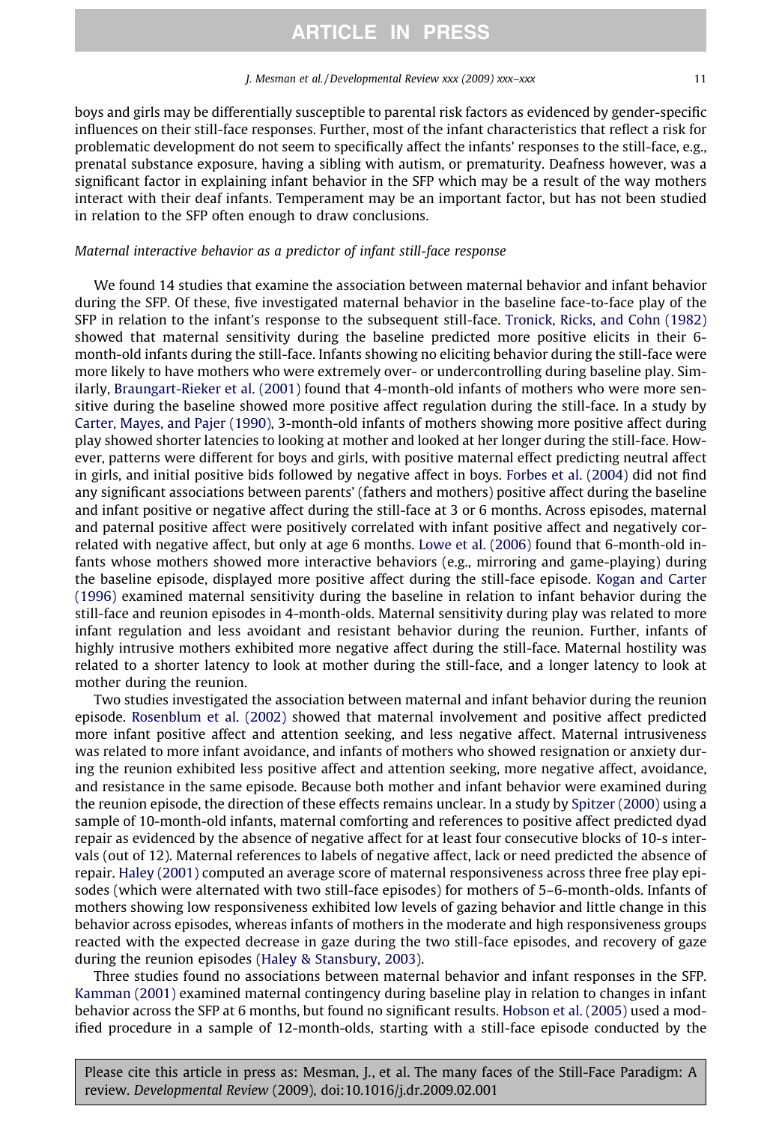boys and girls may be differentially susceptible to parental risk factors as evidenced by gender-specific influences on their still-face responses. Further, most of the infant characteristics that reflect a risk for problematic development do not seem to specifically affect the infants' responses to the still-face, e.g., prenatal substance exposure, having a sibling with autism, or prematurity. Deafness however, was a significant factor in explaining infant behavior in the SFP which may be a result of the way mothers interact with their deaf infants. Temperament may be an important factor, but has not been studied in relation to the SFP often enough to draw conclusions.

# Maternal interactive behavior as a predictor of infant still-face response

We found 14 studies that examine the association between maternal behavior and infant behavior during the SFP. Of these, five investigated maternal behavior in the baseline face-to-face play of the SFP in relation to the infant's response to the subsequent still-face. [Tronick, Ricks, and Cohn \(1982\)](#page-42-0) showed that maternal sensitivity during the baseline predicted more positive elicits in their 6 month-old infants during the still-face. Infants showing no eliciting behavior during the still-face were more likely to have mothers who were extremely over- or undercontrolling during baseline play. Similarly, [Braungart-Rieker et al. \(2001\)](#page-39-0) found that 4-month-old infants of mothers who were more sensitive during the baseline showed more positive affect regulation during the still-face. In a study by [Carter, Mayes, and Pajer \(1990\)](#page-39-0), 3-month-old infants of mothers showing more positive affect during play showed shorter latencies to looking at mother and looked at her longer during the still-face. However, patterns were different for boys and girls, with positive maternal effect predicting neutral affect in girls, and initial positive bids followed by negative affect in boys. [Forbes et al. \(2004\)](#page-40-0) did not find any significant associations between parents' (fathers and mothers) positive affect during the baseline and infant positive or negative affect during the still-face at 3 or 6 months. Across episodes, maternal and paternal positive affect were positively correlated with infant positive affect and negatively correlated with negative affect, but only at age 6 months. [Lowe et al. \(2006\)](#page-41-0) found that 6-month-old infants whose mothers showed more interactive behaviors (e.g., mirroring and game-playing) during the baseline episode, displayed more positive affect during the still-face episode. [Kogan and Carter](#page-41-0) [\(1996\)](#page-41-0) examined maternal sensitivity during the baseline in relation to infant behavior during the still-face and reunion episodes in 4-month-olds. Maternal sensitivity during play was related to more infant regulation and less avoidant and resistant behavior during the reunion. Further, infants of highly intrusive mothers exhibited more negative affect during the still-face. Maternal hostility was related to a shorter latency to look at mother during the still-face, and a longer latency to look at mother during the reunion.

Two studies investigated the association between maternal and infant behavior during the reunion episode. [Rosenblum et al. \(2002\)](#page-41-0) showed that maternal involvement and positive affect predicted more infant positive affect and attention seeking, and less negative affect. Maternal intrusiveness was related to more infant avoidance, and infants of mothers who showed resignation or anxiety during the reunion exhibited less positive affect and attention seeking, more negative affect, avoidance, and resistance in the same episode. Because both mother and infant behavior were examined during the reunion episode, the direction of these effects remains unclear. In a study by [Spitzer \(2000\)](#page-42-0) using a sample of 10-month-old infants, maternal comforting and references to positive affect predicted dyad repair as evidenced by the absence of negative affect for at least four consecutive blocks of 10-s intervals (out of 12). Maternal references to labels of negative affect, lack or need predicted the absence of repair. [Haley \(2001\)](#page-40-0) computed an average score of maternal responsiveness across three free play episodes (which were alternated with two still-face episodes) for mothers of 5–6-month-olds. Infants of mothers showing low responsiveness exhibited low levels of gazing behavior and little change in this behavior across episodes, whereas infants of mothers in the moderate and high responsiveness groups reacted with the expected decrease in gaze during the two still-face episodes, and recovery of gaze during the reunion episodes [\(Haley & Stansbury, 2003\)](#page-40-0).

Three studies found no associations between maternal behavior and infant responses in the SFP. [Kamman \(2001\)](#page-40-0) examined maternal contingency during baseline play in relation to changes in infant behavior across the SFP at 6 months, but found no significant results. [Hobson et al. \(2005\)](#page-40-0) used a modified procedure in a sample of 12-month-olds, starting with a still-face episode conducted by the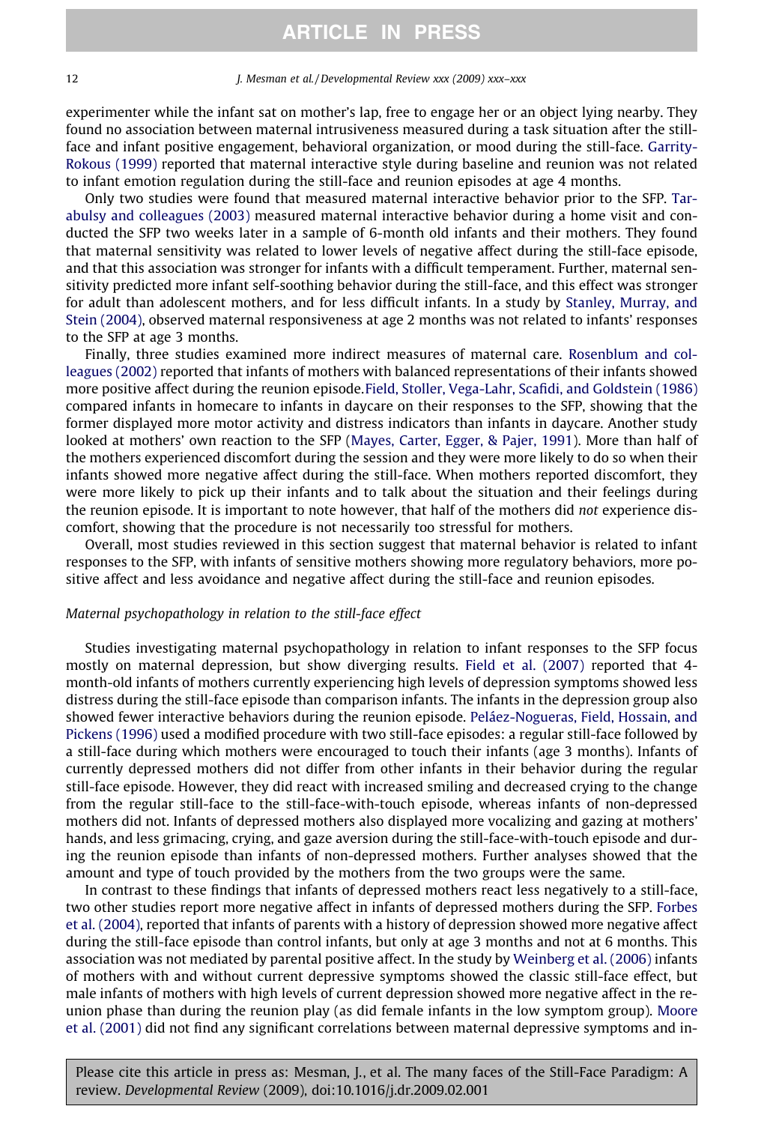#### 12 J. Mesman et al. / Developmental Review xxx (2009) xxx–xxx

experimenter while the infant sat on mother's lap, free to engage her or an object lying nearby. They found no association between maternal intrusiveness measured during a task situation after the stillface and infant positive engagement, behavioral organization, or mood during the still-face. [Garrity-](#page-40-0)[Rokous \(1999\)](#page-40-0) reported that maternal interactive style during baseline and reunion was not related to infant emotion regulation during the still-face and reunion episodes at age 4 months.

Only two studies were found that measured maternal interactive behavior prior to the SFP. [Tar](#page-42-0)[abulsy and colleagues \(2003\)](#page-42-0) measured maternal interactive behavior during a home visit and conducted the SFP two weeks later in a sample of 6-month old infants and their mothers. They found that maternal sensitivity was related to lower levels of negative affect during the still-face episode, and that this association was stronger for infants with a difficult temperament. Further, maternal sensitivity predicted more infant self-soothing behavior during the still-face, and this effect was stronger for adult than adolescent mothers, and for less difficult infants. In a study by [Stanley, Murray, and](#page-42-0) [Stein \(2004\),](#page-42-0) observed maternal responsiveness at age 2 months was not related to infants' responses to the SFP at age 3 months.

Finally, three studies examined more indirect measures of maternal care. [Rosenblum and col](#page-41-0)[leagues \(2002\)](#page-41-0) reported that infants of mothers with balanced representations of their infants showed more positive affect during the reunion episode.[Field, Stoller, Vega-Lahr, Scafidi, and Goldstein \(1986\)](#page-40-0) compared infants in homecare to infants in daycare on their responses to the SFP, showing that the former displayed more motor activity and distress indicators than infants in daycare. Another study looked at mothers' own reaction to the SFP ([Mayes, Carter, Egger, & Pajer, 1991\)](#page-41-0). More than half of the mothers experienced discomfort during the session and they were more likely to do so when their infants showed more negative affect during the still-face. When mothers reported discomfort, they were more likely to pick up their infants and to talk about the situation and their feelings during the reunion episode. It is important to note however, that half of the mothers did not experience discomfort, showing that the procedure is not necessarily too stressful for mothers.

Overall, most studies reviewed in this section suggest that maternal behavior is related to infant responses to the SFP, with infants of sensitive mothers showing more regulatory behaviors, more positive affect and less avoidance and negative affect during the still-face and reunion episodes.

## Maternal psychopathology in relation to the still-face effect

Studies investigating maternal psychopathology in relation to infant responses to the SFP focus mostly on maternal depression, but show diverging results. [Field et al. \(2007\)](#page-40-0) reported that 4 month-old infants of mothers currently experiencing high levels of depression symptoms showed less distress during the still-face episode than comparison infants. The infants in the depression group also showed fewer interactive behaviors during the reunion episode. [Peláez-Nogueras, Field, Hossain, and](#page-41-0) [Pickens \(1996\)](#page-41-0) used a modified procedure with two still-face episodes: a regular still-face followed by a still-face during which mothers were encouraged to touch their infants (age 3 months). Infants of currently depressed mothers did not differ from other infants in their behavior during the regular still-face episode. However, they did react with increased smiling and decreased crying to the change from the regular still-face to the still-face-with-touch episode, whereas infants of non-depressed mothers did not. Infants of depressed mothers also displayed more vocalizing and gazing at mothers' hands, and less grimacing, crying, and gaze aversion during the still-face-with-touch episode and during the reunion episode than infants of non-depressed mothers. Further analyses showed that the amount and type of touch provided by the mothers from the two groups were the same.

In contrast to these findings that infants of depressed mothers react less negatively to a still-face, two other studies report more negative affect in infants of depressed mothers during the SFP. [Forbes](#page-40-0) [et al. \(2004\),](#page-40-0) reported that infants of parents with a history of depression showed more negative affect during the still-face episode than control infants, but only at age 3 months and not at 6 months. This association was not mediated by parental positive affect. In the study by [Weinberg et al. \(2006\)](#page-42-0) infants of mothers with and without current depressive symptoms showed the classic still-face effect, but male infants of mothers with high levels of current depression showed more negative affect in the reunion phase than during the reunion play (as did female infants in the low symptom group). [Moore](#page-41-0) [et al. \(2001\)](#page-41-0) did not find any significant correlations between maternal depressive symptoms and in-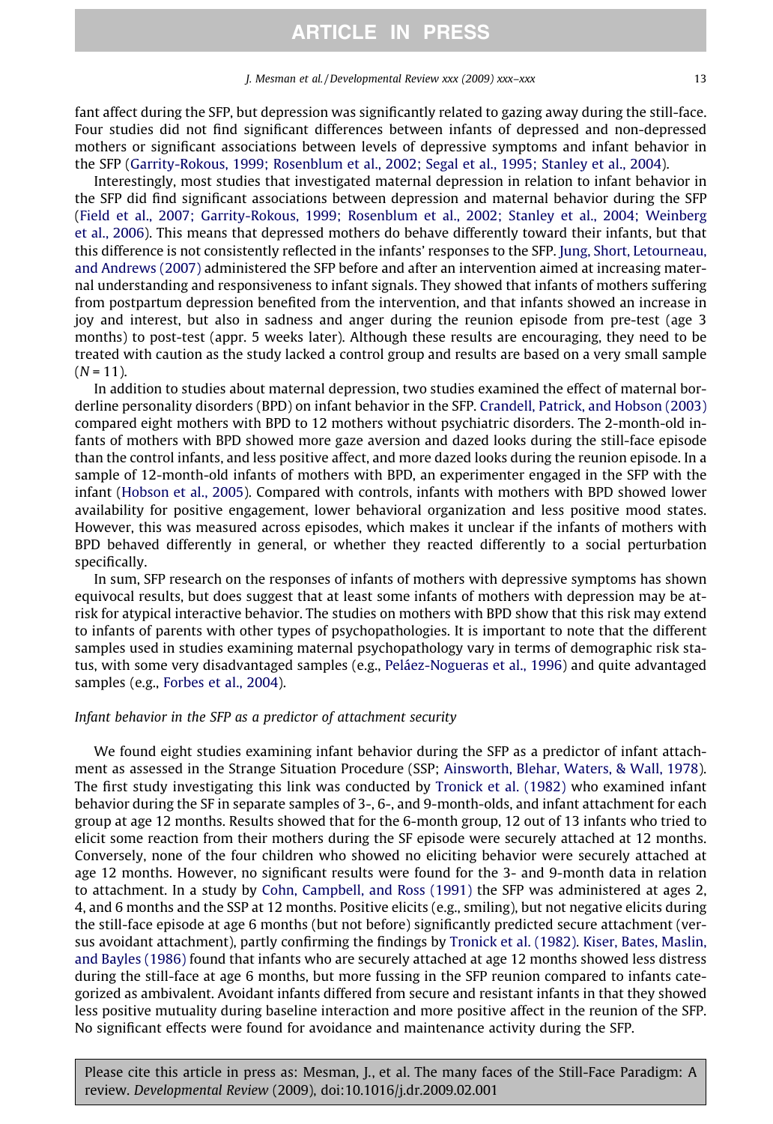### J. Mesman et al. / Developmental Review xxx (2009) xxx–xxx 13

fant affect during the SFP, but depression was significantly related to gazing away during the still-face. Four studies did not find significant differences between infants of depressed and non-depressed mothers or significant associations between levels of depressive symptoms and infant behavior in the SFP ([Garrity-Rokous, 1999; Rosenblum et al., 2002; Segal et al., 1995; Stanley et al., 2004](#page-40-0)).

Interestingly, most studies that investigated maternal depression in relation to infant behavior in the SFP did find significant associations between depression and maternal behavior during the SFP [\(Field et al., 2007; Garrity-Rokous, 1999; Rosenblum et al., 2002; Stanley et al., 2004; Weinberg](#page-40-0) [et al., 2006](#page-40-0)). This means that depressed mothers do behave differently toward their infants, but that this difference is not consistently reflected in the infants' responses to the SFP. [Jung, Short, Letourneau,](#page-40-0) [and Andrews \(2007\)](#page-40-0) administered the SFP before and after an intervention aimed at increasing maternal understanding and responsiveness to infant signals. They showed that infants of mothers suffering from postpartum depression benefited from the intervention, and that infants showed an increase in joy and interest, but also in sadness and anger during the reunion episode from pre-test (age 3 months) to post-test (appr. 5 weeks later). Although these results are encouraging, they need to be treated with caution as the study lacked a control group and results are based on a very small sample  $(N = 11)$ .

In addition to studies about maternal depression, two studies examined the effect of maternal borderline personality disorders (BPD) on infant behavior in the SFP. [Crandell, Patrick, and Hobson \(2003\)](#page-39-0) compared eight mothers with BPD to 12 mothers without psychiatric disorders. The 2-month-old infants of mothers with BPD showed more gaze aversion and dazed looks during the still-face episode than the control infants, and less positive affect, and more dazed looks during the reunion episode. In a sample of 12-month-old infants of mothers with BPD, an experimenter engaged in the SFP with the infant ([Hobson et al., 2005\)](#page-40-0). Compared with controls, infants with mothers with BPD showed lower availability for positive engagement, lower behavioral organization and less positive mood states. However, this was measured across episodes, which makes it unclear if the infants of mothers with BPD behaved differently in general, or whether they reacted differently to a social perturbation specifically.

In sum, SFP research on the responses of infants of mothers with depressive symptoms has shown equivocal results, but does suggest that at least some infants of mothers with depression may be atrisk for atypical interactive behavior. The studies on mothers with BPD show that this risk may extend to infants of parents with other types of psychopathologies. It is important to note that the different samples used in studies examining maternal psychopathology vary in terms of demographic risk status, with some very disadvantaged samples (e.g., [Peláez-Nogueras et al., 1996](#page-41-0)) and quite advantaged samples (e.g., [Forbes et al., 2004](#page-40-0)).

## Infant behavior in the SFP as a predictor of attachment security

We found eight studies examining infant behavior during the SFP as a predictor of infant attachment as assessed in the Strange Situation Procedure (SSP; [Ainsworth, Blehar, Waters, & Wall, 1978\)](#page-38-0). The first study investigating this link was conducted by [Tronick et al. \(1982\)](#page-42-0) who examined infant behavior during the SF in separate samples of 3-, 6-, and 9-month-olds, and infant attachment for each group at age 12 months. Results showed that for the 6-month group, 12 out of 13 infants who tried to elicit some reaction from their mothers during the SF episode were securely attached at 12 months. Conversely, none of the four children who showed no eliciting behavior were securely attached at age 12 months. However, no significant results were found for the 3- and 9-month data in relation to attachment. In a study by [Cohn, Campbell, and Ross \(1991\)](#page-39-0) the SFP was administered at ages 2, 4, and 6 months and the SSP at 12 months. Positive elicits (e.g., smiling), but not negative elicits during the still-face episode at age 6 months (but not before) significantly predicted secure attachment (versus avoidant attachment), partly confirming the findings by [Tronick et al. \(1982\).](#page-42-0) [Kiser, Bates, Maslin,](#page-40-0) [and Bayles \(1986\)](#page-40-0) found that infants who are securely attached at age 12 months showed less distress during the still-face at age 6 months, but more fussing in the SFP reunion compared to infants categorized as ambivalent. Avoidant infants differed from secure and resistant infants in that they showed less positive mutuality during baseline interaction and more positive affect in the reunion of the SFP. No significant effects were found for avoidance and maintenance activity during the SFP.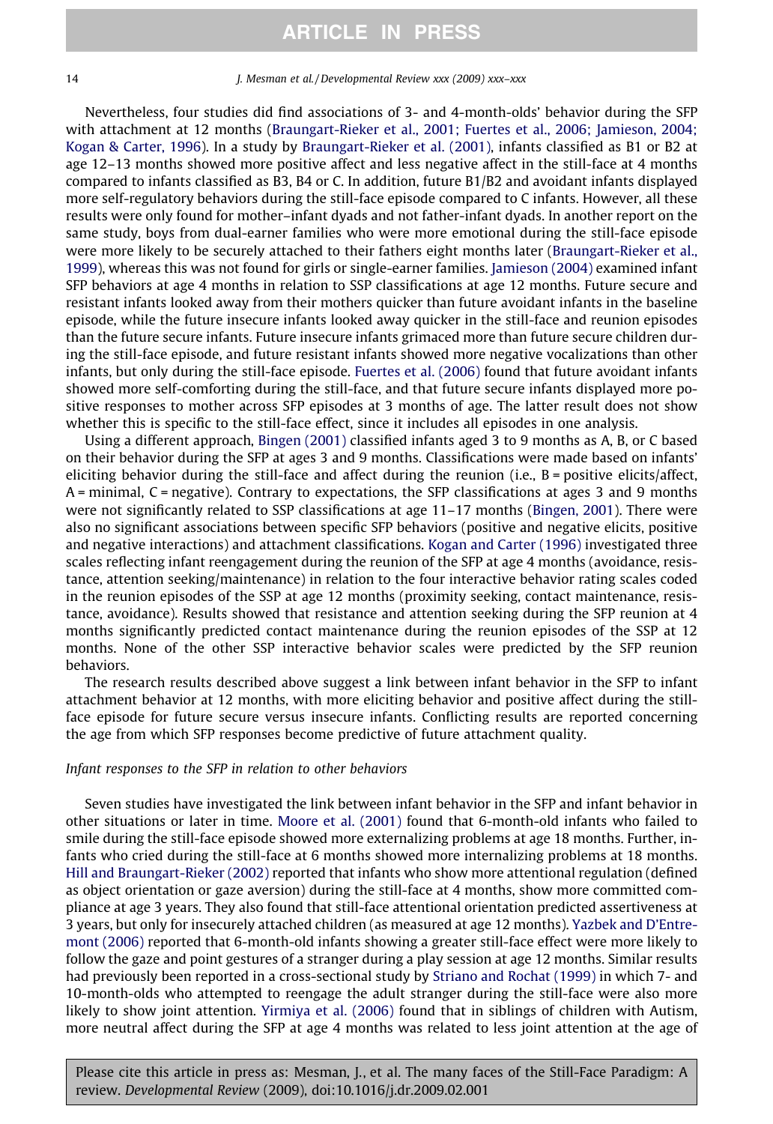#### 14 J. Mesman et al. / Developmental Review xxx (2009) xxx–xxx

Nevertheless, four studies did find associations of 3- and 4-month-olds' behavior during the SFP with attachment at 12 months ([Braungart-Rieker et al., 2001; Fuertes et al., 2006; Jamieson, 2004;](#page-39-0) [Kogan & Carter, 1996\)](#page-39-0). In a study by [Braungart-Rieker et al. \(2001\)](#page-39-0), infants classified as B1 or B2 at age 12–13 months showed more positive affect and less negative affect in the still-face at 4 months compared to infants classified as B3, B4 or C. In addition, future B1/B2 and avoidant infants displayed more self-regulatory behaviors during the still-face episode compared to C infants. However, all these results were only found for mother–infant dyads and not father-infant dyads. In another report on the same study, boys from dual-earner families who were more emotional during the still-face episode were more likely to be securely attached to their fathers eight months later ([Braungart-Rieker et al.,](#page-39-0) [1999\)](#page-39-0), whereas this was not found for girls or single-earner families. [Jamieson \(2004\)](#page-40-0) examined infant SFP behaviors at age 4 months in relation to SSP classifications at age 12 months. Future secure and resistant infants looked away from their mothers quicker than future avoidant infants in the baseline episode, while the future insecure infants looked away quicker in the still-face and reunion episodes than the future secure infants. Future insecure infants grimaced more than future secure children during the still-face episode, and future resistant infants showed more negative vocalizations than other infants, but only during the still-face episode. [Fuertes et al. \(2006\)](#page-40-0) found that future avoidant infants showed more self-comforting during the still-face, and that future secure infants displayed more positive responses to mother across SFP episodes at 3 months of age. The latter result does not show whether this is specific to the still-face effect, since it includes all episodes in one analysis.

Using a different approach, [Bingen \(2001\)](#page-39-0) classified infants aged 3 to 9 months as A, B, or C based on their behavior during the SFP at ages 3 and 9 months. Classifications were made based on infants' eliciting behavior during the still-face and affect during the reunion (i.e.,  $B =$  positive elicits/affect, A = minimal, C = negative). Contrary to expectations, the SFP classifications at ages 3 and 9 months were not significantly related to SSP classifications at age 11–17 months ([Bingen, 2001\)](#page-39-0). There were also no significant associations between specific SFP behaviors (positive and negative elicits, positive and negative interactions) and attachment classifications. [Kogan and Carter \(1996\)](#page-41-0) investigated three scales reflecting infant reengagement during the reunion of the SFP at age 4 months (avoidance, resistance, attention seeking/maintenance) in relation to the four interactive behavior rating scales coded in the reunion episodes of the SSP at age 12 months (proximity seeking, contact maintenance, resistance, avoidance). Results showed that resistance and attention seeking during the SFP reunion at 4 months significantly predicted contact maintenance during the reunion episodes of the SSP at 12 months. None of the other SSP interactive behavior scales were predicted by the SFP reunion behaviors.

The research results described above suggest a link between infant behavior in the SFP to infant attachment behavior at 12 months, with more eliciting behavior and positive affect during the stillface episode for future secure versus insecure infants. Conflicting results are reported concerning the age from which SFP responses become predictive of future attachment quality.

### Infant responses to the SFP in relation to other behaviors

Seven studies have investigated the link between infant behavior in the SFP and infant behavior in other situations or later in time. [Moore et al. \(2001\)](#page-41-0) found that 6-month-old infants who failed to smile during the still-face episode showed more externalizing problems at age 18 months. Further, infants who cried during the still-face at 6 months showed more internalizing problems at 18 months. [Hill and Braungart-Rieker \(2002\)](#page-40-0) reported that infants who show more attentional regulation (defined as object orientation or gaze aversion) during the still-face at 4 months, show more committed compliance at age 3 years. They also found that still-face attentional orientation predicted assertiveness at 3 years, but only for insecurely attached children (as measured at age 12 months). [Yazbek and D'Entre](#page-42-0)[mont \(2006\)](#page-42-0) reported that 6-month-old infants showing a greater still-face effect were more likely to follow the gaze and point gestures of a stranger during a play session at age 12 months. Similar results had previously been reported in a cross-sectional study by [Striano and Rochat \(1999\)](#page-42-0) in which 7- and 10-month-olds who attempted to reengage the adult stranger during the still-face were also more likely to show joint attention. [Yirmiya et al. \(2006\)](#page-42-0) found that in siblings of children with Autism, more neutral affect during the SFP at age 4 months was related to less joint attention at the age of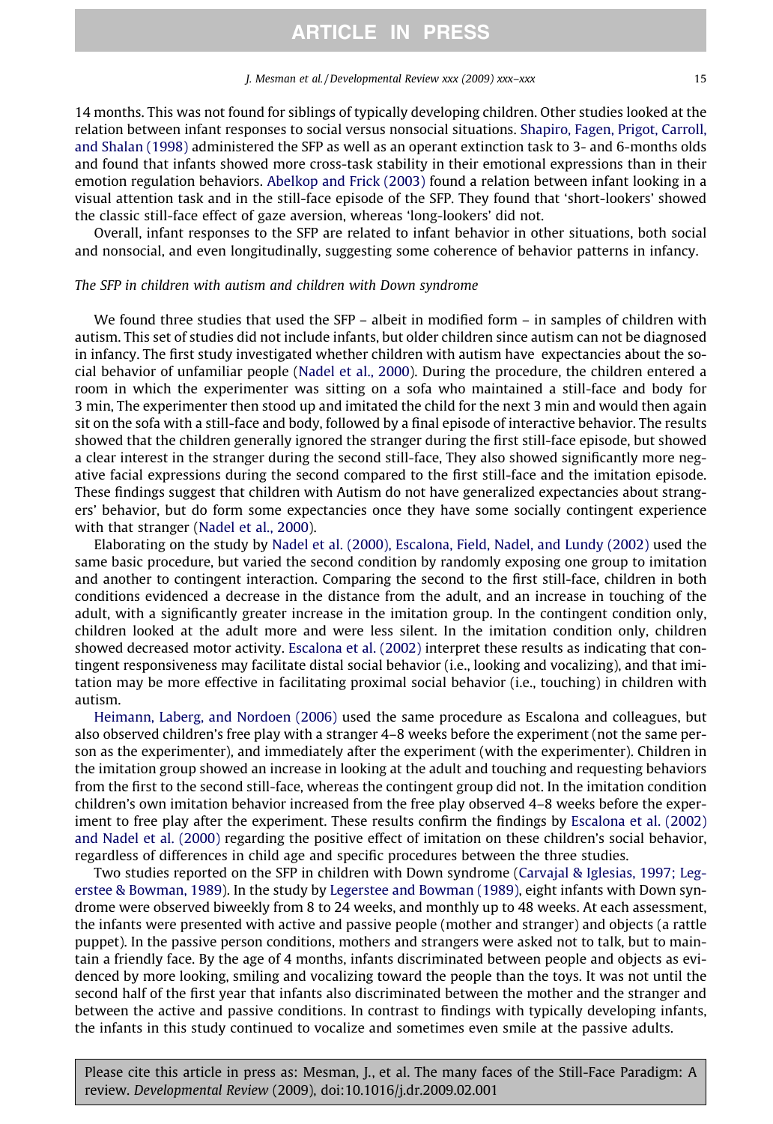14 months. This was not found for siblings of typically developing children. Other studies looked at the relation between infant responses to social versus nonsocial situations. [Shapiro, Fagen, Prigot, Carroll,](#page-41-0) [and Shalan \(1998\)](#page-41-0) administered the SFP as well as an operant extinction task to 3- and 6-months olds and found that infants showed more cross-task stability in their emotional expressions than in their emotion regulation behaviors. [Abelkop and Frick \(2003\)](#page-38-0) found a relation between infant looking in a visual attention task and in the still-face episode of the SFP. They found that 'short-lookers' showed the classic still-face effect of gaze aversion, whereas 'long-lookers' did not.

Overall, infant responses to the SFP are related to infant behavior in other situations, both social and nonsocial, and even longitudinally, suggesting some coherence of behavior patterns in infancy.

## The SFP in children with autism and children with Down syndrome

We found three studies that used the SFP – albeit in modified form – in samples of children with autism. This set of studies did not include infants, but older children since autism can not be diagnosed in infancy. The first study investigated whether children with autism have expectancies about the social behavior of unfamiliar people ([Nadel et al., 2000\)](#page-41-0). During the procedure, the children entered a room in which the experimenter was sitting on a sofa who maintained a still-face and body for 3 min, The experimenter then stood up and imitated the child for the next 3 min and would then again sit on the sofa with a still-face and body, followed by a final episode of interactive behavior. The results showed that the children generally ignored the stranger during the first still-face episode, but showed a clear interest in the stranger during the second still-face, They also showed significantly more negative facial expressions during the second compared to the first still-face and the imitation episode. These findings suggest that children with Autism do not have generalized expectancies about strangers' behavior, but do form some expectancies once they have some socially contingent experience with that stranger [\(Nadel et al., 2000\)](#page-41-0).

Elaborating on the study by [Nadel et al. \(2000\), Escalona, Field, Nadel, and Lundy \(2002\)](#page-41-0) used the same basic procedure, but varied the second condition by randomly exposing one group to imitation and another to contingent interaction. Comparing the second to the first still-face, children in both conditions evidenced a decrease in the distance from the adult, and an increase in touching of the adult, with a significantly greater increase in the imitation group. In the contingent condition only, children looked at the adult more and were less silent. In the imitation condition only, children showed decreased motor activity. [Escalona et al. \(2002\)](#page-39-0) interpret these results as indicating that contingent responsiveness may facilitate distal social behavior (i.e., looking and vocalizing), and that imitation may be more effective in facilitating proximal social behavior (i.e., touching) in children with autism.

[Heimann, Laberg, and Nordoen \(2006\)](#page-40-0) used the same procedure as Escalona and colleagues, but also observed children's free play with a stranger 4–8 weeks before the experiment (not the same person as the experimenter), and immediately after the experiment (with the experimenter). Children in the imitation group showed an increase in looking at the adult and touching and requesting behaviors from the first to the second still-face, whereas the contingent group did not. In the imitation condition children's own imitation behavior increased from the free play observed 4–8 weeks before the experiment to free play after the experiment. These results confirm the findings by [Escalona et al. \(2002\)](#page-39-0) [and Nadel et al. \(2000\)](#page-39-0) regarding the positive effect of imitation on these children's social behavior, regardless of differences in child age and specific procedures between the three studies.

Two studies reported on the SFP in children with Down syndrome [\(Carvajal & Iglesias, 1997; Leg](#page-39-0)[erstee & Bowman, 1989](#page-39-0)). In the study by [Legerstee and Bowman \(1989\)](#page-41-0), eight infants with Down syndrome were observed biweekly from 8 to 24 weeks, and monthly up to 48 weeks. At each assessment, the infants were presented with active and passive people (mother and stranger) and objects (a rattle puppet). In the passive person conditions, mothers and strangers were asked not to talk, but to maintain a friendly face. By the age of 4 months, infants discriminated between people and objects as evidenced by more looking, smiling and vocalizing toward the people than the toys. It was not until the second half of the first year that infants also discriminated between the mother and the stranger and between the active and passive conditions. In contrast to findings with typically developing infants, the infants in this study continued to vocalize and sometimes even smile at the passive adults.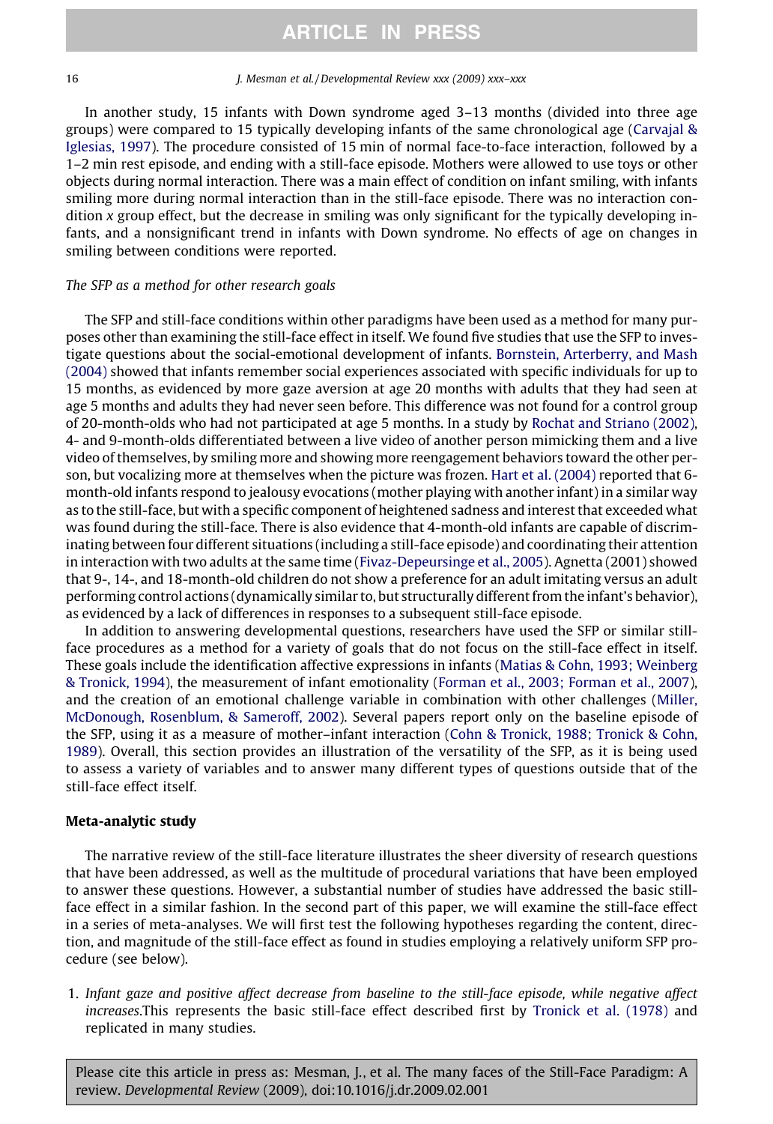#### 16 J. Mesman et al. / Developmental Review xxx (2009) xxx–xxx

In another study, 15 infants with Down syndrome aged 3–13 months (divided into three age groups) were compared to 15 typically developing infants of the same chronological age ([Carvajal &](#page-39-0) [Iglesias, 1997\)](#page-39-0). The procedure consisted of 15 min of normal face-to-face interaction, followed by a 1–2 min rest episode, and ending with a still-face episode. Mothers were allowed to use toys or other objects during normal interaction. There was a main effect of condition on infant smiling, with infants smiling more during normal interaction than in the still-face episode. There was no interaction condition x group effect, but the decrease in smiling was only significant for the typically developing infants, and a nonsignificant trend in infants with Down syndrome. No effects of age on changes in smiling between conditions were reported.

## The SFP as a method for other research goals

The SFP and still-face conditions within other paradigms have been used as a method for many purposes other than examining the still-face effect in itself. We found five studies that use the SFP to investigate questions about the social-emotional development of infants. [Bornstein, Arterberry, and Mash](#page-39-0) [\(2004\)](#page-39-0) showed that infants remember social experiences associated with specific individuals for up to 15 months, as evidenced by more gaze aversion at age 20 months with adults that they had seen at age 5 months and adults they had never seen before. This difference was not found for a control group of 20-month-olds who had not participated at age 5 months. In a study by [Rochat and Striano \(2002\)](#page-41-0), 4- and 9-month-olds differentiated between a live video of another person mimicking them and a live video of themselves, by smiling more and showing more reengagement behaviors toward the other per-son, but vocalizing more at themselves when the picture was frozen. [Hart et al. \(2004\)](#page-40-0) reported that 6month-old infants respond to jealousy evocations (mother playing with another infant) in a similar way as to the still-face, but with a specific component of heightened sadness and interest that exceeded what was found during the still-face. There is also evidence that 4-month-old infants are capable of discriminating between four different situations (including a still-face episode) and coordinating their attention in interaction with two adults at the same time ([Fivaz-Depeursinge et al., 2005](#page-40-0)). Agnetta (2001) showed that 9-, 14-, and 18-month-old children do not show a preference for an adult imitating versus an adult performing control actions (dynamically similar to, but structurally different from the infant's behavior), as evidenced by a lack of differences in responses to a subsequent still-face episode.

In addition to answering developmental questions, researchers have used the SFP or similar stillface procedures as a method for a variety of goals that do not focus on the still-face effect in itself. These goals include the identification affective expressions in infants ([Matias & Cohn, 1993; Weinberg](#page-41-0) [& Tronick, 1994\)](#page-41-0), the measurement of infant emotionality [\(Forman et al., 2003; Forman et al., 2007\)](#page-40-0), and the creation of an emotional challenge variable in combination with other challenges ([Miller,](#page-41-0) [McDonough, Rosenblum, & Sameroff, 2002](#page-41-0)). Several papers report only on the baseline episode of the SFP, using it as a measure of mother–infant interaction ([Cohn & Tronick, 1988; Tronick & Cohn,](#page-39-0) [1989\)](#page-39-0). Overall, this section provides an illustration of the versatility of the SFP, as it is being used to assess a variety of variables and to answer many different types of questions outside that of the still-face effect itself.

### Meta-analytic study

The narrative review of the still-face literature illustrates the sheer diversity of research questions that have been addressed, as well as the multitude of procedural variations that have been employed to answer these questions. However, a substantial number of studies have addressed the basic stillface effect in a similar fashion. In the second part of this paper, we will examine the still-face effect in a series of meta-analyses. We will first test the following hypotheses regarding the content, direction, and magnitude of the still-face effect as found in studies employing a relatively uniform SFP procedure (see below).

1. Infant gaze and positive affect decrease from baseline to the still-face episode, while negative affect increases.This represents the basic still-face effect described first by [Tronick et al. \(1978\)](#page-42-0) and replicated in many studies.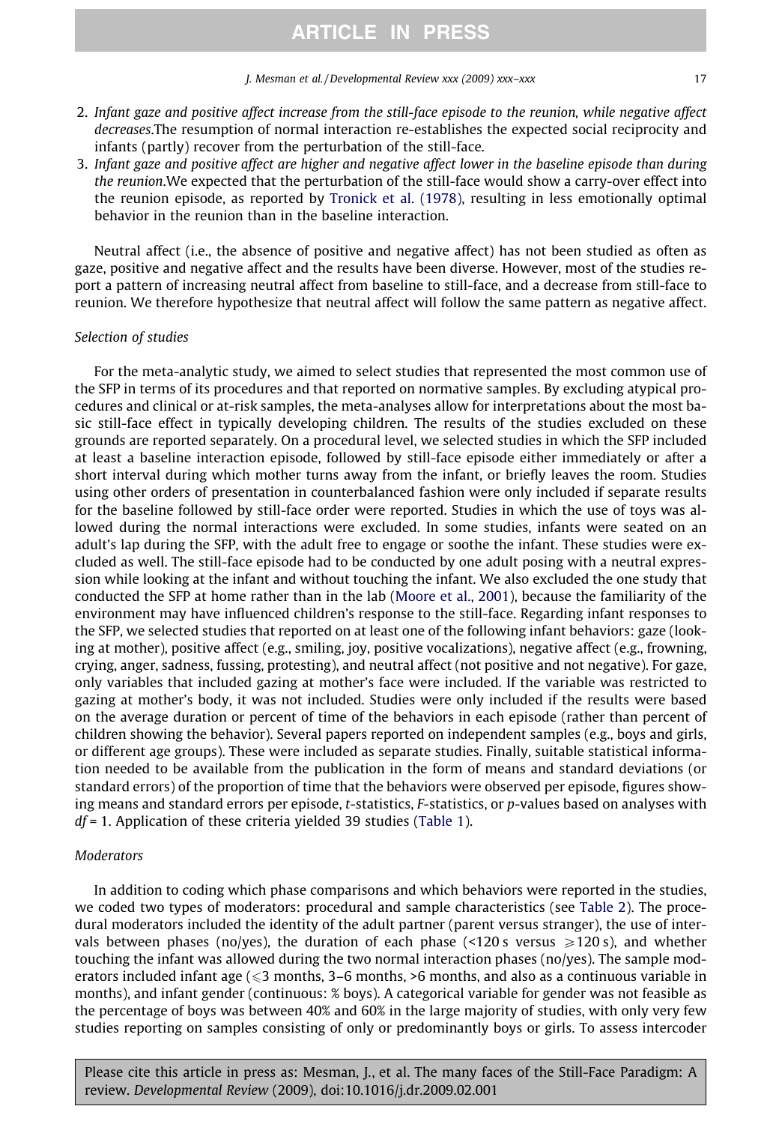- 2. Infant gaze and positive affect increase from the still-face episode to the reunion, while negative affect decreases.The resumption of normal interaction re-establishes the expected social reciprocity and infants (partly) recover from the perturbation of the still-face.
- 3. Infant gaze and positive affect are higher and negative affect lower in the baseline episode than during the reunion.We expected that the perturbation of the still-face would show a carry-over effect into the reunion episode, as reported by [Tronick et al. \(1978\),](#page-42-0) resulting in less emotionally optimal behavior in the reunion than in the baseline interaction.

Neutral affect (i.e., the absence of positive and negative affect) has not been studied as often as gaze, positive and negative affect and the results have been diverse. However, most of the studies report a pattern of increasing neutral affect from baseline to still-face, and a decrease from still-face to reunion. We therefore hypothesize that neutral affect will follow the same pattern as negative affect.

## Selection of studies

For the meta-analytic study, we aimed to select studies that represented the most common use of the SFP in terms of its procedures and that reported on normative samples. By excluding atypical procedures and clinical or at-risk samples, the meta-analyses allow for interpretations about the most basic still-face effect in typically developing children. The results of the studies excluded on these grounds are reported separately. On a procedural level, we selected studies in which the SFP included at least a baseline interaction episode, followed by still-face episode either immediately or after a short interval during which mother turns away from the infant, or briefly leaves the room. Studies using other orders of presentation in counterbalanced fashion were only included if separate results for the baseline followed by still-face order were reported. Studies in which the use of toys was allowed during the normal interactions were excluded. In some studies, infants were seated on an adult's lap during the SFP, with the adult free to engage or soothe the infant. These studies were excluded as well. The still-face episode had to be conducted by one adult posing with a neutral expression while looking at the infant and without touching the infant. We also excluded the one study that conducted the SFP at home rather than in the lab [\(Moore et al., 2001\)](#page-41-0), because the familiarity of the environment may have influenced children's response to the still-face. Regarding infant responses to the SFP, we selected studies that reported on at least one of the following infant behaviors: gaze (looking at mother), positive affect (e.g., smiling, joy, positive vocalizations), negative affect (e.g., frowning, crying, anger, sadness, fussing, protesting), and neutral affect (not positive and not negative). For gaze, only variables that included gazing at mother's face were included. If the variable was restricted to gazing at mother's body, it was not included. Studies were only included if the results were based on the average duration or percent of time of the behaviors in each episode (rather than percent of children showing the behavior). Several papers reported on independent samples (e.g., boys and girls, or different age groups). These were included as separate studies. Finally, suitable statistical information needed to be available from the publication in the form of means and standard deviations (or standard errors) of the proportion of time that the behaviors were observed per episode, figures showing means and standard errors per episode, t-statistics, F-statistics, or p-values based on analyses with  $df = 1$ . Application of these criteria yielded 39 studies ([Table 1](#page-17-0)).

## **Moderators**

In addition to coding which phase comparisons and which behaviors were reported in the studies, we coded two types of moderators: procedural and sample characteristics (see [Table 2](#page-18-0)). The procedural moderators included the identity of the adult partner (parent versus stranger), the use of intervals between phases (no/yes), the duration of each phase (<120 s versus  $\geq 120$  s), and whether touching the infant was allowed during the two normal interaction phases (no/yes). The sample moderators included infant age ( $\leq$ 3 months, 3–6 months, >6 months, and also as a continuous variable in months), and infant gender (continuous: % boys). A categorical variable for gender was not feasible as the percentage of boys was between 40% and 60% in the large majority of studies, with only very few studies reporting on samples consisting of only or predominantly boys or girls. To assess intercoder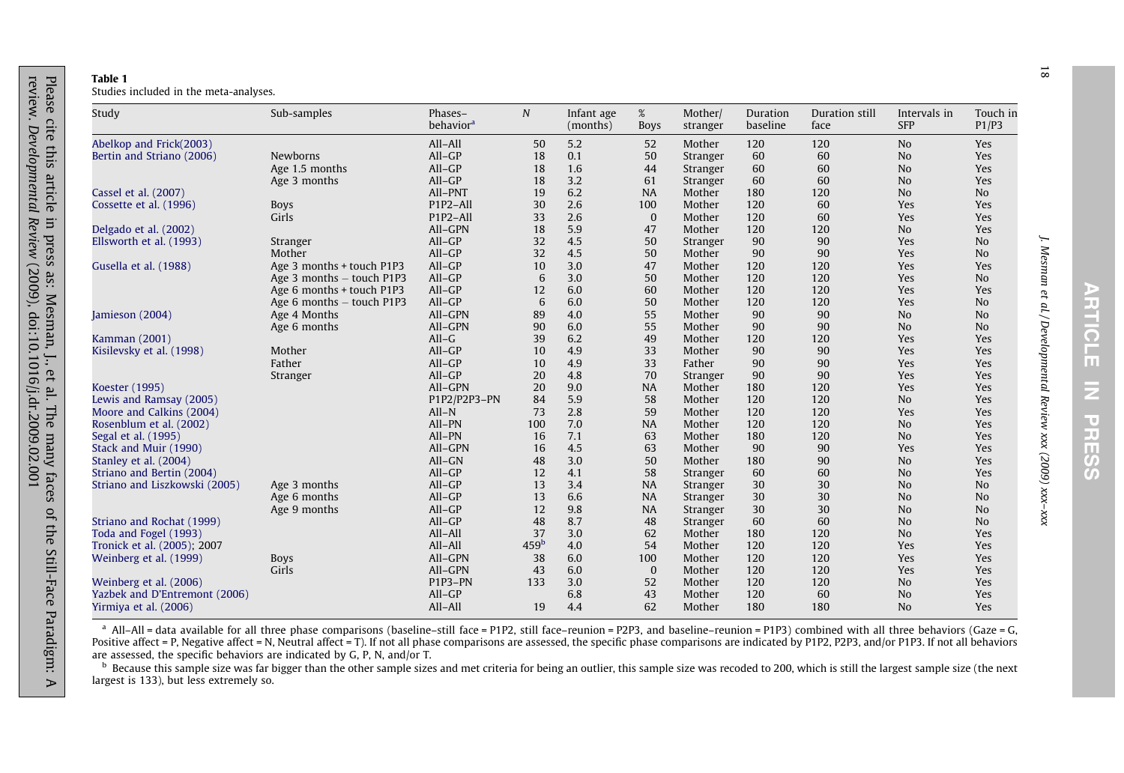| Table 1                                |
|----------------------------------------|
| Studies included in the meta-analyses. |

| Study                         | Sub-samples               | Phases-<br>behavior <sup>a</sup> | $\boldsymbol{N}$ | Infant age<br>(months) | $\%$<br><b>Boys</b> | Mother/<br>stranger | Duration<br>baseline | Duration still<br>face | Intervals in<br>SFP | Touch ir<br>P1/P3 |
|-------------------------------|---------------------------|----------------------------------|------------------|------------------------|---------------------|---------------------|----------------------|------------------------|---------------------|-------------------|
| Abelkop and Frick(2003)       |                           | All-All                          | 50               | 5.2                    | 52                  | Mother              | 120                  | 120                    | No                  | Yes               |
| Bertin and Striano (2006)     | Newborns                  | $All-GP$                         | 18               | 0.1                    | 50                  | Stranger            | 60                   | 60                     | N <sub>o</sub>      | Yes               |
|                               | Age 1.5 months            | $All-GP$                         | 18               | 1.6                    | 44                  | Stranger            | 60                   | 60                     | N <sub>o</sub>      | Yes               |
|                               | Age 3 months              | All-GP                           | 18               | 3.2                    | 61                  | Stranger            | 60                   | 60                     | No                  | Yes               |
| Cassel et al. (2007)          |                           | All-PNT                          | 19               | 6.2                    | <b>NA</b>           | Mother              | 180                  | 120                    | No                  | No                |
| Cossette et al. (1996)        | <b>Boys</b>               | P1P2-All                         | 30               | 2.6                    | 100                 | Mother              | 120                  | 60                     | Yes                 | Yes               |
|                               | Girls                     | P1P2-All                         | 33               | 2.6                    | $\bf{0}$            | Mother              | 120                  | 60                     | Yes                 | Yes               |
| Delgado et al. (2002)         |                           | All-GPN                          | 18               | 5.9                    | 47                  | Mother              | 120                  | 120                    | No                  | Yes               |
| Ellsworth et al. (1993)       | Stranger                  | $All-GP$                         | 32               | 4.5                    | 50                  | Stranger            | 90                   | 90                     | Yes                 | No                |
|                               | Mother                    | $All-GP$                         | 32               | 4.5                    | 50                  | Mother              | 90                   | 90                     | Yes                 | N <sub>o</sub>    |
| Gusella et al. (1988)         | Age 3 months + touch P1P3 | All-GP                           | 10               | 3.0                    | 47                  | Mother              | 120                  | 120                    | Yes                 | Yes               |
|                               | Age 3 months - touch P1P3 | All-GP                           | 6                | 3.0                    | 50                  | Mother              | 120                  | 120                    | Yes                 | N <sub>o</sub>    |
|                               | Age 6 months + touch P1P3 | $All-GP$                         | 12               | 6.0                    | 60                  | Mother              | 120                  | 120                    | Yes                 | Yes               |
|                               | Age 6 months - touch P1P3 | $All-GP$                         | 6                | 6.0                    | 50                  | Mother              | 120                  | 120                    | Yes                 | N <sub>o</sub>    |
| Jamieson (2004)               | Age 4 Months              | All-GPN                          | 89               | 4.0                    | 55                  | Mother              | 90                   | 90                     | No                  | N <sub>o</sub>    |
|                               | Age 6 months              | All-GPN                          | 90               | 6.0                    | 55                  | Mother              | 90                   | 90                     | N <sub>o</sub>      | N <sub>o</sub>    |
| Kamman (2001)                 |                           | $All-G$                          | 39               | 6.2                    | 49                  | Mother              | 120                  | 120                    | Yes                 | Yes               |
| Kisilevsky et al. (1998)      | Mother                    | $All-GP$                         | 10               | 4.9                    | 33                  | Mother              | 90                   | 90                     | Yes                 | Yes               |
|                               | Father                    | $All-GP$                         | 10               | 4.9                    | 33                  | Father              | 90                   | 90                     | Yes                 | Yes               |
|                               | Stranger                  | $All-GP$                         | 20               | 4.8                    | 70                  | Stranger            | 90                   | 90                     | Yes                 | Yes               |
| Koester (1995)                |                           | $All-GPN$                        | 20               | 9.0                    | <b>NA</b>           | Mother              | 180                  | 120                    | Yes                 | Yes               |
| Lewis and Ramsay (2005)       |                           | P1P2/P2P3-PN                     | 84               | 5.9                    | 58                  | Mother              | 120                  | 120                    | N <sub>o</sub>      | Yes               |
| Moore and Calkins (2004)      |                           | $All-N$                          | 73               | 2.8                    | 59                  | Mother              | 120                  | 120                    | Yes                 | Yes               |
| Rosenblum et al. (2002)       |                           | All-PN                           | 100              | 7.0                    | <b>NA</b>           | Mother              | 120                  | 120                    | No                  | Yes               |
| Segal et al. (1995)           |                           | All-PN                           | 16               | 7.1                    | 63                  | Mother              | 180                  | 120                    | No                  | Yes               |
| Stack and Muir (1990)         |                           | All-GPN                          | 16               | 4.5                    | 63                  | Mother              | 90                   | 90                     | Yes                 | Yes               |
| Stanley et al. (2004)         |                           | $All-GN$                         | 48               | 3.0                    | 50                  | Mother              | 180                  | 90                     | No                  | Yes               |
| Striano and Bertin (2004)     |                           | $All-GP$                         | 12               | 4.1                    | 58                  | Stranger            | 60                   | 60                     | N <sub>o</sub>      | Yes               |
| Striano and Liszkowski (2005) | Age 3 months              | $All-GP$                         | 13               | 3.4                    | <b>NA</b>           | Stranger            | 30                   | 30                     | No                  | No                |
|                               | Age 6 months              | $All-GP$                         | 13               | 6.6                    | <b>NA</b>           | Stranger            | 30                   | 30                     | N <sub>o</sub>      | N <sub>o</sub>    |
|                               | Age 9 months              | $All-GP$                         | 12               | 9.8                    | <b>NA</b>           | Stranger            | 30                   | 30                     | No                  | N <sub>o</sub>    |
| Striano and Rochat (1999)     |                           | All-GP                           | 48               | 8.7                    | 48                  | Stranger            | 60                   | 60                     | No                  | N <sub>o</sub>    |
| Toda and Fogel (1993)         |                           | All-All                          | 37               | 3.0                    | 62                  | Mother              | 180                  | 120                    | No                  | Yes               |
| Tronick et al. (2005); 2007   |                           | All-All                          | 459 <sup>b</sup> | 4.0                    | 54                  | Mother              | 120                  | 120                    | Yes                 | Yes               |
| Weinberg et al. (1999)        | <b>Boys</b>               | All-GPN                          | 38               | 6.0                    | 100                 | Mother              | 120                  | 120                    | Yes                 | Yes               |
|                               | Girls                     | All-GPN                          | 43               | 6.0                    | $\mathbf{0}$        | Mother              | 120                  | 120                    | Yes                 | Yes               |
|                               |                           | P1P3-PN                          | 133              | 3.0                    | 52                  | Mother              | 120                  | 120                    | No                  | Yes               |
| Weinberg et al. (2006)        |                           | $All-GP$                         |                  | 6.8                    | 43                  | Mother              | 120                  | 60                     | N <sub>o</sub>      | Yes               |
| Yazbek and D'Entremont (2006) |                           |                                  |                  |                        | 62                  |                     |                      |                        |                     |                   |
| Yirmiya et al. (2006)         |                           | All-All                          | 19               | 4.4                    |                     | Mother              | 180                  | 180                    | N <sub>o</sub>      | Yes               |

a All-All = data available for all three phase comparisons (baseline–still face = P1P2, still face–reunion = P2P3, and baseline–reunion = P1P3) combined with all three behaviors (Gaze = G و All-All = data available for all are assessed, the specific behaviors are indicated by G, P, N, and/or T.

 $^{\rm b}$  Because this sample size was far bigger than the other sample sizes and met criteria for being an outlier, this sample size was recoded to 200, which is still the largest sample size (the next largest is 133), but less extremely so.

J. Mesman et al. / Developmental Review xxx (2009) xxx–xxx

J. Mesman et al./Developmental Review xxx (2009) xxx-xxx

<span id="page-17-0"></span>Please cite this article in press as: Mesman, J., et al. The many faces of the Still-Face Paradigm:<br>review. Developmental Review (2009), doi:10.1016/j.dr.2009.02.001 Please cite this article in press as: Mesman, J., et al. The many faces of the Still-Face Paradigm: A Developmental Review

(2009), doi:10.1016/j.dr.2009.02.001

 $\triangleright$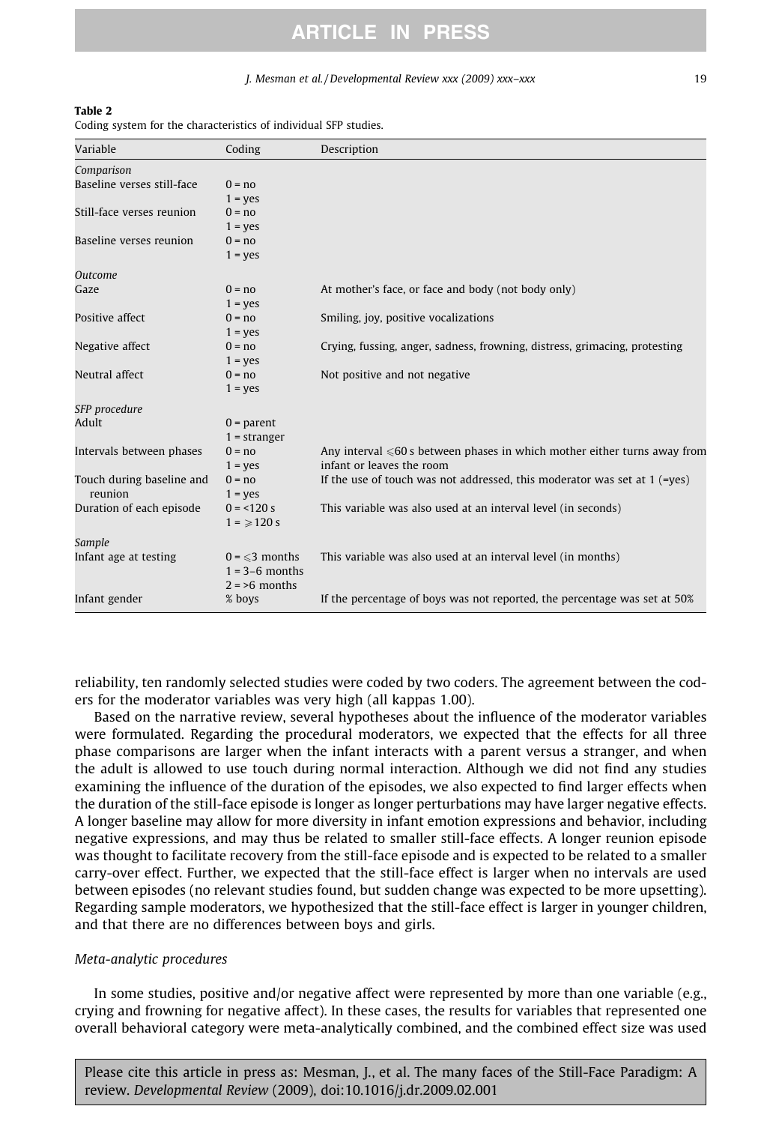### J. Mesman et al. / Developmental Review xxx (2009) xxx–xxx 19

#### <span id="page-18-0"></span>Table 2

| Coding system for the characteristics of individual SFP studies. |  |  |  |  |
|------------------------------------------------------------------|--|--|--|--|
|------------------------------------------------------------------|--|--|--|--|

| Variable                     | Coding              | Description                                                                    |
|------------------------------|---------------------|--------------------------------------------------------------------------------|
| Comparison                   |                     |                                                                                |
| Baseline verses still-face   | $0 = no$            |                                                                                |
|                              | $1 = yes$           |                                                                                |
| Still-face verses reunion    | $0 = no$            |                                                                                |
|                              | $1 = yes$           |                                                                                |
| Baseline verses reunion      | $0 = no$            |                                                                                |
|                              | $1 = yes$           |                                                                                |
| <i><u><b>Outcome</b></u></i> |                     |                                                                                |
| Gaze                         | $0 = no$            | At mother's face, or face and body (not body only)                             |
|                              | $1 = yes$           |                                                                                |
| Positive affect              | $0 = no$            | Smiling, joy, positive vocalizations                                           |
|                              | $1 = yes$           |                                                                                |
| Negative affect              | $0 = no$            | Crying, fussing, anger, sadness, frowning, distress, grimacing, protesting     |
|                              | $1 = yes$           |                                                                                |
| Neutral affect               | $0 = no$            | Not positive and not negative                                                  |
|                              | $1 = yes$           |                                                                                |
| SFP procedure                |                     |                                                                                |
| Adult                        | $0 =$ parent        |                                                                                |
|                              | $1 =$ stranger      |                                                                                |
| Intervals between phases     | $0 = no$            | Any interval $\leq 60$ s between phases in which mother either turns away from |
|                              | $1 = yes$           | infant or leaves the room                                                      |
| Touch during baseline and    | $0 = no$            | If the use of touch was not addressed, this moderator was set at $1$ (=yes)    |
| reunion                      | $1 = yes$           |                                                                                |
| Duration of each episode     | $0 = 120$ s         | This variable was also used at an interval level (in seconds)                  |
|                              | $1 = 120 s$         |                                                                                |
| Sample                       |                     |                                                                                |
| Infant age at testing        | $0 = \leq 3$ months | This variable was also used at an interval level (in months)                   |
|                              | $1 = 3-6$ months    |                                                                                |
|                              | $2 = 5$ months      |                                                                                |
| Infant gender                | % boys              | If the percentage of boys was not reported, the percentage was set at 50%      |

reliability, ten randomly selected studies were coded by two coders. The agreement between the coders for the moderator variables was very high (all kappas 1.00).

Based on the narrative review, several hypotheses about the influence of the moderator variables were formulated. Regarding the procedural moderators, we expected that the effects for all three phase comparisons are larger when the infant interacts with a parent versus a stranger, and when the adult is allowed to use touch during normal interaction. Although we did not find any studies examining the influence of the duration of the episodes, we also expected to find larger effects when the duration of the still-face episode is longer as longer perturbations may have larger negative effects. A longer baseline may allow for more diversity in infant emotion expressions and behavior, including negative expressions, and may thus be related to smaller still-face effects. A longer reunion episode was thought to facilitate recovery from the still-face episode and is expected to be related to a smaller carry-over effect. Further, we expected that the still-face effect is larger when no intervals are used between episodes (no relevant studies found, but sudden change was expected to be more upsetting). Regarding sample moderators, we hypothesized that the still-face effect is larger in younger children, and that there are no differences between boys and girls.

## Meta-analytic procedures

In some studies, positive and/or negative affect were represented by more than one variable (e.g., crying and frowning for negative affect). In these cases, the results for variables that represented one overall behavioral category were meta-analytically combined, and the combined effect size was used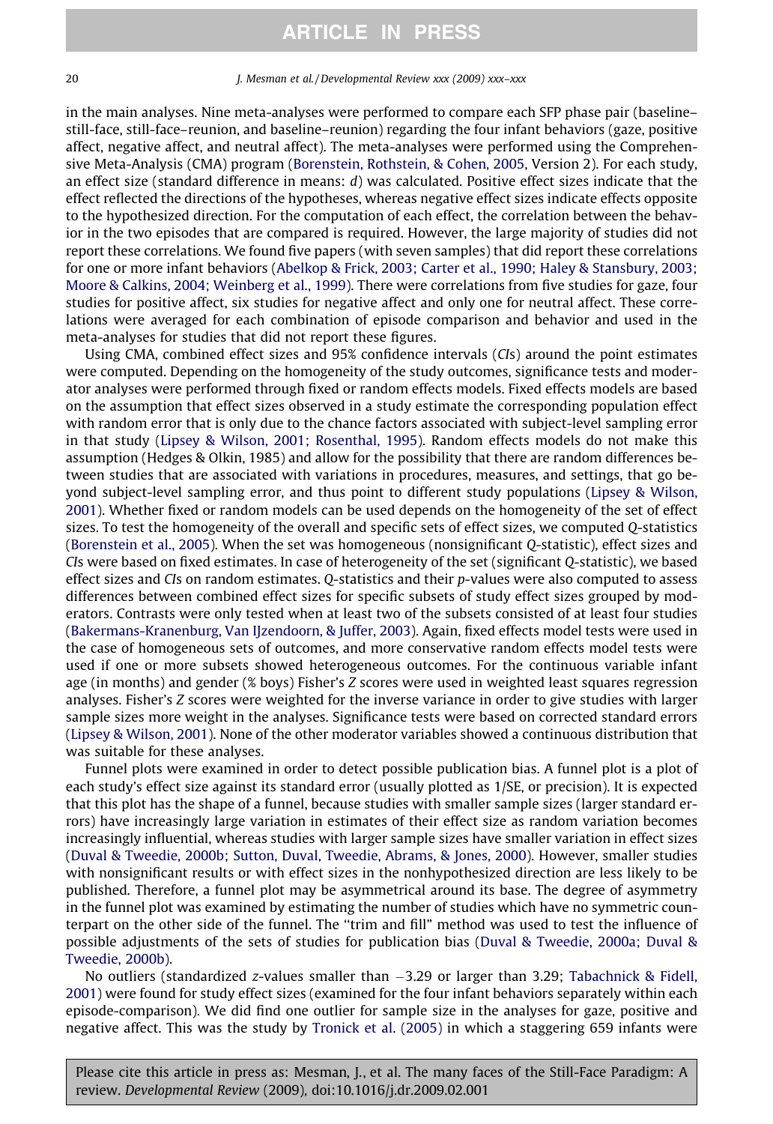in the main analyses. Nine meta-analyses were performed to compare each SFP phase pair (baseline– still-face, still-face–reunion, and baseline–reunion) regarding the four infant behaviors (gaze, positive affect, negative affect, and neutral affect). The meta-analyses were performed using the Comprehensive Meta-Analysis (CMA) program ([Borenstein, Rothstein, & Cohen, 2005,](#page-39-0) Version 2). For each study, an effect size (standard difference in means: d) was calculated. Positive effect sizes indicate that the effect reflected the directions of the hypotheses, whereas negative effect sizes indicate effects opposite to the hypothesized direction. For the computation of each effect, the correlation between the behavior in the two episodes that are compared is required. However, the large majority of studies did not report these correlations. We found five papers (with seven samples) that did report these correlations for one or more infant behaviors ([Abelkop & Frick, 2003; Carter et al., 1990; Haley & Stansbury, 2003;](#page-38-0) [Moore & Calkins, 2004; Weinberg et al., 1999](#page-38-0)). There were correlations from five studies for gaze, four studies for positive affect, six studies for negative affect and only one for neutral affect. These correlations were averaged for each combination of episode comparison and behavior and used in the meta-analyses for studies that did not report these figures.

Using CMA, combined effect sizes and 95% confidence intervals (CIs) around the point estimates were computed. Depending on the homogeneity of the study outcomes, significance tests and moderator analyses were performed through fixed or random effects models. Fixed effects models are based on the assumption that effect sizes observed in a study estimate the corresponding population effect with random error that is only due to the chance factors associated with subject-level sampling error in that study [\(Lipsey & Wilson, 2001; Rosenthal, 1995\)](#page-41-0). Random effects models do not make this assumption (Hedges & Olkin, 1985) and allow for the possibility that there are random differences between studies that are associated with variations in procedures, measures, and settings, that go beyond subject-level sampling error, and thus point to different study populations ([Lipsey & Wilson,](#page-41-0) [2001\)](#page-41-0). Whether fixed or random models can be used depends on the homogeneity of the set of effect sizes. To test the homogeneity of the overall and specific sets of effect sizes, we computed Q-statistics ([Borenstein et al., 2005](#page-39-0)). When the set was homogeneous (nonsignificant Q-statistic), effect sizes and CIs were based on fixed estimates. In case of heterogeneity of the set (significant Q-statistic), we based effect sizes and CIs on random estimates. Q-statistics and their p-values were also computed to assess differences between combined effect sizes for specific subsets of study effect sizes grouped by moderators. Contrasts were only tested when at least two of the subsets consisted of at least four studies ([Bakermans-Kranenburg, Van IJzendoorn, & Juffer, 2003\)](#page-38-0). Again, fixed effects model tests were used in the case of homogeneous sets of outcomes, and more conservative random effects model tests were used if one or more subsets showed heterogeneous outcomes. For the continuous variable infant age (in months) and gender (% boys) Fisher's Z scores were used in weighted least squares regression analyses. Fisher's Z scores were weighted for the inverse variance in order to give studies with larger sample sizes more weight in the analyses. Significance tests were based on corrected standard errors ([Lipsey & Wilson, 2001](#page-41-0)). None of the other moderator variables showed a continuous distribution that was suitable for these analyses.

Funnel plots were examined in order to detect possible publication bias. A funnel plot is a plot of each study's effect size against its standard error (usually plotted as 1/SE, or precision). It is expected that this plot has the shape of a funnel, because studies with smaller sample sizes (larger standard errors) have increasingly large variation in estimates of their effect size as random variation becomes increasingly influential, whereas studies with larger sample sizes have smaller variation in effect sizes ([Duval & Tweedie, 2000b; Sutton, Duval, Tweedie, Abrams, & Jones, 2000\)](#page-39-0). However, smaller studies with nonsignificant results or with effect sizes in the nonhypothesized direction are less likely to be published. Therefore, a funnel plot may be asymmetrical around its base. The degree of asymmetry in the funnel plot was examined by estimating the number of studies which have no symmetric counterpart on the other side of the funnel. The ''trim and fill" method was used to test the influence of possible adjustments of the sets of studies for publication bias ([Duval & Tweedie, 2000a; Duval &](#page-39-0) [Tweedie, 2000b\)](#page-39-0).

No outliers (standardized z-values smaller than -3.29 or larger than 3.29; [Tabachnick & Fidell,](#page-42-0) [2001\)](#page-42-0) were found for study effect sizes (examined for the four infant behaviors separately within each episode-comparison). We did find one outlier for sample size in the analyses for gaze, positive and negative affect. This was the study by [Tronick et al. \(2005\)](#page-42-0) in which a staggering 659 infants were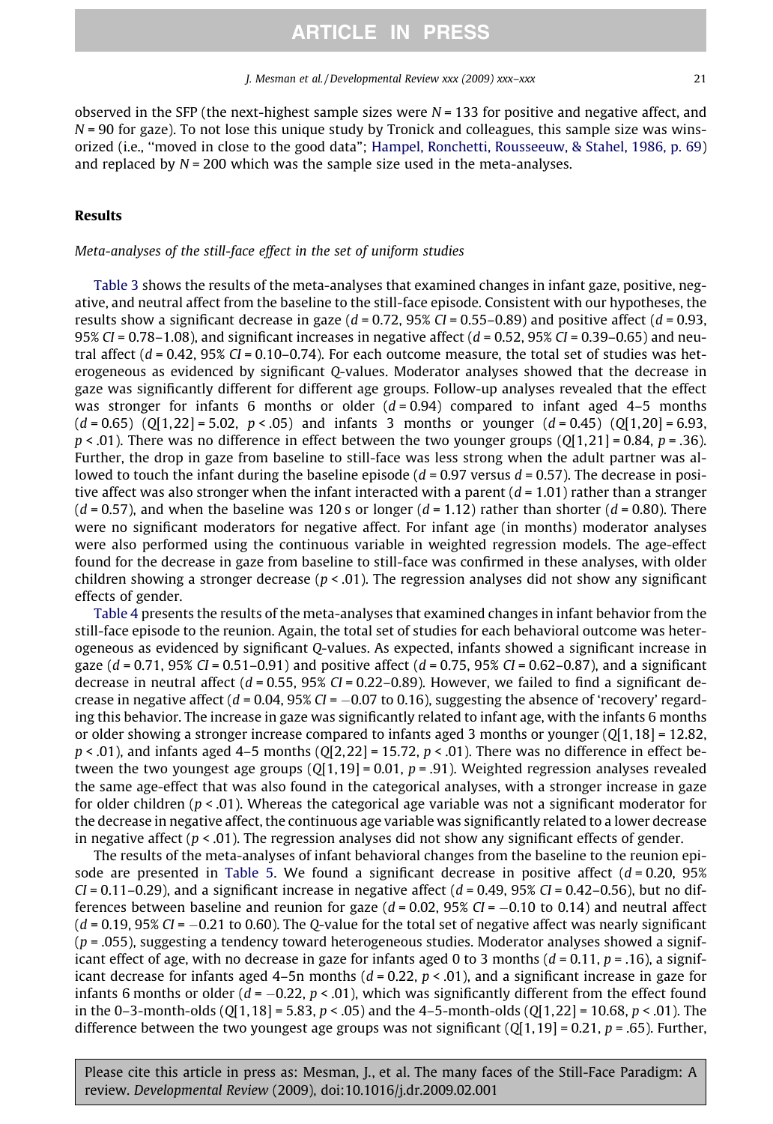observed in the SFP (the next-highest sample sizes were  $N = 133$  for positive and negative affect, and  $N = 90$  for gaze). To not lose this unique study by Tronick and colleagues, this sample size was winsorized (i.e., ''moved in close to the good data"; [Hampel, Ronchetti, Rousseeuw, & Stahel, 1986, p. 69\)](#page-40-0) and replaced by  $N = 200$  which was the sample size used in the meta-analyses.

## Results

## Meta-analyses of the still-face effect in the set of uniform studies

[Table 3](#page-21-0) shows the results of the meta-analyses that examined changes in infant gaze, positive, negative, and neutral affect from the baseline to the still-face episode. Consistent with our hypotheses, the results show a significant decrease in gaze ( $d = 0.72$ ,  $95\%$  CI = 0.55–0.89) and positive affect ( $d = 0.93$ , 95% CI = 0.78–1.08), and significant increases in negative affect  $(d = 0.52, 95\% C I = 0.39 - 0.65)$  and neutral affect  $(d = 0.42, 95\% \text{ CI} = 0.10 - 0.74)$ . For each outcome measure, the total set of studies was heterogeneous as evidenced by significant Q-values. Moderator analyses showed that the decrease in gaze was significantly different for different age groups. Follow-up analyses revealed that the effect was stronger for infants 6 months or older  $(d = 0.94)$  compared to infant aged 4–5 months  $(d = 0.65)$  (Q[1,22] = 5.02, p < .05) and infants 3 months or younger  $(d = 0.45)$  (Q[1,20] = 6.93,  $p < .01$ ). There was no difference in effect between the two younger groups ( $O[1,21] = 0.84$ ,  $p = .36$ ). Further, the drop in gaze from baseline to still-face was less strong when the adult partner was allowed to touch the infant during the baseline episode ( $d = 0.97$  versus  $d = 0.57$ ). The decrease in positive affect was also stronger when the infant interacted with a parent  $(d = 1.01)$  rather than a stranger  $(d = 0.57)$ , and when the baseline was 120 s or longer  $(d = 1.12)$  rather than shorter  $(d = 0.80)$ . There were no significant moderators for negative affect. For infant age (in months) moderator analyses were also performed using the continuous variable in weighted regression models. The age-effect found for the decrease in gaze from baseline to still-face was confirmed in these analyses, with older children showing a stronger decrease ( $p < .01$ ). The regression analyses did not show any significant effects of gender.

[Table 4](#page-23-0) presents the results of the meta-analyses that examined changes in infant behavior from the still-face episode to the reunion. Again, the total set of studies for each behavioral outcome was heterogeneous as evidenced by significant Q-values. As expected, infants showed a significant increase in gaze ( $d = 0.71$ , 95% CI = 0.51–0.91) and positive affect ( $d = 0.75$ , 95% CI = 0.62–0.87), and a significant decrease in neutral affect ( $d = 0.55$ ,  $95\%$  CI = 0.22–0.89). However, we failed to find a significant decrease in negative affect (d = 0.04, 95% CI =  $-0.07$  to 0.16), suggesting the absence of 'recovery' regarding this behavior. The increase in gaze was significantly related to infant age, with the infants 6 months or older showing a stronger increase compared to infants aged 3 months or younger  $(0,1,18] = 12.82$ ,  $p < .01$ ), and infants aged 4–5 months ( $O[2, 22] = 15.72$ ,  $p < .01$ ). There was no difference in effect between the two youngest age groups  $(Q[1,19] = 0.01, p = .91)$ . Weighted regression analyses revealed the same age-effect that was also found in the categorical analyses, with a stronger increase in gaze for older children ( $p < .01$ ). Whereas the categorical age variable was not a significant moderator for the decrease in negative affect, the continuous age variable was significantly related to a lower decrease in negative affect ( $p < .01$ ). The regression analyses did not show any significant effects of gender.

The results of the meta-analyses of infant behavioral changes from the baseline to the reunion epi-sode are presented in [Table 5.](#page-25-0) We found a significant decrease in positive affect  $(d = 0.20, 95\%)$  $CI = 0.11 - 0.29$ ), and a significant increase in negative affect (d = 0.49, 95% CI = 0.42–0.56), but no differences between baseline and reunion for gaze ( $d$  = 0.02, 95% CI =  $-0.10$  to 0.14) and neutral affect (d = 0.19, 95% CI =  $-0.21$  to 0.60). The Q-value for the total set of negative affect was nearly significant  $(p = .055)$ , suggesting a tendency toward heterogeneous studies. Moderator analyses showed a significant effect of age, with no decrease in gaze for infants aged 0 to 3 months ( $d = 0.11$ ,  $p = .16$ ), a significant decrease for infants aged 4–5n months ( $d = 0.22$ ,  $p < .01$ ), and a significant increase in gaze for infants 6 months or older ( $d = -0.22$ ,  $p < 0.01$ ), which was significantly different from the effect found in the 0–3-month-olds  $(Q[1, 18] = 5.83, p < .05)$  and the 4–5-month-olds  $(Q[1, 22] = 10.68, p < .01)$ . The difference between the two youngest age groups was not significant  $(Q_1, 19] = 0.21$ ,  $p = .65$ ). Further,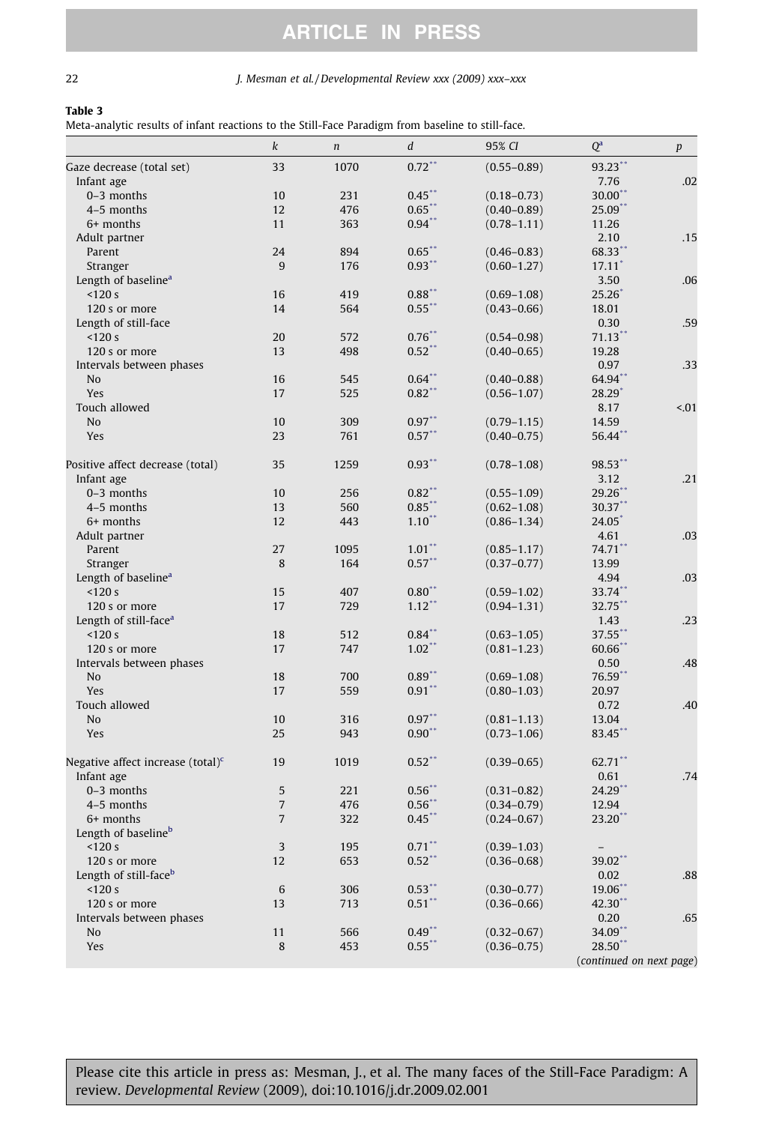### <span id="page-21-0"></span>22 J. Mesman et al. / Developmental Review xxx (2009) xxx-xxx

# Table 3

Meta-analytic results of infant reactions to the Still-Face Paradigm from baseline to still-face.

|                                      | $\boldsymbol{k}$ | $\boldsymbol{n}$ | $\boldsymbol{d}$     | 95% CI          | Q <sup>a</sup>           | p    |
|--------------------------------------|------------------|------------------|----------------------|-----------------|--------------------------|------|
| Gaze decrease (total set)            | 33               | 1070             | $0.72$ **            | $(0.55 - 0.89)$ | $93.23$ **               |      |
| Infant age                           |                  |                  |                      |                 | 7.76                     | .02  |
| $0-3$ months                         | 10               | 231              | $0.45$ **            | $(0.18 - 0.73)$ | $30.00$ **               |      |
| 4-5 months                           | 12               | 476              | 0.65                 | $(0.40 - 0.89)$ | 25.09                    |      |
| $6+$ months                          | 11               | 363              | $0.94$ **            | $(0.78 - 1.11)$ | 11.26                    |      |
| Adult partner                        |                  |                  |                      |                 | 2.10                     | .15  |
| Parent                               | 24               | 894              | $0.65$ **            | $(0.46 - 0.83)$ | 68.33**                  |      |
| Stranger                             | 9                | 176              | 0.93                 | $(0.60 - 1.27)$ | $17.11$ <sup>*</sup>     |      |
| Length of baseline <sup>a</sup>      |                  |                  |                      |                 | 3.50                     | .06  |
| < 120 s                              | 16               | 419              | 0.88                 | $(0.69 - 1.08)$ | $25.26^{\degree}$        |      |
| 120 s or more                        | 14               | 564              | $0.55$ **            | $(0.43 - 0.66)$ | 18.01                    |      |
| Length of still-face                 |                  |                  |                      |                 | 0.30                     | .59  |
| < 120 s                              | 20               | 572              | $0.76$ **            | $(0.54 - 0.98)$ | $71.13$ <sup>*</sup>     |      |
| 120 s or more                        | 13               | 498              | 0.52                 | $(0.40 - 0.65)$ | 19.28                    |      |
| Intervals between phases             |                  |                  |                      |                 | 0.97                     | .33  |
| No                                   | 16               | 545              | $0.64$ **            | $(0.40 - 0.88)$ | $64.94$ **               |      |
| Yes                                  | 17               | 525              | 0.82                 | $(0.56 - 1.07)$ | $28.29^{\degree}$        |      |
| Touch allowed                        |                  |                  |                      |                 | 8.17                     | < 01 |
| N <sub>o</sub>                       | 10               | 309              | $0.97$ **            | $(0.79 - 1.15)$ | 14.59                    |      |
| Yes                                  | 23               | 761              | $0.57$ **            | $(0.40 - 0.75)$ | $56.44$ **               |      |
| Positive affect decrease (total)     | 35               | 1259             | $0.93$ **            | $(0.78 - 1.08)$ | $98.53$ **               |      |
| Infant age                           |                  |                  |                      |                 | 3.12                     | .21  |
| $0-3$ months                         | 10               | 256              | $0.82$ <sup>**</sup> | $(0.55 - 1.09)$ | 29.26                    |      |
| 4-5 months                           | 13               | 560              | $0.85$ **            | $(0.62 - 1.08)$ | $30.37$ **               |      |
| $6+$ months                          | 12               | 443              | $1.10**$             | $(0.86 - 1.34)$ | $24.05^*$                |      |
| Adult partner                        |                  |                  |                      |                 | 4.61                     | .03  |
| Parent                               | 27               | 1095             | $1.01$ <sup>**</sup> | $(0.85 - 1.17)$ | $74.71$ <sup>*</sup>     |      |
| Stranger                             | 8                | 164              | 0.57                 | $(0.37 - 0.77)$ | 13.99                    |      |
| Length of baseline <sup>a</sup>      |                  |                  |                      |                 | 4.94                     | .03  |
| < 120 s                              | 15               | 407              | $0.80$ <sup>**</sup> | $(0.59 - 1.02)$ | 33.74**                  |      |
| 120 s or more                        | 17               | 729              | $1.12$ **            | $(0.94 - 1.31)$ | 32.75                    |      |
| Length of still-face <sup>a</sup>    |                  |                  |                      |                 | 1.43                     | .23  |
| < 120 s                              | 18               | 512              | $0.84$ **            | $(0.63 - 1.05)$ | 37.55**                  |      |
| 120 s or more                        | 17               | 747              | 1.02                 | $(0.81 - 1.23)$ | 60.66                    |      |
| Intervals between phases             |                  |                  |                      |                 | 0.50                     | .48  |
| N <sub>o</sub>                       | 18               | 700              | $0.89$ **            | $(0.69 - 1.08)$ | 76.59                    |      |
| Yes                                  | 17               | 559              | $0.91$ <sup>**</sup> | $(0.80 - 1.03)$ | 20.97                    |      |
| Touch allowed                        |                  |                  |                      |                 | 0.72                     | .40  |
| N <sub>0</sub>                       | 10               | 316              | $0.97$ <sup>**</sup> | $(0.81 - 1.13)$ | 13.04                    |      |
| Yes                                  | 25               | 943              | $0.90**$             | $(0.73 - 1.06)$ | 83.45*                   |      |
|                                      |                  |                  |                      |                 |                          |      |
| Negative affect increase (total) $c$ | 19               | 1019             | $0.52$ **            | $(0.39 - 0.65)$ | $62.71$ **               |      |
| Infant age                           |                  |                  |                      |                 | 0.61                     | .74  |
| 0-3 months                           | 5                | 221              | $0.56$ **            | $(0.31 - 0.82)$ | 24.29                    |      |
| 4-5 months                           | $\overline{7}$   | 476              | 0.56                 | $(0.34 - 0.79)$ | 12.94                    |      |
| 6+ months                            | $\overline{7}$   | 322              | 0.45                 | $(0.24 - 0.67)$ | 23.20                    |      |
| Length of baseline <sup>b</sup>      |                  |                  |                      |                 |                          |      |
| < 120 s                              | 3                | 195              | $0.71$ **            | $(0.39 - 1.03)$ | $\overline{\phantom{0}}$ |      |
| 120 s or more                        | 12               | 653              | $0.52$ <sup>**</sup> | $(0.36 - 0.68)$ | $39.02$ **               |      |
| Length of still-faceb                |                  |                  |                      |                 | 0.02                     | .88  |
| < 120 s                              | $\,6$            | 306              | $0.53$ **            | $(0.30 - 0.77)$ | 19.06                    |      |
| 120 s or more                        | 13               | 713              | $0.51$ **            | $(0.36 - 0.66)$ | $42.30$ **               |      |
| Intervals between phases             |                  |                  |                      |                 | 0.20                     | .65  |
| N <sub>o</sub>                       | 11               | 566              | $0.49$ **            | $(0.32 - 0.67)$ | $34.09$ <sup>**</sup>    |      |
| Yes                                  | 8                | 453              | $0.55$ **            | $(0.36 - 0.75)$ | $28.50$ **               |      |
|                                      |                  |                  |                      |                 | (continued on next page) |      |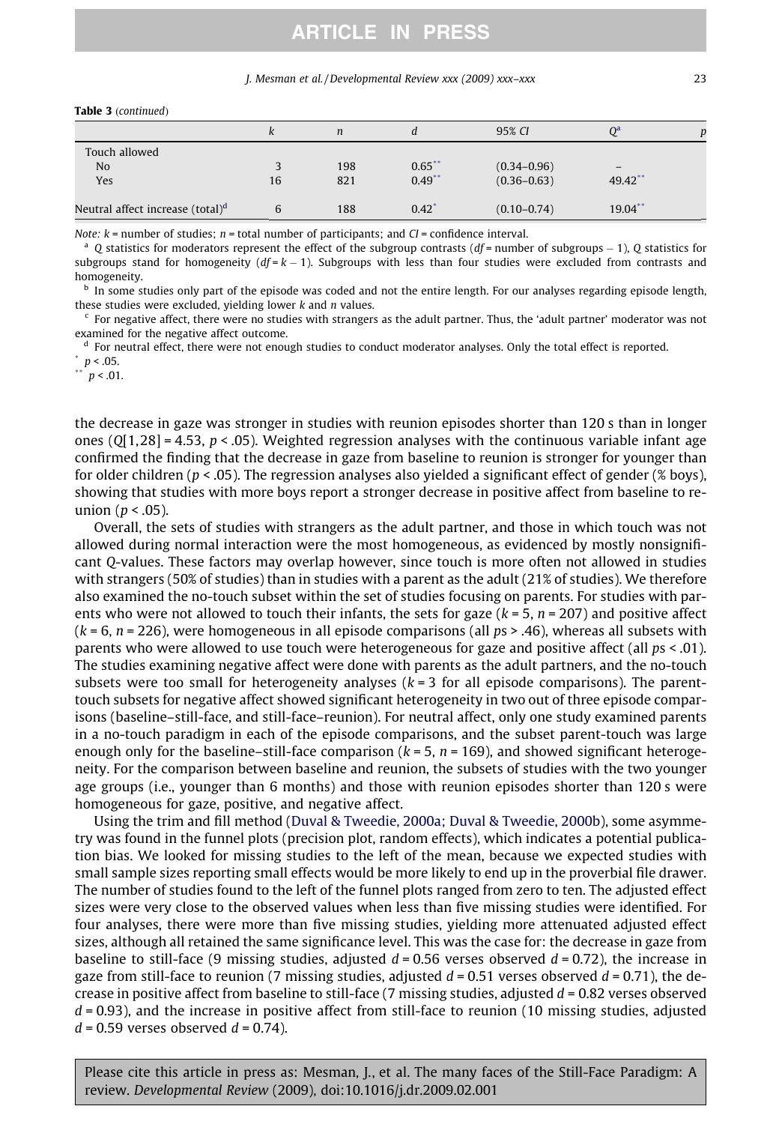### J. Mesman et al. / Developmental Review xxx (2009) xxx–xxx 23

<span id="page-22-0"></span>

|  | <b>Table 3</b> (continued) |
|--|----------------------------|
|--|----------------------------|

| ---------------------                        |    |     |                  |                 |             |  |
|----------------------------------------------|----|-----|------------------|-----------------|-------------|--|
|                                              | ĸ  | n   |                  | 95% CI          | $O^{\rm a}$ |  |
| Touch allowed                                |    |     |                  |                 |             |  |
| N <sub>o</sub>                               |    | 198 | $0.65$ **        | $(0.34 - 0.96)$ |             |  |
| Yes                                          | 16 | 821 | $0.49$ **        | $(0.36 - 0.63)$ | 49.42**     |  |
| Neutral affect increase (total) <sup>d</sup> |    | 188 | $0.42^{\degree}$ | $(0.10 - 0.74)$ | $19.04$ **  |  |

Note:  $k =$  number of studies;  $n =$  total number of participants; and  $Cl =$  confidence interval.

<sup>a</sup> Q statistics for moderators represent the effect of the subgroup contrasts ( $df$  = number of subgroups  $-$  1), Q statistics for subgroups stand for homogeneity ( $df = k - 1$ ). Subgroups with less than four studies were excluded from contrasts and homogeneity.

 $b$  In some studies only part of the episode was coded and not the entire length. For our analyses regarding episode length, these studies were excluded, vielding lower  $k$  and  $n$  values.

 $c$  For negative affect, there were no studies with strangers as the adult partner. Thus, the 'adult partner' moderator was not examined for the negative affect outcome.

<sup>d</sup> For neutral effect, there were not enough studies to conduct moderator analyses. Only the total effect is reported.  $p < .05$ .

 $p < .01$ .

the decrease in gaze was stronger in studies with reunion episodes shorter than 120 s than in longer ones ( $Q[1,28] = 4.53$ ,  $p < .05$ ). Weighted regression analyses with the continuous variable infant age confirmed the finding that the decrease in gaze from baseline to reunion is stronger for younger than for older children ( $p < .05$ ). The regression analyses also yielded a significant effect of gender ( $\%$  boys), showing that studies with more boys report a stronger decrease in positive affect from baseline to reunion ( $p < .05$ ).

Overall, the sets of studies with strangers as the adult partner, and those in which touch was not allowed during normal interaction were the most homogeneous, as evidenced by mostly nonsignificant Q-values. These factors may overlap however, since touch is more often not allowed in studies with strangers (50% of studies) than in studies with a parent as the adult (21% of studies). We therefore also examined the no-touch subset within the set of studies focusing on parents. For studies with parents who were not allowed to touch their infants, the sets for gaze  $(k = 5, n = 207)$  and positive affect  $(k = 6, n = 226)$ , were homogeneous in all episode comparisons (all  $ps > .46$ ), whereas all subsets with parents who were allowed to use touch were heterogeneous for gaze and positive affect (all  $ps < .01$ ). The studies examining negative affect were done with parents as the adult partners, and the no-touch subsets were too small for heterogeneity analyses  $(k = 3)$  for all episode comparisons). The parenttouch subsets for negative affect showed significant heterogeneity in two out of three episode comparisons (baseline–still-face, and still-face–reunion). For neutral affect, only one study examined parents in a no-touch paradigm in each of the episode comparisons, and the subset parent-touch was large enough only for the baseline–still-face comparison ( $k = 5$ ,  $n = 169$ ), and showed significant heterogeneity. For the comparison between baseline and reunion, the subsets of studies with the two younger age groups (i.e., younger than 6 months) and those with reunion episodes shorter than 120 s were homogeneous for gaze, positive, and negative affect.

Using the trim and fill method [\(Duval & Tweedie, 2000a; Duval & Tweedie, 2000b\)](#page-39-0), some asymmetry was found in the funnel plots (precision plot, random effects), which indicates a potential publication bias. We looked for missing studies to the left of the mean, because we expected studies with small sample sizes reporting small effects would be more likely to end up in the proverbial file drawer. The number of studies found to the left of the funnel plots ranged from zero to ten. The adjusted effect sizes were very close to the observed values when less than five missing studies were identified. For four analyses, there were more than five missing studies, yielding more attenuated adjusted effect sizes, although all retained the same significance level. This was the case for: the decrease in gaze from baseline to still-face (9 missing studies, adjusted  $d = 0.56$  verses observed  $d = 0.72$ ), the increase in gaze from still-face to reunion (7 missing studies, adjusted  $d = 0.51$  verses observed  $d = 0.71$ ), the decrease in positive affect from baseline to still-face (7 missing studies, adjusted  $d = 0.82$  verses observed  $d = 0.93$ ), and the increase in positive affect from still-face to reunion (10 missing studies, adjusted  $d = 0.59$  verses observed  $d = 0.74$ ).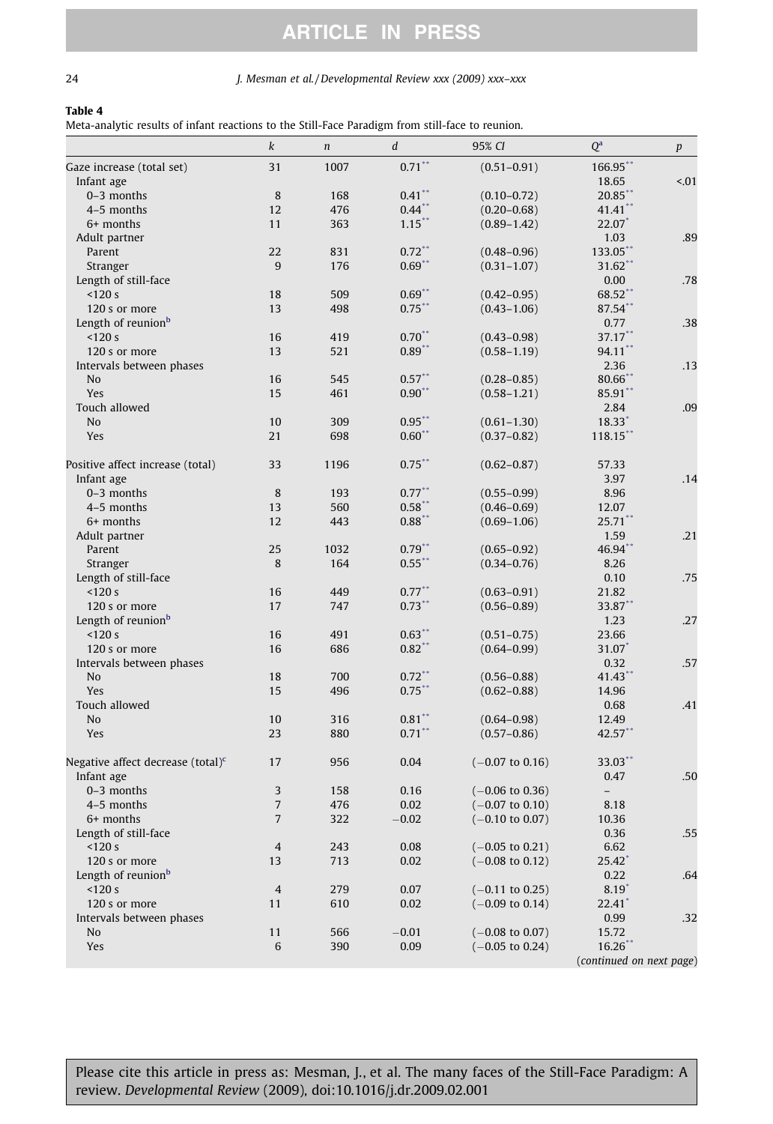### <span id="page-23-0"></span>24 J. Mesman et al. / Developmental Review xxx (2009) xxx–xxx

# Table 4

Meta-analytic results of infant reactions to the Still-Face Paradigm from still-face to reunion.

|                                      | $\boldsymbol{k}$ | $\boldsymbol{n}$ | $\boldsymbol{d}$     | 95% CI                     | Q <sup>a</sup>           | $\boldsymbol{p}$ |
|--------------------------------------|------------------|------------------|----------------------|----------------------------|--------------------------|------------------|
| Gaze increase (total set)            | 31               | 1007             | $0.71$ **            | $(0.51 - 0.91)$            | 166.95**                 |                  |
| Infant age                           |                  |                  |                      |                            | 18.65                    | < 01             |
| $0-3$ months                         | 8                | 168              | $0.41$ **            | $(0.10 - 0.72)$            | 20.85                    |                  |
| 4-5 months                           | 12               | 476              | 0.44                 | $(0.20 - 0.68)$            | $41.41$ **               |                  |
| 6+ months                            | 11               | 363              | $1.15$ <sup>**</sup> | $(0.89 - 1.42)$            | $22.07$ <sup>*</sup>     |                  |
| Adult partner                        |                  |                  |                      |                            | 1.03                     | .89              |
| Parent                               | 22               | 831              | $0.72$ <sup>**</sup> | $(0.48 - 0.96)$            | 133.05                   |                  |
| Stranger                             | 9                | 176              | $0.69$ **            | $(0.31 - 1.07)$            | $31.62$ **               |                  |
| Length of still-face                 |                  |                  |                      |                            | 0.00                     | .78              |
| < 120 s                              | 18               | 509              | $0.69**$             | $(0.42 - 0.95)$            | 68.52**                  |                  |
| 120 s or more                        | 13               | 498              | 0.75                 | $(0.43 - 1.06)$            | 87.54                    |                  |
| Length of reunion <sup>b</sup>       |                  |                  |                      |                            | 0.77                     | .38              |
| < 120 s                              | 16               | 419              | $0.70$ <sup>**</sup> | $(0.43 - 0.98)$            | 37.17**                  |                  |
| 120 s or more                        | 13               | 521              | 0.89                 | $(0.58 - 1.19)$            | 94.11                    |                  |
| Intervals between phases             |                  |                  |                      |                            | 2.36                     | .13              |
| No                                   | 16               | 545              | $0.57$ **            | $(0.28 - 0.85)$            | 80.66                    |                  |
| Yes                                  | 15               | 461              | $0.90**$             | $(0.58 - 1.21)$            | $85.91$ **               |                  |
| Touch allowed                        |                  |                  |                      |                            | 2.84                     | .09              |
| No                                   | 10               | 309              | 0.95                 | $(0.61 - 1.30)$            | 18.33                    |                  |
| Yes                                  | 21               | 698              | $0.60$ <sup>**</sup> | $(0.37 - 0.82)$            | 118.15                   |                  |
|                                      |                  |                  |                      |                            |                          |                  |
| Positive affect increase (total)     | 33               | 1196             | $0.75$ **            | $(0.62 - 0.87)$            | 57.33                    |                  |
| Infant age                           |                  |                  |                      |                            | 3.97                     | .14              |
| 0-3 months                           | 8                | 193              | $0.77$ **            | $(0.55 - 0.99)$            | 8.96                     |                  |
| $4-5$ months                         | 13               | 560              | 0.58                 | $(0.46 - 0.69)$            | 12.07                    |                  |
| 6+ months                            | 12               | 443              | 0.88                 | $(0.69 - 1.06)$            | $25.71$ **               |                  |
| Adult partner                        |                  |                  |                      |                            | 1.59                     | .21              |
| Parent                               | 25               | 1032             | $0.79$ <sup>**</sup> | $(0.65 - 0.92)$            | 46.94                    |                  |
| Stranger                             | 8                | 164              | 0.55                 | $(0.34 - 0.76)$            | 8.26                     |                  |
| Length of still-face                 |                  |                  |                      |                            | 0.10                     | .75              |
| < 120 s                              | 16               | 449              | $0.77$ <sup>**</sup> | $(0.63 - 0.91)$            | 21.82                    |                  |
| 120 s or more                        | 17               | 747              | $0.73$ **            | $(0.56 - 0.89)$            | 33.87**                  |                  |
| Length of reunion <sup>b</sup>       |                  |                  |                      |                            | 1.23                     | .27              |
| < 120 s                              | 16               | 491              | $0.63$ **            | $(0.51 - 0.75)$            | 23.66                    |                  |
| 120 s or more                        | 16               | 686              | 0.82                 | $(0.64 - 0.99)$            | 31.07                    |                  |
| Intervals between phases             |                  |                  |                      |                            | 0.32                     | .57              |
| No                                   | 18               | 700              | $0.72$ **            | $(0.56 - 0.88)$            | 41.43                    |                  |
| Yes                                  | 15               | 496              | 0.75                 | $(0.62 - 0.88)$            | 14.96                    |                  |
| Touch allowed                        |                  |                  |                      |                            | 0.68                     | .41              |
| No                                   | 10               | 316              | $0.81$ **            | $(0.64 - 0.98)$            | 12.49                    |                  |
| Yes                                  | 23               | 880              | $0.71$ **            | $(0.57 - 0.86)$            | $42.57$ **               |                  |
|                                      |                  |                  |                      |                            |                          |                  |
| Negative affect decrease (total) $c$ | 17               | 956              | 0.04                 | $(-0.07 \text{ to } 0.16)$ | $33.03$ **               |                  |
| Infant age                           |                  |                  |                      |                            | 0.47                     | .50              |
| $0-3$ months                         | 3                | 158              | 0.16                 | $(-0.06 \text{ to } 0.36)$ | $\overline{\phantom{0}}$ |                  |
| 4-5 months                           | $\overline{7}$   | 476              | 0.02                 | $(-0.07 \text{ to } 0.10)$ | 8.18                     |                  |
| 6+ months                            | $\overline{7}$   | 322              | $-0.02$              | $(-0.10 \text{ to } 0.07)$ | 10.36                    |                  |
| Length of still-face                 |                  |                  |                      |                            | 0.36                     | .55              |
| < 120 s                              | $\overline{4}$   | 243              | 0.08                 | $(-0.05 \text{ to } 0.21)$ | 6.62                     |                  |
| 120 s or more                        | 13               | 713              | 0.02                 | $(-0.08 \text{ to } 0.12)$ | $25.42^*$                |                  |
| Length of reunion <sup>b</sup>       |                  |                  |                      |                            | 0.22                     | .64              |
| < 120 s                              | $\overline{4}$   | 279              | 0.07                 | $(-0.11$ to 0.25)          | 8.19                     |                  |
| 120 s or more                        | 11               | 610              | 0.02                 | $(-0.09 \text{ to } 0.14)$ | 22.41                    |                  |
| Intervals between phases             |                  |                  |                      |                            | 0.99                     | .32              |
| No                                   | 11               | 566              | $-0.01$              | $(-0.08 \text{ to } 0.07)$ | 15.72                    |                  |
| Yes                                  | 6                | 390              | 0.09                 | $(-0.05$ to 0.24)          | 16.26                    |                  |
|                                      |                  |                  |                      |                            | (continued on next page) |                  |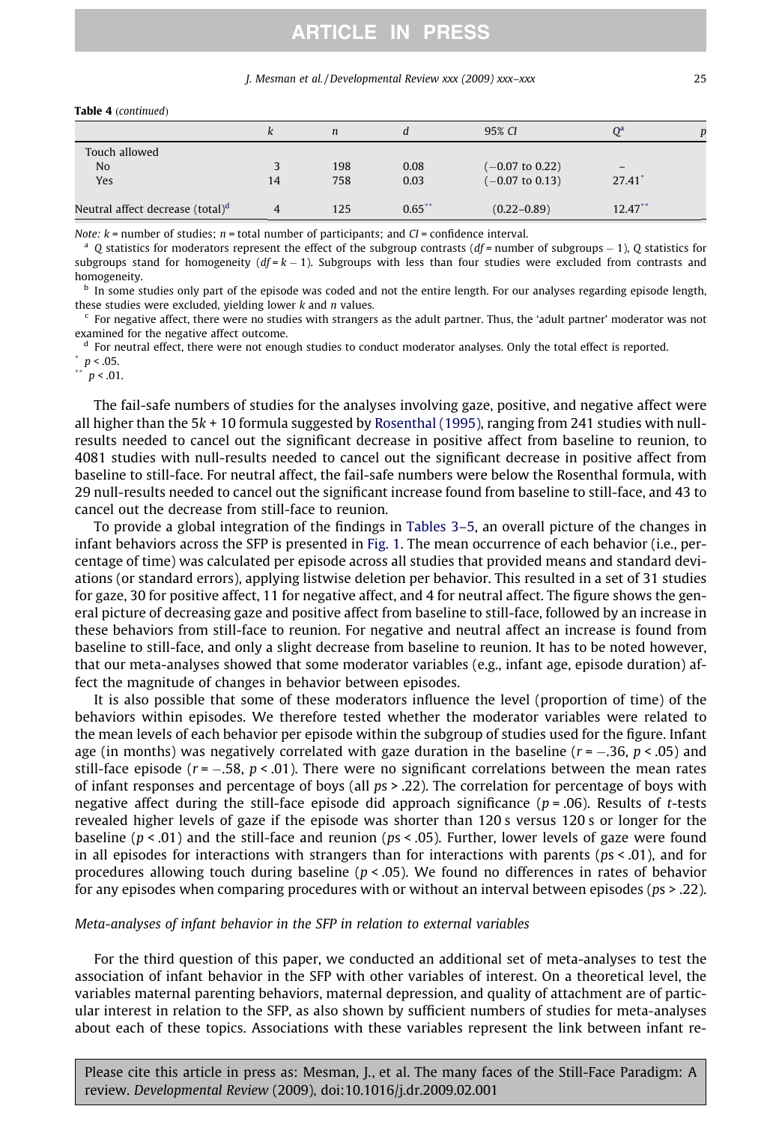### J. Mesman et al. / Developmental Review xxx (2009) xxx–xxx 25

<span id="page-24-0"></span>

|  |  | <b>Table 4</b> (continued) |  |  |
|--|--|----------------------------|--|--|
|--|--|----------------------------|--|--|

| ------- - .--                                |    |     |                      |                            |                 |  |
|----------------------------------------------|----|-----|----------------------|----------------------------|-----------------|--|
|                                              | ĸ  | n   |                      | 95% CI                     | $O^a$           |  |
| Touch allowed                                |    |     |                      |                            |                 |  |
| N <sub>o</sub>                               |    | 198 | 0.08                 | $(-0.07 \text{ to } 0.22)$ | $\qquad \qquad$ |  |
| Yes                                          | 14 | 758 | 0.03                 | $(-0.07 \text{ to } 0.13)$ | 27.41'          |  |
| Neutral affect decrease (total) <sup>d</sup> | ⊿  | 125 | $0.65$ <sup>**</sup> | $(0.22 - 0.89)$            | $12.47$ **      |  |

Note:  $k =$  number of studies;  $n =$  total number of participants; and  $Cl =$  confidence interval.

<sup>a</sup> Q statistics for moderators represent the effect of the subgroup contrasts ( $df$  = number of subgroups  $-$  1), Q statistics for subgroups stand for homogeneity ( $df = k - 1$ ). Subgroups with less than four studies were excluded from contrasts and homogeneity.

 $b$  In some studies only part of the episode was coded and not the entire length. For our analyses regarding episode length, these studies were excluded, vielding lower  $k$  and  $n$  values.

 $c$  For negative affect, there were no studies with strangers as the adult partner. Thus, the 'adult partner' moderator was not examined for the negative affect outcome.

<sup>d</sup> For neutral effect, there were not enough studies to conduct moderator analyses. Only the total effect is reported.  $p < .05$ .

 $p < .01$ .

The fail-safe numbers of studies for the analyses involving gaze, positive, and negative affect were all higher than the  $5k + 10$  formula suggested by [Rosenthal \(1995\)](#page-41-0), ranging from 241 studies with nullresults needed to cancel out the significant decrease in positive affect from baseline to reunion, to 4081 studies with null-results needed to cancel out the significant decrease in positive affect from baseline to still-face. For neutral affect, the fail-safe numbers were below the Rosenthal formula, with 29 null-results needed to cancel out the significant increase found from baseline to still-face, and 43 to cancel out the decrease from still-face to reunion.

To provide a global integration of the findings in [Tables 3–5](#page-17-0), an overall picture of the changes in infant behaviors across the SFP is presented in [Fig. 1](#page-26-0). The mean occurrence of each behavior (i.e., percentage of time) was calculated per episode across all studies that provided means and standard deviations (or standard errors), applying listwise deletion per behavior. This resulted in a set of 31 studies for gaze, 30 for positive affect, 11 for negative affect, and 4 for neutral affect. The figure shows the general picture of decreasing gaze and positive affect from baseline to still-face, followed by an increase in these behaviors from still-face to reunion. For negative and neutral affect an increase is found from baseline to still-face, and only a slight decrease from baseline to reunion. It has to be noted however, that our meta-analyses showed that some moderator variables (e.g., infant age, episode duration) affect the magnitude of changes in behavior between episodes.

It is also possible that some of these moderators influence the level (proportion of time) of the behaviors within episodes. We therefore tested whether the moderator variables were related to the mean levels of each behavior per episode within the subgroup of studies used for the figure. Infant age (in months) was negatively correlated with gaze duration in the baseline ( $r = -.36$ ,  $p < .05$ ) and still-face episode ( $r = -.58$ ,  $p < .01$ ). There were no significant correlations between the mean rates of infant responses and percentage of boys (all ps > .22). The correlation for percentage of boys with negative affect during the still-face episode did approach significance ( $p = .06$ ). Results of t-tests revealed higher levels of gaze if the episode was shorter than 120 s versus 120 s or longer for the baseline ( $p < .01$ ) and the still-face and reunion ( $ps < .05$ ). Further, lower levels of gaze were found in all episodes for interactions with strangers than for interactions with parents ( $ps < .01$ ), and for procedures allowing touch during baseline  $(p < .05)$ . We found no differences in rates of behavior for any episodes when comparing procedures with or without an interval between episodes ( $ps > .22$ ).

### Meta-analyses of infant behavior in the SFP in relation to external variables

For the third question of this paper, we conducted an additional set of meta-analyses to test the association of infant behavior in the SFP with other variables of interest. On a theoretical level, the variables maternal parenting behaviors, maternal depression, and quality of attachment are of particular interest in relation to the SFP, as also shown by sufficient numbers of studies for meta-analyses about each of these topics. Associations with these variables represent the link between infant re-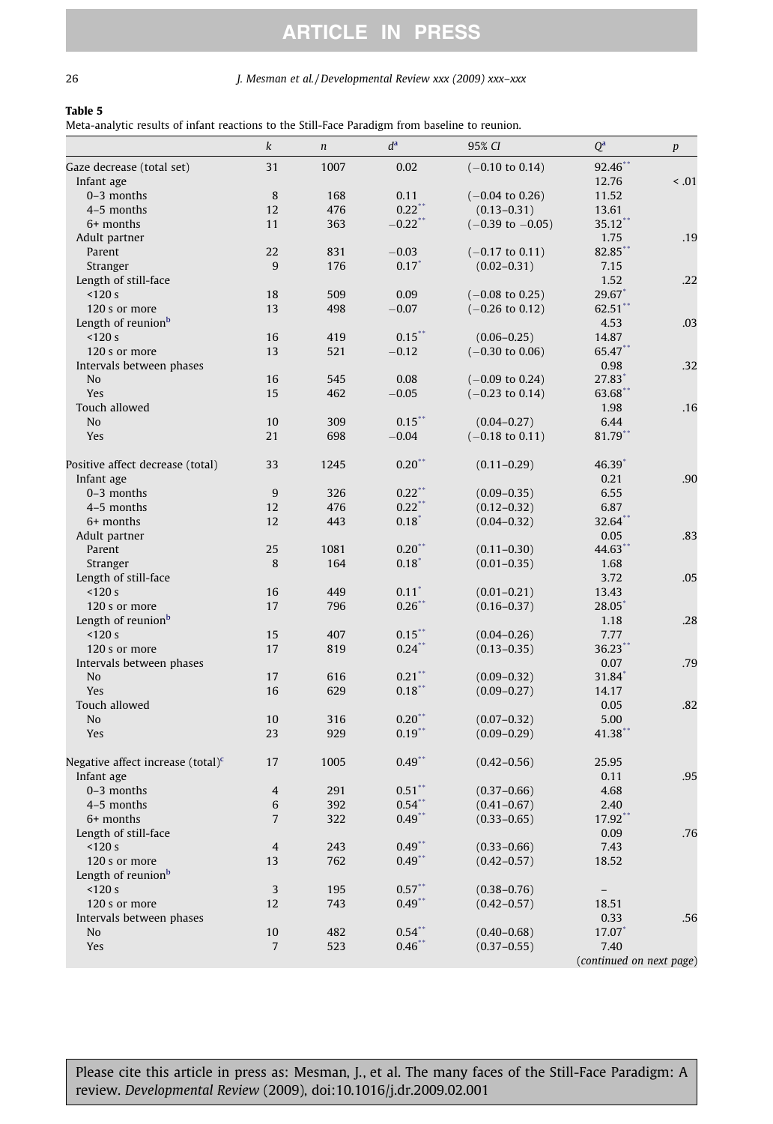### <span id="page-25-0"></span>26 J. Mesman et al. / Developmental Review xxx (2009) xxx–xxx

# Table 5

Meta-analytic results of infant reactions to the Still-Face Paradigm from baseline to reunion.

|                                           | $\boldsymbol{k}$     | $\boldsymbol{n}$ | $d^{\rm a}$                     | 95% CI                                        | Q <sup>a</sup>               | $\boldsymbol{p}$ |
|-------------------------------------------|----------------------|------------------|---------------------------------|-----------------------------------------------|------------------------------|------------------|
| Gaze decrease (total set)                 | 31                   | 1007             | 0.02                            | $(-0.10 \text{ to } 0.14)$                    | 92.46**                      |                  |
| Infant age                                |                      |                  |                                 |                                               | 12.76                        | < .01            |
| $0-3$ months                              | 8                    | 168              | 0.11                            | $(-0.04 \text{ to } 0.26)$                    | 11.52                        |                  |
| 4-5 months                                | 12                   | 476              | 0.22                            | $(0.13 - 0.31)$                               | 13.61                        |                  |
| 6+ months                                 | 11                   | 363              | $-0.22$ $\ddot{\phantom{2}}$    | $(-0.39 \text{ to } -0.05)$                   | $35.12$ **                   |                  |
| Adult partner                             |                      |                  |                                 |                                               | 1.75                         | .19              |
| Parent                                    | 22                   | 831              | $-0.03$                         | $(-0.17$ to 0.11)                             | 82.85                        |                  |
| Stranger                                  | 9                    | 176              | $0.17^*$                        | $(0.02 - 0.31)$                               | 7.15                         |                  |
| Length of still-face                      |                      |                  |                                 |                                               | 1.52                         | .22              |
| < 120 s                                   | 18                   | 509              | 0.09                            | $(-0.08 \text{ to } 0.25)$                    | $29.67^*$                    |                  |
| 120 s or more                             | 13                   | 498              | $-0.07$                         | $(-0.26 \text{ to } 0.12)$                    | $62.51$ $\ddot{\phantom{2}}$ |                  |
| Length of reunion <sup>b</sup>            |                      |                  |                                 |                                               | 4.53                         | .03              |
| < 120 s                                   | 16                   | 419              | $0.15$ <sup>-1</sup>            | $(0.06 - 0.25)$                               | 14.87                        |                  |
| 120 s or more                             | 13                   | 521              | $-0.12$                         | $(-0.30 \text{ to } 0.06)$                    | 65.47                        |                  |
| Intervals between phases                  |                      |                  |                                 |                                               | 0.98                         | .32              |
| No<br>Yes                                 | 16                   | 545              | 0.08                            | $(-0.09 \text{ to } 0.24)$                    | $27.83^*$                    |                  |
|                                           | 15                   | 462              | $-0.05$                         | $(-0.23 \text{ to } 0.14)$                    | 63.68                        |                  |
| Touch allowed<br>N <sub>o</sub>           | 10                   | 309              |                                 |                                               | 1.98                         | .16              |
| Yes                                       | 21                   | 698              | $0.15$ <sup>**</sup><br>$-0.04$ | $(0.04 - 0.27)$<br>$(-0.18 \text{ to } 0.11)$ | 6.44<br>81.79                |                  |
|                                           |                      |                  |                                 |                                               |                              |                  |
| Positive affect decrease (total)          | 33                   | 1245             | 0.20                            | $(0.11 - 0.29)$                               | $46.39$ <sup>*</sup>         |                  |
| Infant age                                |                      |                  |                                 |                                               | 0.21                         | .90              |
| $0-3$ months                              | 9                    | 326              | $0.22$ *                        | $(0.09 - 0.35)$                               | 6.55                         |                  |
| $4-5$ months                              | 12                   | 476              | $0.22$ **                       | $(0.12 - 0.32)$                               | 6.87                         |                  |
| 6+ months                                 | 12                   | 443              | $0.18^*$                        | $(0.04 - 0.32)$                               | 32.64**                      |                  |
| Adult partner                             |                      |                  |                                 |                                               | 0.05                         | .83              |
| Parent                                    | 25                   | 1081             | $0.20$ **                       | $(0.11 - 0.30)$                               | 44.63                        |                  |
| Stranger                                  | 8                    | 164              | 0.18                            | $(0.01 - 0.35)$                               | 1.68                         |                  |
| Length of still-face                      |                      |                  |                                 |                                               | 3.72                         | .05              |
| < 120 s                                   | 16                   | 449              | $0.11$ <sup>*</sup>             | $(0.01 - 0.21)$                               | 13.43                        |                  |
| 120 s or more                             | 17                   | 796              | $0.26$ **                       | $(0.16 - 0.37)$                               | $28.05^*$                    |                  |
| Length of reunion <sup>b</sup><br>< 120 s | 15                   | 407              | $0.15$ <sup>**</sup>            |                                               | 1.18                         | .28              |
| 120 s or more                             | 17                   | 819              | $0.24$ **                       | $(0.04 - 0.26)$<br>$(0.13 - 0.35)$            | 7.77<br>36.23                |                  |
| Intervals between phases                  |                      |                  |                                 |                                               | 0.07                         | .79              |
| No                                        | 17                   | 616              | $0.21$ <sup>**</sup>            | $(0.09 - 0.32)$                               | 31.84                        |                  |
| Yes                                       | 16                   | 629              | 0.18                            | $(0.09 - 0.27)$                               | 14.17                        |                  |
| Touch allowed                             |                      |                  |                                 |                                               | 0.05                         | .82              |
| No                                        | 10                   | 316              | $0.20$ <sup>**</sup>            | $(0.07 - 0.32)$                               | 5.00                         |                  |
| Yes                                       | 23                   | 929              | $0.19$ <sup>**</sup>            | $(0.09 - 0.29)$                               | 41.38'''                     |                  |
|                                           |                      |                  |                                 |                                               |                              |                  |
| Negative affect increase $(total)^c$      | 17                   | 1005             | $0.49$ <sup>**</sup>            | $(0.42 - 0.56)$                               | 25.95                        |                  |
| Infant age                                |                      |                  |                                 |                                               | 0.11                         | .95              |
| 0-3 months                                | $\overline{4}$       | 291              | $0.51$ **                       | $(0.37 - 0.66)$                               | 4.68                         |                  |
| $4-5$ months                              | 6                    | 392              | $0.54$ **                       | $(0.41 - 0.67)$                               | 2.40                         |                  |
| 6+ months                                 | $\overline{7}$       | 322              | $0.49$ <sup>**</sup>            | $(0.33 - 0.65)$                               | $17.92$ <sup>**</sup>        |                  |
| Length of still-face                      |                      |                  |                                 |                                               | 0.09                         | .76              |
| < 120 s                                   | $\overline{4}$       | 243              | $0.49$ <sup>**</sup>            | $(0.33 - 0.66)$                               | 7.43                         |                  |
| 120 s or more                             | 13                   | 762              | $0.49$ <sup>**</sup>            | $(0.42 - 0.57)$                               | 18.52                        |                  |
| Length of reunion <sup>b</sup>            |                      |                  |                                 |                                               |                              |                  |
| < 120 s                                   | 3                    | 195              | $0.57$ <sup>**</sup>            | $(0.38 - 0.76)$                               | $\overline{a}$               |                  |
| 120 s or more                             | 12                   | 743              | $0.49$ <sup>**</sup>            | $(0.42 - 0.57)$                               | 18.51                        |                  |
| Intervals between phases                  |                      |                  |                                 |                                               | 0.33<br>17.07                | .56              |
| No<br>Yes                                 | 10<br>$\overline{7}$ | 482<br>523       | 0.54<br>$0.46$ <sup>**</sup>    | $(0.40 - 0.68)$<br>$(0.37 - 0.55)$            | 7.40                         |                  |
|                                           |                      |                  |                                 |                                               | (continued on next page)     |                  |
|                                           |                      |                  |                                 |                                               |                              |                  |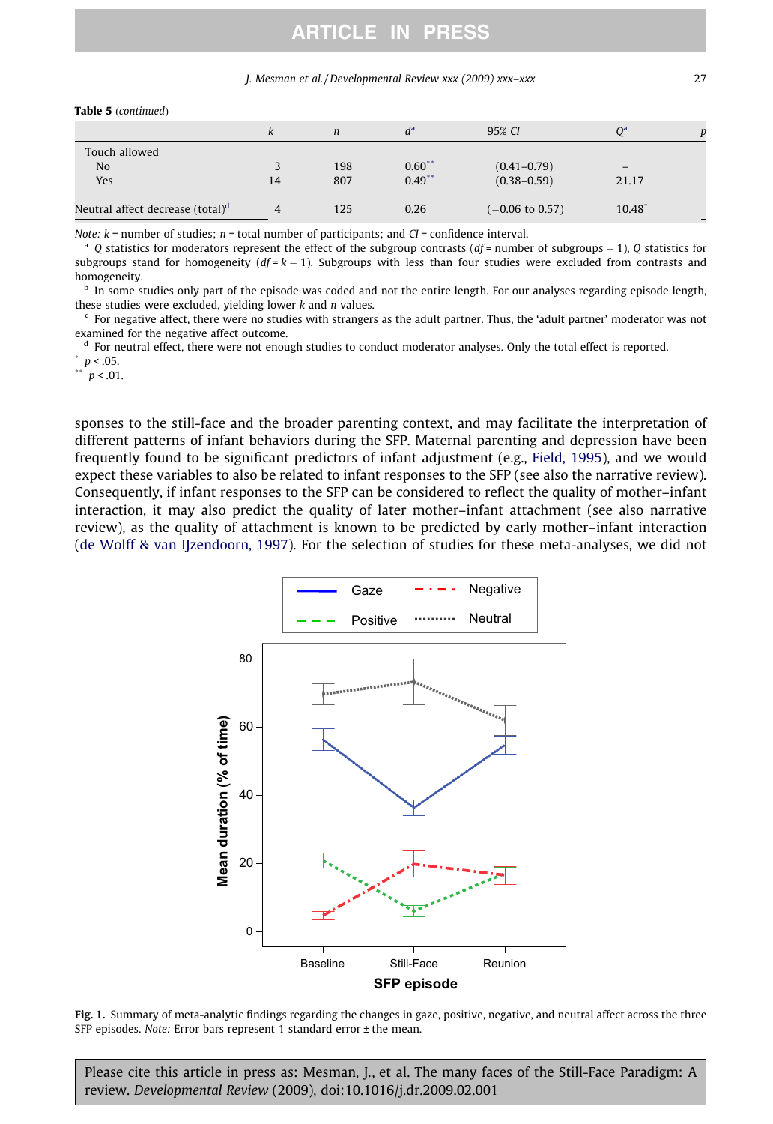### J. Mesman et al. / Developmental Review xxx (2009) xxx–xxx 27

<span id="page-26-0"></span>

| <b>Table 5</b> (continued)                   |                |                  |             |                            |                      |  |
|----------------------------------------------|----------------|------------------|-------------|----------------------------|----------------------|--|
|                                              | ĸ              | $\boldsymbol{n}$ | $d^{\rm a}$ | 95% CI                     |                      |  |
| Touch allowed                                |                |                  |             |                            |                      |  |
| N <sub>o</sub>                               |                | 198              | 0.60        | $(0.41 - 0.79)$            |                      |  |
| Yes                                          | 14             | 807              | $0.49$ **   | $(0.38 - 0.59)$            | 21.17                |  |
| Neutral affect decrease (total) <sup>d</sup> | $\overline{4}$ | 125              | 0.26        | $(-0.06 \text{ to } 0.57)$ | $10.48$ <sup>*</sup> |  |

Note:  $k =$  number of studies;  $n =$  total number of participants; and  $CI =$  confidence interval.

<sup>a</sup> Q statistics for moderators represent the effect of the subgroup contrasts ( $df$  = number of subgroups  $-$  1), Q statistics for subgroups stand for homogeneity ( $df = k - 1$ ). Subgroups with less than four studies were excluded from contrasts and homogeneity.

 $<sup>b</sup>$  In some studies only part of the episode was coded and not the entire length. For our analyses regarding episode length,</sup> these studies were excluded, yielding lower  $k$  and  $n$  values.

 $c$  For negative affect, there were no studies with strangers as the adult partner. Thus, the 'adult partner' moderator was not examined for the negative affect outcome.

<sup>d</sup> For neutral effect, there were not enough studies to conduct moderator analyses. Only the total effect is reported.  $p < .05$ .

 $p < .01$ .

sponses to the still-face and the broader parenting context, and may facilitate the interpretation of different patterns of infant behaviors during the SFP. Maternal parenting and depression have been frequently found to be significant predictors of infant adjustment (e.g., [Field, 1995\)](#page-40-0), and we would expect these variables to also be related to infant responses to the SFP (see also the narrative review). Consequently, if infant responses to the SFP can be considered to reflect the quality of mother–infant interaction, it may also predict the quality of later mother–infant attachment (see also narrative review), as the quality of attachment is known to be predicted by early mother–infant interaction [\(de Wolff & van IJzendoorn, 1997\)](#page-39-0). For the selection of studies for these meta-analyses, we did not



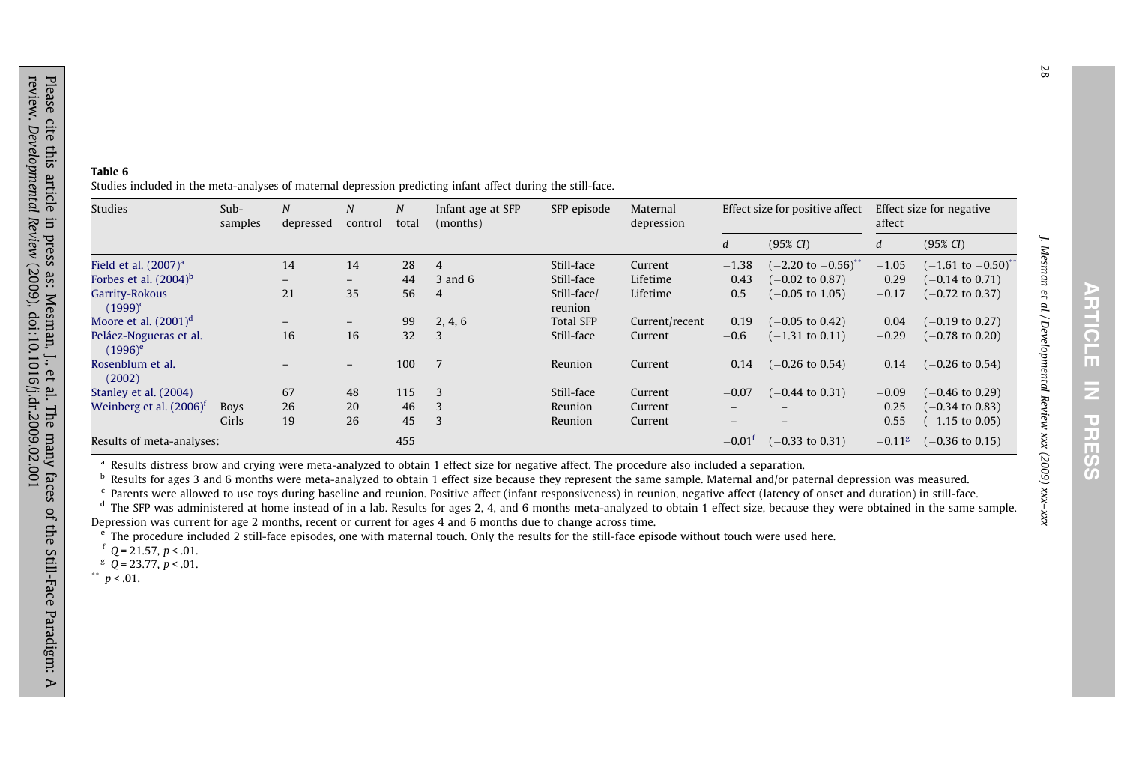J. Mesman et al./Developmental Review xxx (2009) xxx-xxx

# Table 6Studies included in the meta-analyses of maternal depression predicting infant affect during the still-face.

| <b>Studies</b>                        | $Sub-$<br>samples | N<br>depressed | N<br>control             | N<br>total | Infant age at SFP<br>(months) | SFP episode            | Maternal<br>depression | Effect size for positive affect |                              | Effect size for negative<br>affect |                                 |
|---------------------------------------|-------------------|----------------|--------------------------|------------|-------------------------------|------------------------|------------------------|---------------------------------|------------------------------|------------------------------------|---------------------------------|
|                                       |                   |                |                          |            |                               |                        |                        | d                               | $(95\% CI)$                  | d                                  | $(95\% CI)$                     |
| Field et al. $(2007)^{a}$             |                   | 14             | 14                       | 28         | $\overline{4}$                | Still-face             | Current                | $-1.38$                         | $[-2.20 \text{ to } -0.56)]$ | $-1.05$                            | $(-1.61 \text{ to } -0.50)^{n}$ |
| Forbes et al. $(2004)^b$              |                   | -              | $-$                      | 44         | $3$ and $6$                   | Still-face             | Lifetime               | 0.43                            | $(-0.02 \text{ to } 0.87)$   | 0.29                               | $(-0.14 \text{ to } 0.71)$      |
| <b>Garrity-Rokous</b><br>$(1999)^{c}$ |                   | 21             | 35                       | 56         | $\overline{4}$                | Still-face/<br>reunion | Lifetime               | 0.5                             | $(-0.05 \text{ to } 1.05)$   | $-0.17$                            | $(-0.72 \text{ to } 0.37)$      |
| Moore et al. $(2001)^d$               |                   | -              | $-$                      | 99         | 2, 4, 6                       | <b>Total SFP</b>       | Current/recent         | 0.19                            | $(-0.05 \text{ to } 0.42)$   | 0.04                               | $(-0.19 \text{ to } 0.27)$      |
| Peláez-Nogueras et al.<br>$(1996)^e$  |                   | 16             | 16                       | 32         | 3                             | Still-face             | Current                | $-0.6$                          | $(-1.31 \text{ to } 0.11)$   | $-0.29$                            | $(-0.78 \text{ to } 0.20)$      |
| Rosenblum et al.<br>(2002)            |                   |                | $\overline{\phantom{0}}$ | 100        | $7\phantom{.0}$               | Reunion                | Current                | 0.14                            | $(-0.26 \text{ to } 0.54)$   | 0.14                               | $(-0.26 \text{ to } 0.54)$      |
| Stanley et al. (2004)                 |                   | 67             | 48                       | 115        | 3                             | Still-face             | Current                | $-0.07$                         | $(-0.44 \text{ to } 0.31)$   | $-0.09$                            | $(-0.46 \text{ to } 0.29)$      |
| Weinberg et al. $(2006)^f$            | <b>Boys</b>       | 26             | 20                       | 46         | 3                             | Reunion                | Current                | $\overline{\phantom{0}}$        |                              | 0.25                               | $(-0.34 \text{ to } 0.83)$      |
|                                       | Girls             | 19             | 26                       | 45         | 3                             | Reunion                | Current                | $-$                             |                              | $-0.55$                            | $(-1.15 \text{ to } 0.05)$      |
| Results of meta-analyses:             |                   |                | 455                      |            |                               |                        | $-0.01$ <sup>t</sup>   | $(-0.33 \text{ to } 0.31)$      | $-0.11g$                     | $(-0.36 \text{ to } 0.15)$         |                                 |

aResults distress brow and crying were meta-analyzed to obtain 1 effect size for negative affect. The procedure also included <sup>a</sup> separation.

 $^{\rm b}$  Results for ages 3 and 6 months were meta-analyzed to obtain 1 effect size because they represent the same sample. Maternal and/or paternal depression was measured.

c Parents were allowed to use toys during baseline and reunion. Positive affect (infant responsiveness) in reunion, negative affect (latency of onset and duration) in still-face.

 $^{\text{d}}$  The SFP was administered at home instead of in a lab. Results for ages 2, 4, and 6 months meta-analyzed to obtain 1 effect size, because they were obtained in the same sample. Depression was current for age 2 months, recent or current for ages 4 and 6 months due to change across time.

 $\degree$  The procedure included 2 still-face episodes, one with maternal touch. Only the results for the still-face episode without touch were used here.

 $f \ Q = 21.57, p < .01.$ 

 $Q = 23.77$ ,  $p < .01$ .

 $p \le 0.01$ .

(2009), doi:10.1016/j.dr.2009.02.001

Paradigm:

 $\triangleright$ 

<span id="page-27-0"></span>Developmental Review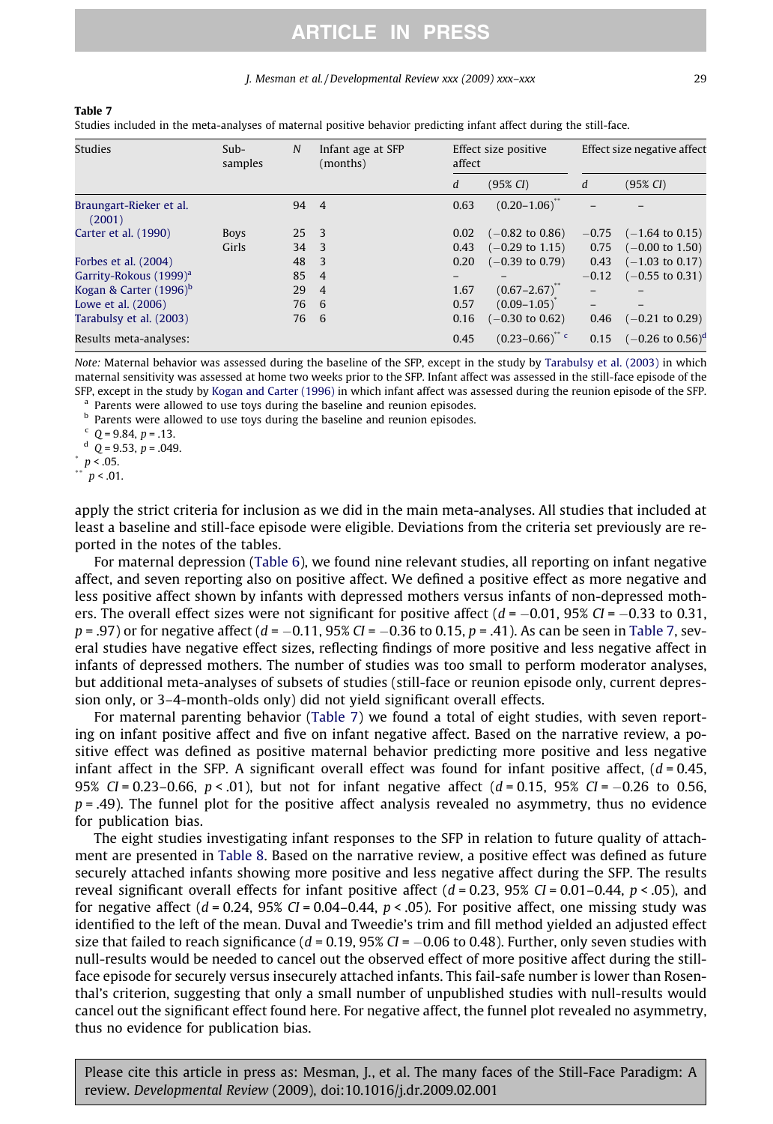### J. Mesman et al. / Developmental Review xxx (2009) xxx–xxx 29

#### <span id="page-28-0"></span>Table 7

Studies included in the meta-analyses of maternal positive behavior predicting infant affect during the still-face.

| <b>Studies</b>                     | $Sub-$<br>samples | $\overline{N}$ | Infant age at SFP<br>(months) | affect | Effect size positive       | Effect size negative affect |                              |  |
|------------------------------------|-------------------|----------------|-------------------------------|--------|----------------------------|-----------------------------|------------------------------|--|
|                                    |                   |                |                               | d      | $(95\% CI)$                | d                           | $(95\% CI)$                  |  |
| Braungart-Rieker et al.<br>(2001)  |                   | 94 4           |                               | 0.63   | $(0.20 - 1.06)^{**}$       |                             |                              |  |
| Carter et al. (1990)               | <b>Boys</b>       | $25 \quad 3$   |                               | 0.02   | $(-0.82 \text{ to } 0.86)$ | $-0.75$                     | $(-1.64 \text{ to } 0.15)$   |  |
|                                    | Girls             | 34             | $\mathbf{3}$                  | 0.43   | $(-0.29 \text{ to } 1.15)$ | 0.75                        | $(-0.00 \text{ to } 1.50)$   |  |
| Forbes et al. (2004)               |                   | 48             | $\mathbf{3}$                  | 0.20   | $(-0.39 \text{ to } 0.79)$ | 0.43                        | $(-1.03 \text{ to } 0.17)$   |  |
| Garrity-Rokous (1999) <sup>a</sup> |                   | 85             | $\overline{4}$                |        |                            | $-0.12$                     | $(-0.55$ to 0.31)            |  |
| Kogan & Carter (1996) <sup>b</sup> |                   | 29             | $\overline{4}$                | 1.67   | $(0.67 - 2.67)^{n}$        |                             |                              |  |
| Lowe et al. (2006)                 |                   | 76             | - 6                           | 0.57   | $(0.09 - 1.05)^T$          |                             |                              |  |
| Tarabulsy et al. (2003)            |                   | 76             | - 6                           | 0.16   | $(-0.30 \text{ to } 0.62)$ | 0.46                        | $(-0.21 \text{ to } 0.29)$   |  |
| Results meta-analyses:             |                   |                |                               | 0.45   | $(0.23 - 0.66)^{4.2}$      | 0.15                        | $(-0.26 \text{ to } 0.56)^d$ |  |

Note: Maternal behavior was assessed during the baseline of the SFP, except in the study by [Tarabulsy et al. \(2003\)](#page-42-0) in which maternal sensitivity was assessed at home two weeks prior to the SFP. Infant affect was assessed in the still-face episode of the SFP, except in the study by [Kogan and Carter \(1996\)](#page-41-0) in which infant affect was assessed during the reunion episode of the SFP.

<sup>a</sup> Parents were allowed to use toys during the baseline and reunion episodes.

**b** Parents were allowed to use toys during the baseline and reunion episodes.

 $c$  Q = 9.84, p = .13.

 $\overline{Q}$  = 9.53, p = .049.

```
p < 0.05.
```
 $p < .01$ .

apply the strict criteria for inclusion as we did in the main meta-analyses. All studies that included at least a baseline and still-face episode were eligible. Deviations from the criteria set previously are reported in the notes of the tables.

For maternal depression [\(Table 6\)](#page-27-0), we found nine relevant studies, all reporting on infant negative affect, and seven reporting also on positive affect. We defined a positive effect as more negative and less positive affect shown by infants with depressed mothers versus infants of non-depressed mothers. The overall effect sizes were not significant for positive affect ( $d = -0.01$ , 95% CI =  $-0.33$  to 0.31,  $p$  = .97) or for negative affect (d =  $-0.11$ , 95% CI =  $-0.36$  to 0.15,  $p$  = .41). As can be seen in Table 7, several studies have negative effect sizes, reflecting findings of more positive and less negative affect in infants of depressed mothers. The number of studies was too small to perform moderator analyses, but additional meta-analyses of subsets of studies (still-face or reunion episode only, current depression only, or 3–4-month-olds only) did not yield significant overall effects.

For maternal parenting behavior (Table 7) we found a total of eight studies, with seven reporting on infant positive affect and five on infant negative affect. Based on the narrative review, a positive effect was defined as positive maternal behavior predicting more positive and less negative infant affect in the SFP. A significant overall effect was found for infant positive affect,  $(d = 0.45$ , 95% CI = 0.23–0.66,  $p < .01$ ), but not for infant negative affect ( $d = 0.15$ , 95% CI =  $-0.26$  to 0.56,  $p = .49$ ). The funnel plot for the positive affect analysis revealed no asymmetry, thus no evidence for publication bias.

The eight studies investigating infant responses to the SFP in relation to future quality of attachment are presented in [Table 8.](#page-29-0) Based on the narrative review, a positive effect was defined as future securely attached infants showing more positive and less negative affect during the SFP. The results reveal significant overall effects for infant positive affect (d = 0.23, 95% CI = 0.01–0.44, p < .05), and for negative affect ( $d = 0.24$ ,  $95\%$  CI = 0.04–0.44,  $p < .05$ ). For positive affect, one missing study was identified to the left of the mean. Duval and Tweedie's trim and fill method yielded an adjusted effect size that failed to reach significance (d = 0.19, 95% CI =  $-0.06$  to 0.48). Further, only seven studies with null-results would be needed to cancel out the observed effect of more positive affect during the stillface episode for securely versus insecurely attached infants. This fail-safe number is lower than Rosenthal's criterion, suggesting that only a small number of unpublished studies with null-results would cancel out the significant effect found here. For negative affect, the funnel plot revealed no asymmetry, thus no evidence for publication bias.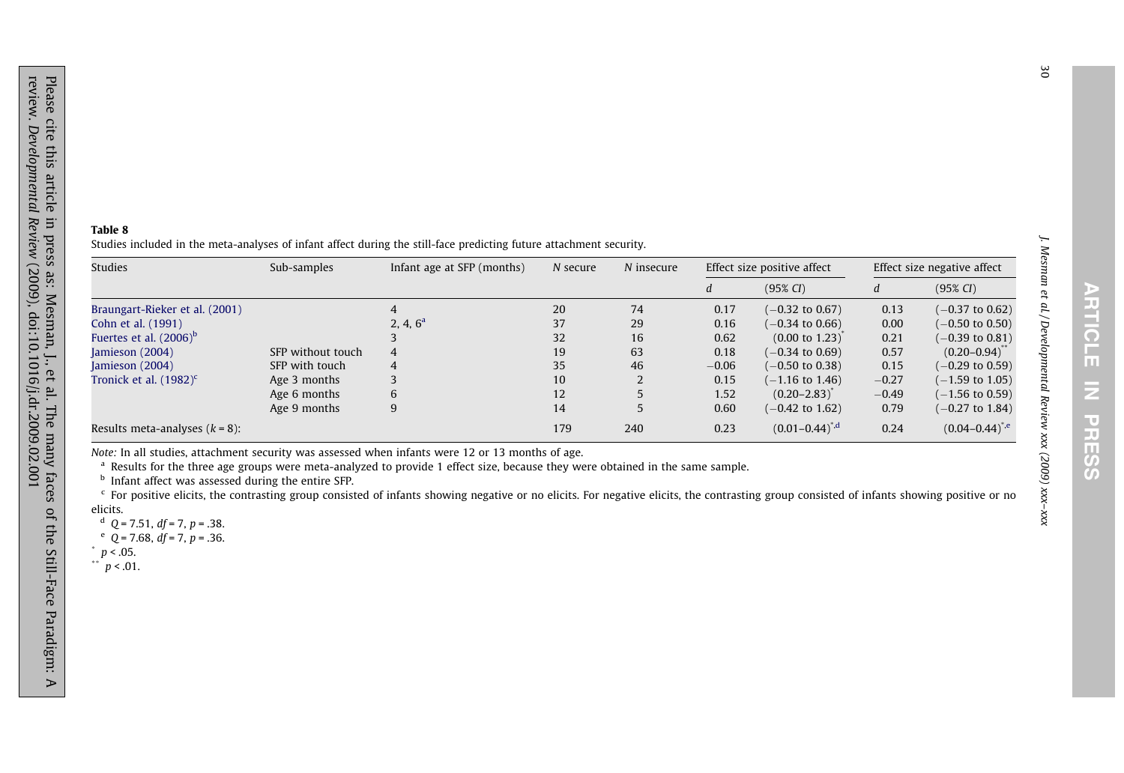### <span id="page-29-0"></span>Table 8Studies included in the meta-analyses of infant affect during the still-face predicting future attachment security.

| Studies                           | Sub-samples       | Infant age at SFP (months) | N secure | N insecure | Effect size positive affect |                            | Effect size negative affect |                              |
|-----------------------------------|-------------------|----------------------------|----------|------------|-----------------------------|----------------------------|-----------------------------|------------------------------|
|                                   |                   |                            |          |            |                             | $(95\% \, \text{CI})$      | a                           | $(95\% CI)$                  |
| Braungart-Rieker et al. (2001)    |                   |                            | 20       | 74         | 0.17                        | $-0.32$ to $0.67$ )        | 0.13                        | $(-0.37 \text{ to } 0.62)$   |
| Cohn et al. (1991)                |                   | $2, 4, 6^a$                | 37       | 29         | 0.16                        | $(-0.34 \text{ to } 0.66)$ | 0.00                        | $(-0.50 \text{ to } 0.50)$   |
| Fuertes et al. $(2006)^b$         |                   |                            | 32       | 16         | 0.62                        | $(0.00 \text{ to } 1.23)$  | 0.21                        | $(-0.39 \text{ to } 0.81)$   |
| Jamieson (2004)                   | SFP without touch | 4                          | 19       | 63         | 0.18                        | $(-0.34 \text{ to } 0.69)$ | 0.57                        | $(0.20 - 0.94)$              |
| Jamieson (2004)                   | SFP with touch    | 4                          | 35       | 46         | $-0.06$                     | $(-0.50 \text{ to } 0.38)$ | 0.15                        | $(-0.29 \text{ to } 0.59)$   |
| Tronick et al. $(1982)^c$         | Age 3 months      |                            | 10       |            | 0.15                        | $(-1.16 \text{ to } 1.46)$ | $-0.27$                     | $(-1.59 \text{ to } 1.05)$   |
|                                   | Age 6 months      | 6                          | 12       |            | 1.52                        | $(0.20 - 2.83)$            | $-0.49$                     | $(-1.56 \text{ to } 0.59)$   |
|                                   | Age 9 months      |                            | 14       | 5          | 0.60                        | $(-0.42 \text{ to } 1.62)$ | 0.79                        | $(-0.27 \text{ to } 1.84)$   |
| Results meta-analyses $(k = 8)$ : |                   |                            | 179      | 240        | 0.23                        | $(0.01 - 0.44)^{4}$        | 0.24                        | $(0.04 - 0.44)^{^{\circ}$ .e |

Note: In all studies, attachment security was assessed when infants were 12 or 13 months of age.

<sup>a</sup> Results for the three age groups were meta-analyzed to provide 1 effect size, because they were obtained in the same sample.

**b** Infant affect was assessed during the entire SFP.

 $\epsilon$  For positive elicits, the contrasting group consisted of infants showing negative or no elicits. For negative elicits, the contrasting group consisted of infants showing positive or no elicits.

 $d \quad Q = 7.51, df = 7, p = .38.$  $e^e$  Q = 7.68, df = 7, p = .36.

 $p < 0.05$ .

\*\*  $p < .01$ .

J. Mesman et al. / Developmental Review xxx (2009) xxx–xxx

J. Mesman et al./Developmental Review xxx (2009) xxx-xxx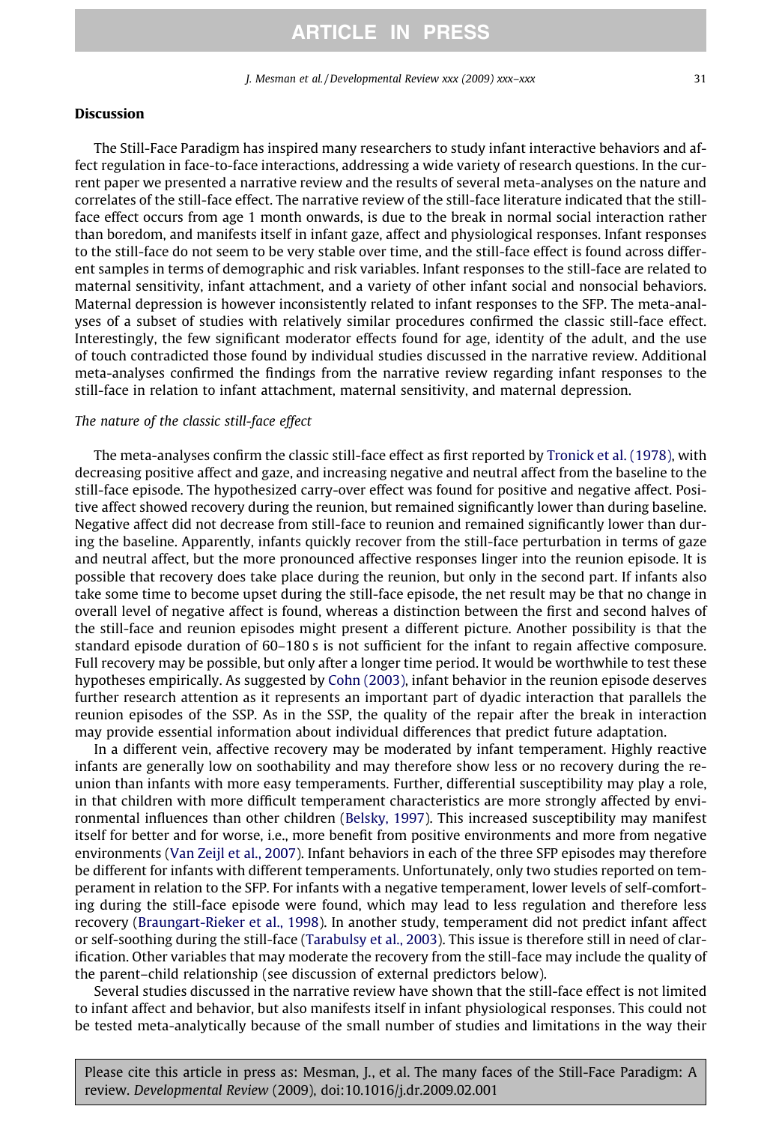### Discussion

The Still-Face Paradigm has inspired many researchers to study infant interactive behaviors and affect regulation in face-to-face interactions, addressing a wide variety of research questions. In the current paper we presented a narrative review and the results of several meta-analyses on the nature and correlates of the still-face effect. The narrative review of the still-face literature indicated that the stillface effect occurs from age 1 month onwards, is due to the break in normal social interaction rather than boredom, and manifests itself in infant gaze, affect and physiological responses. Infant responses to the still-face do not seem to be very stable over time, and the still-face effect is found across different samples in terms of demographic and risk variables. Infant responses to the still-face are related to maternal sensitivity, infant attachment, and a variety of other infant social and nonsocial behaviors. Maternal depression is however inconsistently related to infant responses to the SFP. The meta-analyses of a subset of studies with relatively similar procedures confirmed the classic still-face effect. Interestingly, the few significant moderator effects found for age, identity of the adult, and the use of touch contradicted those found by individual studies discussed in the narrative review. Additional meta-analyses confirmed the findings from the narrative review regarding infant responses to the still-face in relation to infant attachment, maternal sensitivity, and maternal depression.

### The nature of the classic still-face effect

The meta-analyses confirm the classic still-face effect as first reported by [Tronick et al. \(1978\),](#page-42-0) with decreasing positive affect and gaze, and increasing negative and neutral affect from the baseline to the still-face episode. The hypothesized carry-over effect was found for positive and negative affect. Positive affect showed recovery during the reunion, but remained significantly lower than during baseline. Negative affect did not decrease from still-face to reunion and remained significantly lower than during the baseline. Apparently, infants quickly recover from the still-face perturbation in terms of gaze and neutral affect, but the more pronounced affective responses linger into the reunion episode. It is possible that recovery does take place during the reunion, but only in the second part. If infants also take some time to become upset during the still-face episode, the net result may be that no change in overall level of negative affect is found, whereas a distinction between the first and second halves of the still-face and reunion episodes might present a different picture. Another possibility is that the standard episode duration of 60–180 s is not sufficient for the infant to regain affective composure. Full recovery may be possible, but only after a longer time period. It would be worthwhile to test these hypotheses empirically. As suggested by [Cohn \(2003\)](#page-39-0), infant behavior in the reunion episode deserves further research attention as it represents an important part of dyadic interaction that parallels the reunion episodes of the SSP. As in the SSP, the quality of the repair after the break in interaction may provide essential information about individual differences that predict future adaptation.

In a different vein, affective recovery may be moderated by infant temperament. Highly reactive infants are generally low on soothability and may therefore show less or no recovery during the reunion than infants with more easy temperaments. Further, differential susceptibility may play a role, in that children with more difficult temperament characteristics are more strongly affected by environmental influences than other children [\(Belsky, 1997](#page-39-0)). This increased susceptibility may manifest itself for better and for worse, i.e., more benefit from positive environments and more from negative environments [\(Van Zeijl et al., 2007](#page-42-0)). Infant behaviors in each of the three SFP episodes may therefore be different for infants with different temperaments. Unfortunately, only two studies reported on temperament in relation to the SFP. For infants with a negative temperament, lower levels of self-comforting during the still-face episode were found, which may lead to less regulation and therefore less recovery ([Braungart-Rieker et al., 1998](#page-39-0)). In another study, temperament did not predict infant affect or self-soothing during the still-face [\(Tarabulsy et al., 2003\)](#page-42-0). This issue is therefore still in need of clarification. Other variables that may moderate the recovery from the still-face may include the quality of the parent–child relationship (see discussion of external predictors below).

Several studies discussed in the narrative review have shown that the still-face effect is not limited to infant affect and behavior, but also manifests itself in infant physiological responses. This could not be tested meta-analytically because of the small number of studies and limitations in the way their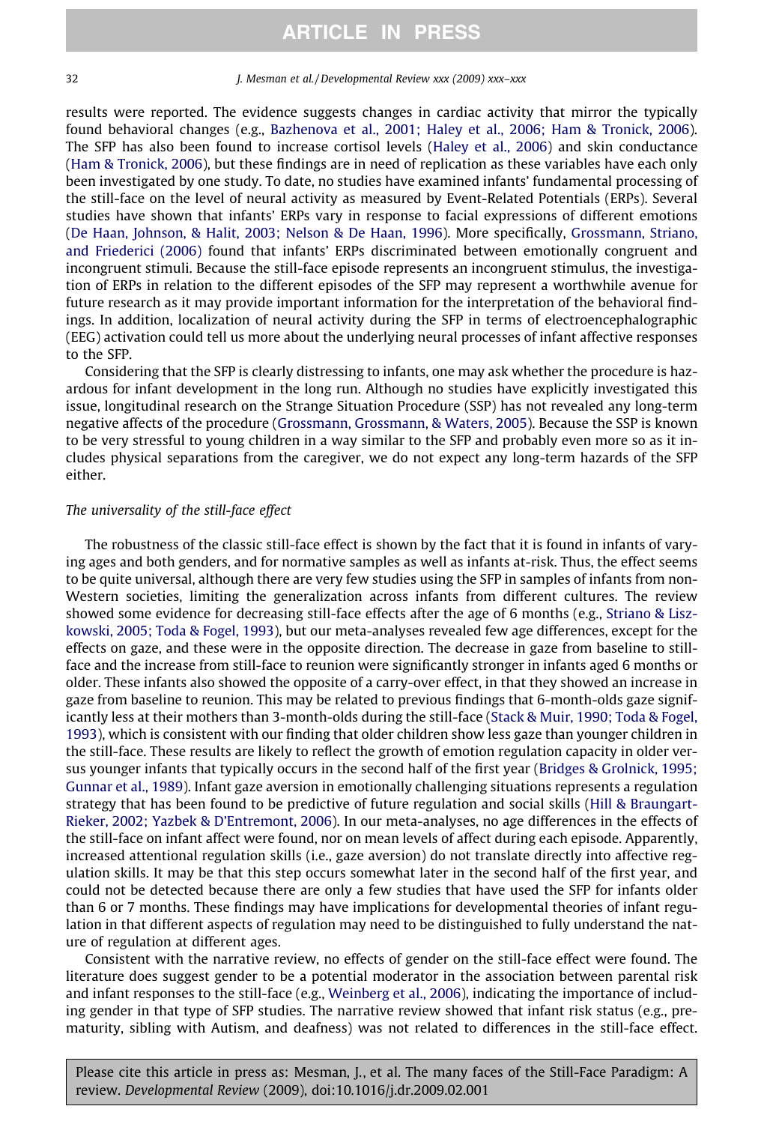results were reported. The evidence suggests changes in cardiac activity that mirror the typically found behavioral changes (e.g., [Bazhenova et al., 2001; Haley et al., 2006; Ham & Tronick, 2006](#page-39-0)). The SFP has also been found to increase cortisol levels [\(Haley et al., 2006](#page-40-0)) and skin conductance ([Ham & Tronick, 2006\)](#page-40-0), but these findings are in need of replication as these variables have each only been investigated by one study. To date, no studies have examined infants' fundamental processing of the still-face on the level of neural activity as measured by Event-Related Potentials (ERPs). Several studies have shown that infants' ERPs vary in response to facial expressions of different emotions ([De Haan, Johnson, & Halit, 2003; Nelson & De Haan, 1996\)](#page-39-0). More specifically, [Grossmann, Striano,](#page-40-0) [and Friederici \(2006\)](#page-40-0) found that infants' ERPs discriminated between emotionally congruent and incongruent stimuli. Because the still-face episode represents an incongruent stimulus, the investigation of ERPs in relation to the different episodes of the SFP may represent a worthwhile avenue for future research as it may provide important information for the interpretation of the behavioral findings. In addition, localization of neural activity during the SFP in terms of electroencephalographic (EEG) activation could tell us more about the underlying neural processes of infant affective responses to the SFP.

Considering that the SFP is clearly distressing to infants, one may ask whether the procedure is hazardous for infant development in the long run. Although no studies have explicitly investigated this issue, longitudinal research on the Strange Situation Procedure (SSP) has not revealed any long-term negative affects of the procedure [\(Grossmann, Grossmann, & Waters, 2005](#page-40-0)). Because the SSP is known to be very stressful to young children in a way similar to the SFP and probably even more so as it includes physical separations from the caregiver, we do not expect any long-term hazards of the SFP either.

### The universality of the still-face effect

The robustness of the classic still-face effect is shown by the fact that it is found in infants of varying ages and both genders, and for normative samples as well as infants at-risk. Thus, the effect seems to be quite universal, although there are very few studies using the SFP in samples of infants from non-Western societies, limiting the generalization across infants from different cultures. The review showed some evidence for decreasing still-face effects after the age of 6 months (e.g., [Striano & Lisz](#page-42-0)[kowski, 2005; Toda & Fogel, 1993\)](#page-42-0), but our meta-analyses revealed few age differences, except for the effects on gaze, and these were in the opposite direction. The decrease in gaze from baseline to stillface and the increase from still-face to reunion were significantly stronger in infants aged 6 months or older. These infants also showed the opposite of a carry-over effect, in that they showed an increase in gaze from baseline to reunion. This may be related to previous findings that 6-month-olds gaze significantly less at their mothers than 3-month-olds during the still-face [\(Stack & Muir, 1990; Toda & Fogel,](#page-42-0) [1993\)](#page-42-0), which is consistent with our finding that older children show less gaze than younger children in the still-face. These results are likely to reflect the growth of emotion regulation capacity in older versus younger infants that typically occurs in the second half of the first year [\(Bridges & Grolnick, 1995;](#page-39-0) [Gunnar et al., 1989\)](#page-39-0). Infant gaze aversion in emotionally challenging situations represents a regulation strategy that has been found to be predictive of future regulation and social skills [\(Hill & Braungart-](#page-40-0)[Rieker, 2002; Yazbek & D'Entremont, 2006\)](#page-40-0). In our meta-analyses, no age differences in the effects of the still-face on infant affect were found, nor on mean levels of affect during each episode. Apparently, increased attentional regulation skills (i.e., gaze aversion) do not translate directly into affective regulation skills. It may be that this step occurs somewhat later in the second half of the first year, and could not be detected because there are only a few studies that have used the SFP for infants older than 6 or 7 months. These findings may have implications for developmental theories of infant regulation in that different aspects of regulation may need to be distinguished to fully understand the nature of regulation at different ages.

Consistent with the narrative review, no effects of gender on the still-face effect were found. The literature does suggest gender to be a potential moderator in the association between parental risk and infant responses to the still-face (e.g., [Weinberg et al., 2006](#page-42-0)), indicating the importance of including gender in that type of SFP studies. The narrative review showed that infant risk status (e.g., prematurity, sibling with Autism, and deafness) was not related to differences in the still-face effect.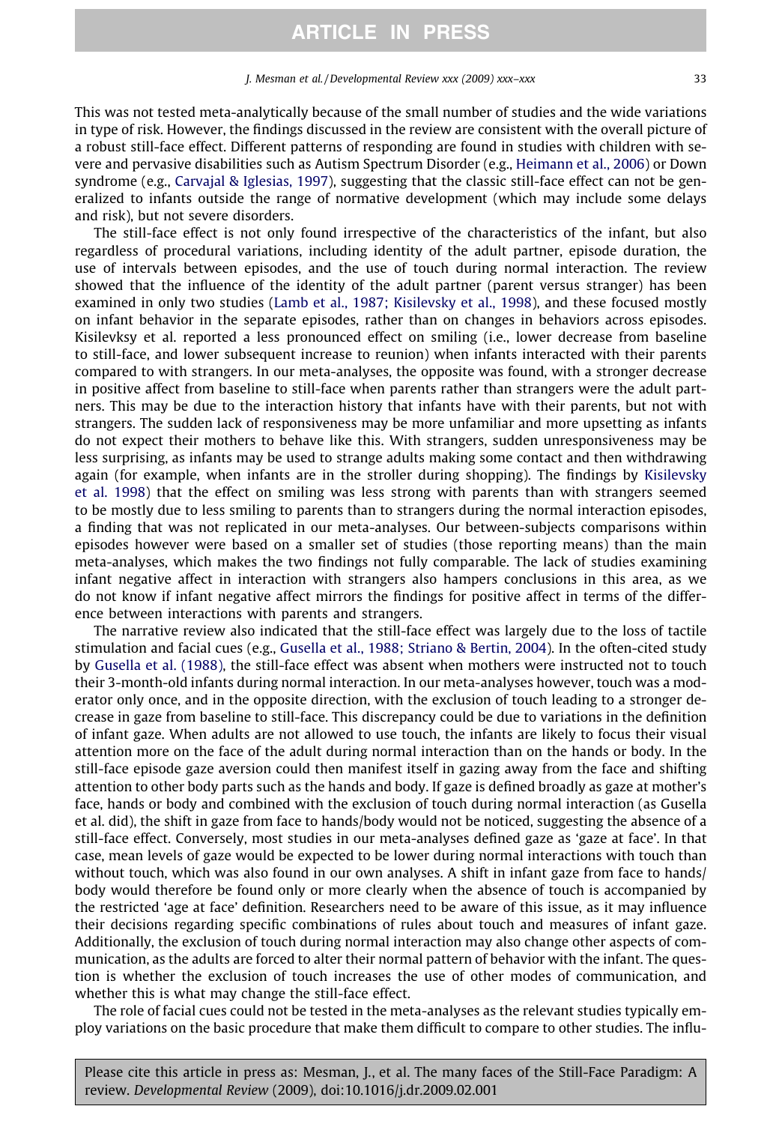This was not tested meta-analytically because of the small number of studies and the wide variations in type of risk. However, the findings discussed in the review are consistent with the overall picture of a robust still-face effect. Different patterns of responding are found in studies with children with severe and pervasive disabilities such as Autism Spectrum Disorder (e.g., [Heimann et al., 2006](#page-40-0)) or Down syndrome (e.g., [Carvajal & Iglesias, 1997\)](#page-39-0), suggesting that the classic still-face effect can not be generalized to infants outside the range of normative development (which may include some delays and risk), but not severe disorders.

The still-face effect is not only found irrespective of the characteristics of the infant, but also regardless of procedural variations, including identity of the adult partner, episode duration, the use of intervals between episodes, and the use of touch during normal interaction. The review showed that the influence of the identity of the adult partner (parent versus stranger) has been examined in only two studies ([Lamb et al., 1987; Kisilevsky et al., 1998](#page-41-0)), and these focused mostly on infant behavior in the separate episodes, rather than on changes in behaviors across episodes. Kisilevksy et al. reported a less pronounced effect on smiling (i.e., lower decrease from baseline to still-face, and lower subsequent increase to reunion) when infants interacted with their parents compared to with strangers. In our meta-analyses, the opposite was found, with a stronger decrease in positive affect from baseline to still-face when parents rather than strangers were the adult partners. This may be due to the interaction history that infants have with their parents, but not with strangers. The sudden lack of responsiveness may be more unfamiliar and more upsetting as infants do not expect their mothers to behave like this. With strangers, sudden unresponsiveness may be less surprising, as infants may be used to strange adults making some contact and then withdrawing again (for example, when infants are in the stroller during shopping). The findings by [Kisilevsky](#page-40-0) [et al. 1998](#page-40-0)) that the effect on smiling was less strong with parents than with strangers seemed to be mostly due to less smiling to parents than to strangers during the normal interaction episodes, a finding that was not replicated in our meta-analyses. Our between-subjects comparisons within episodes however were based on a smaller set of studies (those reporting means) than the main meta-analyses, which makes the two findings not fully comparable. The lack of studies examining infant negative affect in interaction with strangers also hampers conclusions in this area, as we do not know if infant negative affect mirrors the findings for positive affect in terms of the difference between interactions with parents and strangers.

The narrative review also indicated that the still-face effect was largely due to the loss of tactile stimulation and facial cues (e.g., [Gusella et al., 1988; Striano & Bertin, 2004\)](#page-40-0). In the often-cited study by [Gusella et al. \(1988\),](#page-40-0) the still-face effect was absent when mothers were instructed not to touch their 3-month-old infants during normal interaction. In our meta-analyses however, touch was a moderator only once, and in the opposite direction, with the exclusion of touch leading to a stronger decrease in gaze from baseline to still-face. This discrepancy could be due to variations in the definition of infant gaze. When adults are not allowed to use touch, the infants are likely to focus their visual attention more on the face of the adult during normal interaction than on the hands or body. In the still-face episode gaze aversion could then manifest itself in gazing away from the face and shifting attention to other body parts such as the hands and body. If gaze is defined broadly as gaze at mother's face, hands or body and combined with the exclusion of touch during normal interaction (as Gusella et al. did), the shift in gaze from face to hands/body would not be noticed, suggesting the absence of a still-face effect. Conversely, most studies in our meta-analyses defined gaze as 'gaze at face'. In that case, mean levels of gaze would be expected to be lower during normal interactions with touch than without touch, which was also found in our own analyses. A shift in infant gaze from face to hands/ body would therefore be found only or more clearly when the absence of touch is accompanied by the restricted 'age at face' definition. Researchers need to be aware of this issue, as it may influence their decisions regarding specific combinations of rules about touch and measures of infant gaze. Additionally, the exclusion of touch during normal interaction may also change other aspects of communication, as the adults are forced to alter their normal pattern of behavior with the infant. The question is whether the exclusion of touch increases the use of other modes of communication, and whether this is what may change the still-face effect.

The role of facial cues could not be tested in the meta-analyses as the relevant studies typically employ variations on the basic procedure that make them difficult to compare to other studies. The influ-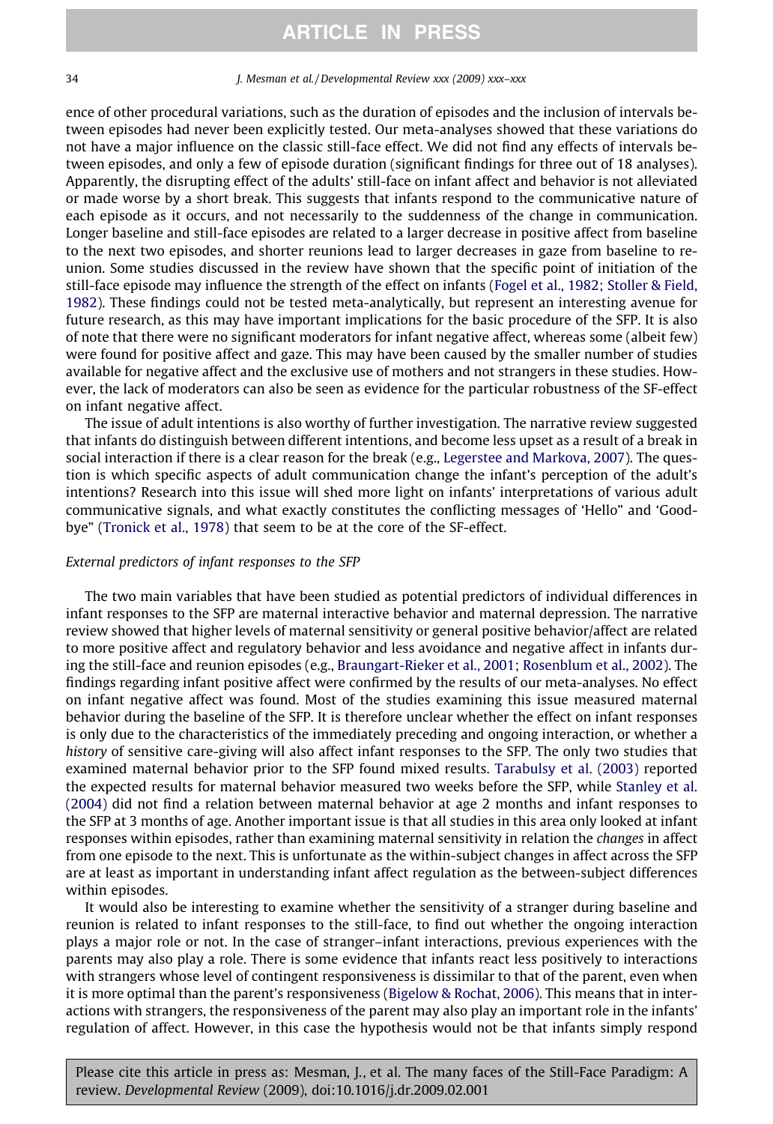### 34 J. Mesman et al. / Developmental Review xxx (2009) xxx–xxx

ence of other procedural variations, such as the duration of episodes and the inclusion of intervals between episodes had never been explicitly tested. Our meta-analyses showed that these variations do not have a major influence on the classic still-face effect. We did not find any effects of intervals between episodes, and only a few of episode duration (significant findings for three out of 18 analyses). Apparently, the disrupting effect of the adults' still-face on infant affect and behavior is not alleviated or made worse by a short break. This suggests that infants respond to the communicative nature of each episode as it occurs, and not necessarily to the suddenness of the change in communication. Longer baseline and still-face episodes are related to a larger decrease in positive affect from baseline to the next two episodes, and shorter reunions lead to larger decreases in gaze from baseline to reunion. Some studies discussed in the review have shown that the specific point of initiation of the still-face episode may influence the strength of the effect on infants [\(Fogel et al., 1982; Stoller & Field,](#page-40-0) [1982\)](#page-40-0). These findings could not be tested meta-analytically, but represent an interesting avenue for future research, as this may have important implications for the basic procedure of the SFP. It is also of note that there were no significant moderators for infant negative affect, whereas some (albeit few) were found for positive affect and gaze. This may have been caused by the smaller number of studies available for negative affect and the exclusive use of mothers and not strangers in these studies. However, the lack of moderators can also be seen as evidence for the particular robustness of the SF-effect on infant negative affect.

The issue of adult intentions is also worthy of further investigation. The narrative review suggested that infants do distinguish between different intentions, and become less upset as a result of a break in social interaction if there is a clear reason for the break (e.g., [Legerstee and Markova, 2007](#page-41-0)). The question is which specific aspects of adult communication change the infant's perception of the adult's intentions? Research into this issue will shed more light on infants' interpretations of various adult communicative signals, and what exactly constitutes the conflicting messages of 'Hello" and 'Goodbye" ([Tronick et al., 1978\)](#page-42-0) that seem to be at the core of the SF-effect.

## External predictors of infant responses to the SFP

The two main variables that have been studied as potential predictors of individual differences in infant responses to the SFP are maternal interactive behavior and maternal depression. The narrative review showed that higher levels of maternal sensitivity or general positive behavior/affect are related to more positive affect and regulatory behavior and less avoidance and negative affect in infants during the still-face and reunion episodes (e.g., [Braungart-Rieker et al., 2001; Rosenblum et al., 2002\)](#page-39-0). The findings regarding infant positive affect were confirmed by the results of our meta-analyses. No effect on infant negative affect was found. Most of the studies examining this issue measured maternal behavior during the baseline of the SFP. It is therefore unclear whether the effect on infant responses is only due to the characteristics of the immediately preceding and ongoing interaction, or whether a history of sensitive care-giving will also affect infant responses to the SFP. The only two studies that examined maternal behavior prior to the SFP found mixed results. [Tarabulsy et al. \(2003\)](#page-42-0) reported the expected results for maternal behavior measured two weeks before the SFP, while [Stanley et al.](#page-42-0) [\(2004\)](#page-42-0) did not find a relation between maternal behavior at age 2 months and infant responses to the SFP at 3 months of age. Another important issue is that all studies in this area only looked at infant responses within episodes, rather than examining maternal sensitivity in relation the changes in affect from one episode to the next. This is unfortunate as the within-subject changes in affect across the SFP are at least as important in understanding infant affect regulation as the between-subject differences within episodes.

It would also be interesting to examine whether the sensitivity of a stranger during baseline and reunion is related to infant responses to the still-face, to find out whether the ongoing interaction plays a major role or not. In the case of stranger–infant interactions, previous experiences with the parents may also play a role. There is some evidence that infants react less positively to interactions with strangers whose level of contingent responsiveness is dissimilar to that of the parent, even when it is more optimal than the parent's responsiveness [\(Bigelow & Rochat, 2006](#page-39-0)). This means that in interactions with strangers, the responsiveness of the parent may also play an important role in the infants' regulation of affect. However, in this case the hypothesis would not be that infants simply respond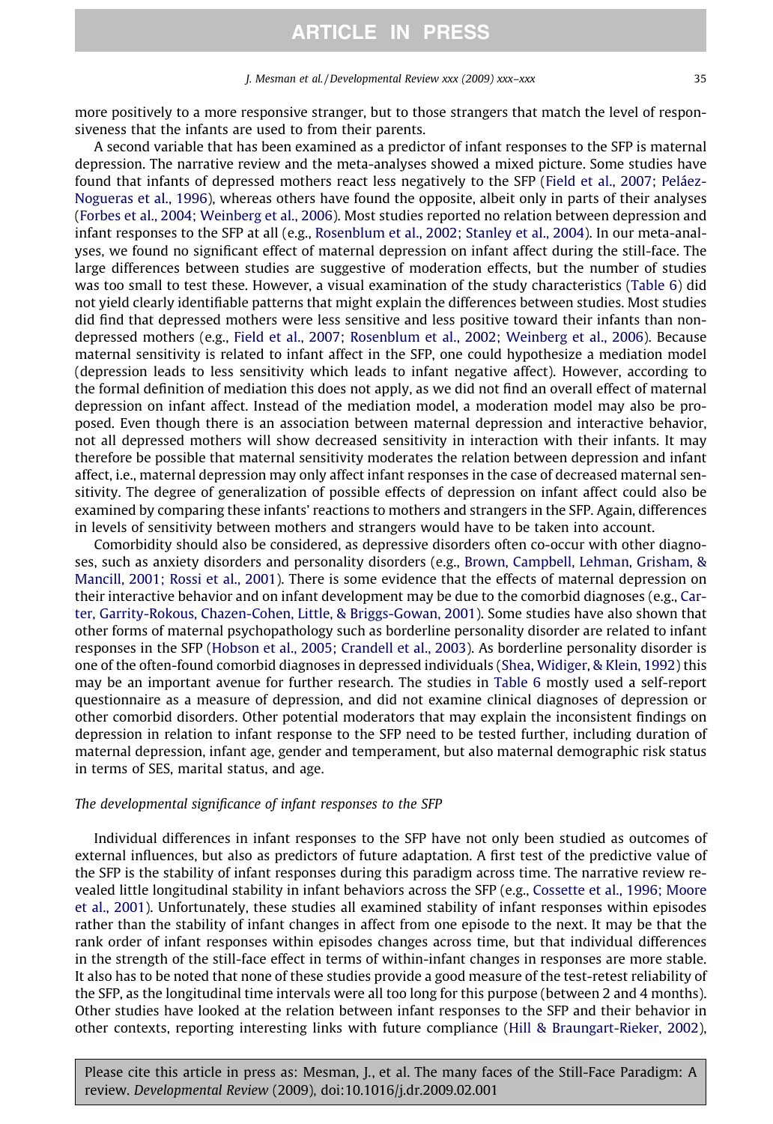more positively to a more responsive stranger, but to those strangers that match the level of responsiveness that the infants are used to from their parents.

A second variable that has been examined as a predictor of infant responses to the SFP is maternal depression. The narrative review and the meta-analyses showed a mixed picture. Some studies have found that infants of depressed mothers react less negatively to the SFP [\(Field et al., 2007; Peláez-](#page-40-0)[Nogueras et al., 1996\)](#page-40-0), whereas others have found the opposite, albeit only in parts of their analyses [\(Forbes et al., 2004; Weinberg et al., 2006](#page-40-0)). Most studies reported no relation between depression and infant responses to the SFP at all (e.g., [Rosenblum et al., 2002; Stanley et al., 2004\)](#page-41-0). In our meta-analyses, we found no significant effect of maternal depression on infant affect during the still-face. The large differences between studies are suggestive of moderation effects, but the number of studies was too small to test these. However, a visual examination of the study characteristics [\(Table 6](#page-27-0)) did not yield clearly identifiable patterns that might explain the differences between studies. Most studies did find that depressed mothers were less sensitive and less positive toward their infants than nondepressed mothers (e.g., [Field et al., 2007; Rosenblum et al., 2002; Weinberg et al., 2006\)](#page-40-0). Because maternal sensitivity is related to infant affect in the SFP, one could hypothesize a mediation model (depression leads to less sensitivity which leads to infant negative affect). However, according to the formal definition of mediation this does not apply, as we did not find an overall effect of maternal depression on infant affect. Instead of the mediation model, a moderation model may also be proposed. Even though there is an association between maternal depression and interactive behavior, not all depressed mothers will show decreased sensitivity in interaction with their infants. It may therefore be possible that maternal sensitivity moderates the relation between depression and infant affect, i.e., maternal depression may only affect infant responses in the case of decreased maternal sensitivity. The degree of generalization of possible effects of depression on infant affect could also be examined by comparing these infants' reactions to mothers and strangers in the SFP. Again, differences in levels of sensitivity between mothers and strangers would have to be taken into account.

Comorbidity should also be considered, as depressive disorders often co-occur with other diagnoses, such as anxiety disorders and personality disorders (e.g., [Brown, Campbell, Lehman, Grisham, &](#page-39-0) [Mancill, 2001; Rossi et al., 2001](#page-39-0)). There is some evidence that the effects of maternal depression on their interactive behavior and on infant development may be due to the comorbid diagnoses (e.g., [Car](#page-39-0)[ter, Garrity-Rokous, Chazen-Cohen, Little, & Briggs-Gowan, 2001](#page-39-0)). Some studies have also shown that other forms of maternal psychopathology such as borderline personality disorder are related to infant responses in the SFP [\(Hobson et al., 2005; Crandell et al., 2003](#page-40-0)). As borderline personality disorder is one of the often-found comorbid diagnoses in depressed individuals ([Shea, Widiger, & Klein, 1992\)](#page-41-0) this may be an important avenue for further research. The studies in [Table 6](#page-27-0) mostly used a self-report questionnaire as a measure of depression, and did not examine clinical diagnoses of depression or other comorbid disorders. Other potential moderators that may explain the inconsistent findings on depression in relation to infant response to the SFP need to be tested further, including duration of maternal depression, infant age, gender and temperament, but also maternal demographic risk status in terms of SES, marital status, and age.

## The developmental significance of infant responses to the SFP

Individual differences in infant responses to the SFP have not only been studied as outcomes of external influences, but also as predictors of future adaptation. A first test of the predictive value of the SFP is the stability of infant responses during this paradigm across time. The narrative review revealed little longitudinal stability in infant behaviors across the SFP (e.g., [Cossette et al., 1996; Moore](#page-39-0) [et al., 2001\)](#page-39-0). Unfortunately, these studies all examined stability of infant responses within episodes rather than the stability of infant changes in affect from one episode to the next. It may be that the rank order of infant responses within episodes changes across time, but that individual differences in the strength of the still-face effect in terms of within-infant changes in responses are more stable. It also has to be noted that none of these studies provide a good measure of the test-retest reliability of the SFP, as the longitudinal time intervals were all too long for this purpose (between 2 and 4 months). Other studies have looked at the relation between infant responses to the SFP and their behavior in other contexts, reporting interesting links with future compliance [\(Hill & Braungart-Rieker, 2002](#page-40-0)),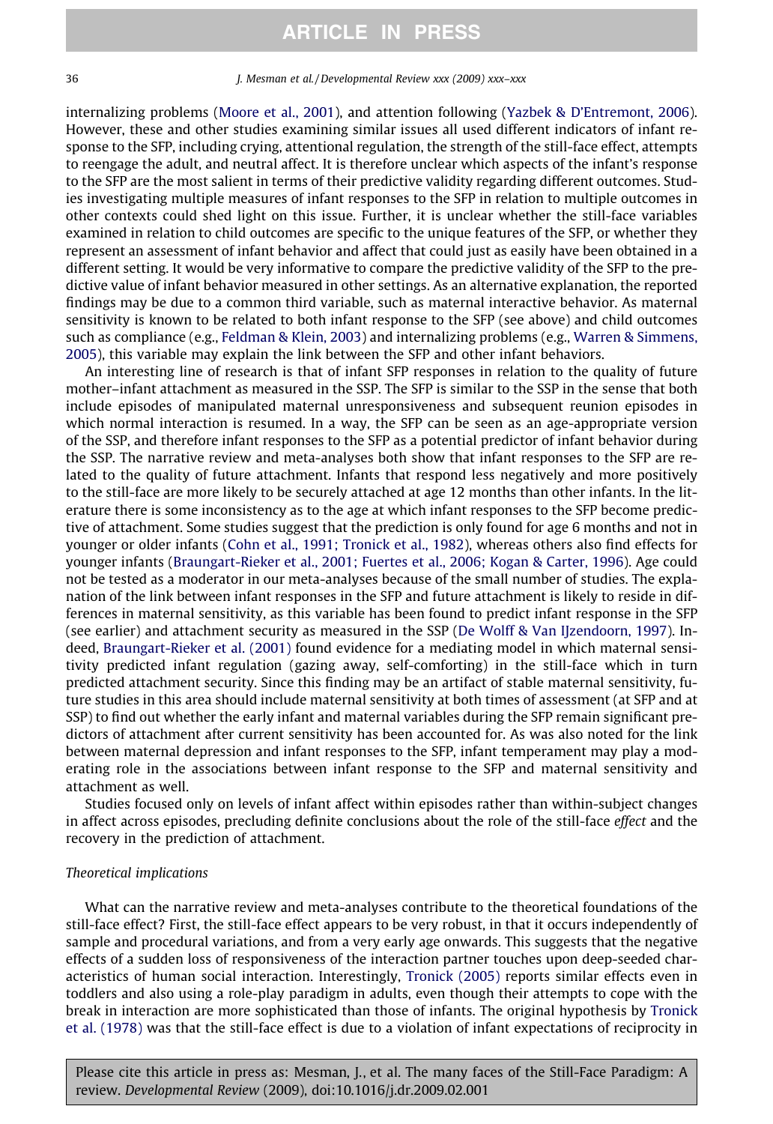internalizing problems [\(Moore et al., 2001\)](#page-41-0), and attention following ([Yazbek & D'Entremont, 2006](#page-42-0)). However, these and other studies examining similar issues all used different indicators of infant response to the SFP, including crying, attentional regulation, the strength of the still-face effect, attempts to reengage the adult, and neutral affect. It is therefore unclear which aspects of the infant's response to the SFP are the most salient in terms of their predictive validity regarding different outcomes. Studies investigating multiple measures of infant responses to the SFP in relation to multiple outcomes in other contexts could shed light on this issue. Further, it is unclear whether the still-face variables examined in relation to child outcomes are specific to the unique features of the SFP, or whether they represent an assessment of infant behavior and affect that could just as easily have been obtained in a different setting. It would be very informative to compare the predictive validity of the SFP to the predictive value of infant behavior measured in other settings. As an alternative explanation, the reported findings may be due to a common third variable, such as maternal interactive behavior. As maternal sensitivity is known to be related to both infant response to the SFP (see above) and child outcomes such as compliance (e.g., [Feldman & Klein, 2003\)](#page-39-0) and internalizing problems (e.g., [Warren & Simmens,](#page-42-0) [2005\)](#page-42-0), this variable may explain the link between the SFP and other infant behaviors.

An interesting line of research is that of infant SFP responses in relation to the quality of future mother–infant attachment as measured in the SSP. The SFP is similar to the SSP in the sense that both include episodes of manipulated maternal unresponsiveness and subsequent reunion episodes in which normal interaction is resumed. In a way, the SFP can be seen as an age-appropriate version of the SSP, and therefore infant responses to the SFP as a potential predictor of infant behavior during the SSP. The narrative review and meta-analyses both show that infant responses to the SFP are related to the quality of future attachment. Infants that respond less negatively and more positively to the still-face are more likely to be securely attached at age 12 months than other infants. In the literature there is some inconsistency as to the age at which infant responses to the SFP become predictive of attachment. Some studies suggest that the prediction is only found for age 6 months and not in younger or older infants ([Cohn et al., 1991; Tronick et al., 1982](#page-39-0)), whereas others also find effects for younger infants ([Braungart-Rieker et al., 2001; Fuertes et al., 2006; Kogan & Carter, 1996\)](#page-39-0). Age could not be tested as a moderator in our meta-analyses because of the small number of studies. The explanation of the link between infant responses in the SFP and future attachment is likely to reside in differences in maternal sensitivity, as this variable has been found to predict infant response in the SFP (see earlier) and attachment security as measured in the SSP [\(De Wolff & Van IJzendoorn, 1997\)](#page-39-0). Indeed, [Braungart-Rieker et al. \(2001\)](#page-39-0) found evidence for a mediating model in which maternal sensitivity predicted infant regulation (gazing away, self-comforting) in the still-face which in turn predicted attachment security. Since this finding may be an artifact of stable maternal sensitivity, future studies in this area should include maternal sensitivity at both times of assessment (at SFP and at SSP) to find out whether the early infant and maternal variables during the SFP remain significant predictors of attachment after current sensitivity has been accounted for. As was also noted for the link between maternal depression and infant responses to the SFP, infant temperament may play a moderating role in the associations between infant response to the SFP and maternal sensitivity and attachment as well.

Studies focused only on levels of infant affect within episodes rather than within-subject changes in affect across episodes, precluding definite conclusions about the role of the still-face effect and the recovery in the prediction of attachment.

## Theoretical implications

What can the narrative review and meta-analyses contribute to the theoretical foundations of the still-face effect? First, the still-face effect appears to be very robust, in that it occurs independently of sample and procedural variations, and from a very early age onwards. This suggests that the negative effects of a sudden loss of responsiveness of the interaction partner touches upon deep-seeded characteristics of human social interaction. Interestingly, [Tronick \(2005\)](#page-42-0) reports similar effects even in toddlers and also using a role-play paradigm in adults, even though their attempts to cope with the break in interaction are more sophisticated than those of infants. The original hypothesis by [Tronick](#page-42-0) [et al. \(1978\)](#page-42-0) was that the still-face effect is due to a violation of infant expectations of reciprocity in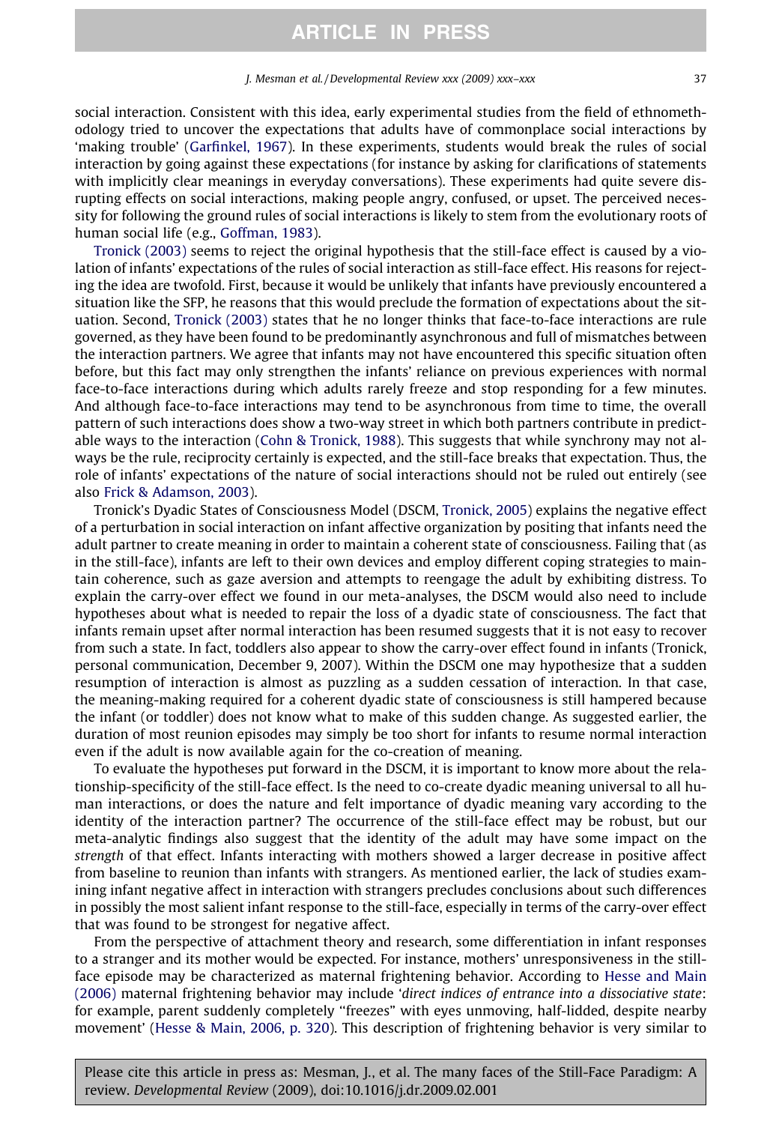social interaction. Consistent with this idea, early experimental studies from the field of ethnomethodology tried to uncover the expectations that adults have of commonplace social interactions by 'making trouble' ([Garfinkel, 1967\)](#page-40-0). In these experiments, students would break the rules of social interaction by going against these expectations (for instance by asking for clarifications of statements with implicitly clear meanings in everyday conversations). These experiments had quite severe disrupting effects on social interactions, making people angry, confused, or upset. The perceived necessity for following the ground rules of social interactions is likely to stem from the evolutionary roots of human social life (e.g., [Goffman, 1983\)](#page-40-0).

[Tronick \(2003\)](#page-42-0) seems to reject the original hypothesis that the still-face effect is caused by a violation of infants' expectations of the rules of social interaction as still-face effect. His reasons for rejecting the idea are twofold. First, because it would be unlikely that infants have previously encountered a situation like the SFP, he reasons that this would preclude the formation of expectations about the situation. Second, [Tronick \(2003\)](#page-42-0) states that he no longer thinks that face-to-face interactions are rule governed, as they have been found to be predominantly asynchronous and full of mismatches between the interaction partners. We agree that infants may not have encountered this specific situation often before, but this fact may only strengthen the infants' reliance on previous experiences with normal face-to-face interactions during which adults rarely freeze and stop responding for a few minutes. And although face-to-face interactions may tend to be asynchronous from time to time, the overall pattern of such interactions does show a two-way street in which both partners contribute in predictable ways to the interaction ([Cohn & Tronick, 1988\)](#page-39-0). This suggests that while synchrony may not always be the rule, reciprocity certainly is expected, and the still-face breaks that expectation. Thus, the role of infants' expectations of the nature of social interactions should not be ruled out entirely (see also [Frick & Adamson, 2003](#page-40-0)).

Tronick's Dyadic States of Consciousness Model (DSCM, [Tronick, 2005](#page-42-0)) explains the negative effect of a perturbation in social interaction on infant affective organization by positing that infants need the adult partner to create meaning in order to maintain a coherent state of consciousness. Failing that (as in the still-face), infants are left to their own devices and employ different coping strategies to maintain coherence, such as gaze aversion and attempts to reengage the adult by exhibiting distress. To explain the carry-over effect we found in our meta-analyses, the DSCM would also need to include hypotheses about what is needed to repair the loss of a dyadic state of consciousness. The fact that infants remain upset after normal interaction has been resumed suggests that it is not easy to recover from such a state. In fact, toddlers also appear to show the carry-over effect found in infants (Tronick, personal communication, December 9, 2007). Within the DSCM one may hypothesize that a sudden resumption of interaction is almost as puzzling as a sudden cessation of interaction. In that case, the meaning-making required for a coherent dyadic state of consciousness is still hampered because the infant (or toddler) does not know what to make of this sudden change. As suggested earlier, the duration of most reunion episodes may simply be too short for infants to resume normal interaction even if the adult is now available again for the co-creation of meaning.

To evaluate the hypotheses put forward in the DSCM, it is important to know more about the relationship-specificity of the still-face effect. Is the need to co-create dyadic meaning universal to all human interactions, or does the nature and felt importance of dyadic meaning vary according to the identity of the interaction partner? The occurrence of the still-face effect may be robust, but our meta-analytic findings also suggest that the identity of the adult may have some impact on the strength of that effect. Infants interacting with mothers showed a larger decrease in positive affect from baseline to reunion than infants with strangers. As mentioned earlier, the lack of studies examining infant negative affect in interaction with strangers precludes conclusions about such differences in possibly the most salient infant response to the still-face, especially in terms of the carry-over effect that was found to be strongest for negative affect.

From the perspective of attachment theory and research, some differentiation in infant responses to a stranger and its mother would be expected. For instance, mothers' unresponsiveness in the stillface episode may be characterized as maternal frightening behavior. According to [Hesse and Main](#page-40-0) [\(2006\)](#page-40-0) maternal frightening behavior may include 'direct indices of entrance into a dissociative state: for example, parent suddenly completely ''freezes" with eyes unmoving, half-lidded, despite nearby movement' ([Hesse & Main, 2006, p. 320](#page-40-0)). This description of frightening behavior is very similar to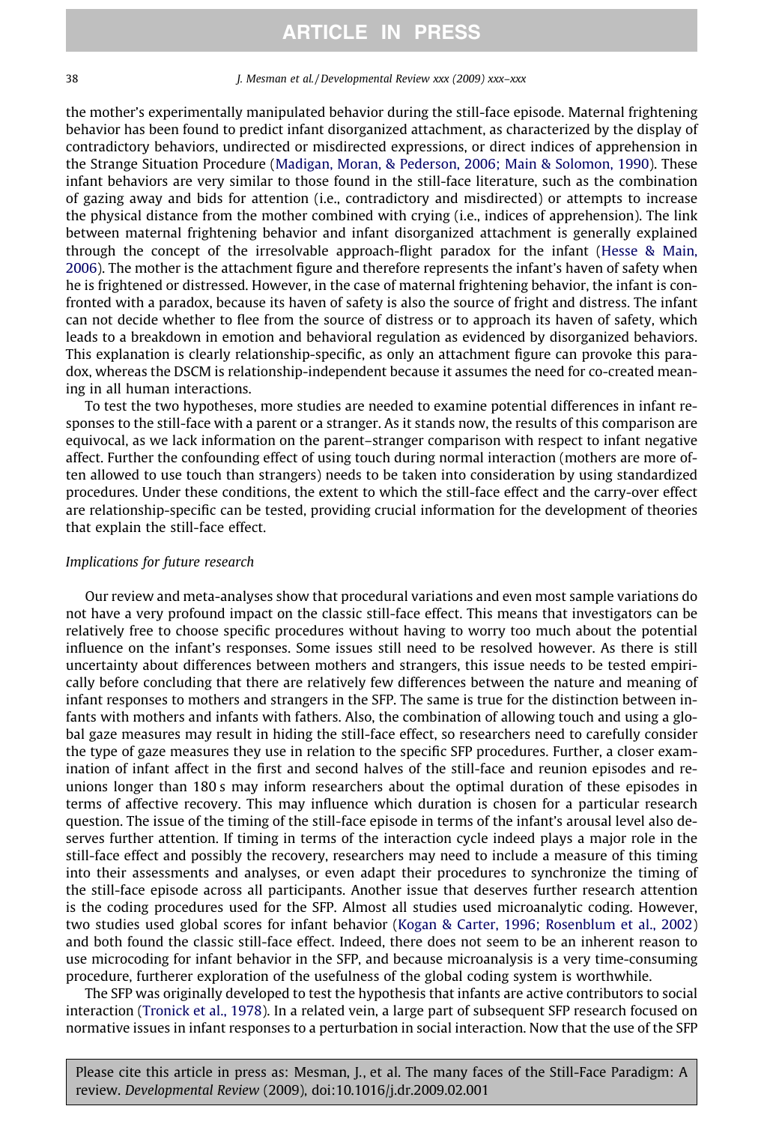the mother's experimentally manipulated behavior during the still-face episode. Maternal frightening behavior has been found to predict infant disorganized attachment, as characterized by the display of contradictory behaviors, undirected or misdirected expressions, or direct indices of apprehension in the Strange Situation Procedure ([Madigan, Moran, & Pederson, 2006; Main & Solomon, 1990\)](#page-41-0). These infant behaviors are very similar to those found in the still-face literature, such as the combination of gazing away and bids for attention (i.e., contradictory and misdirected) or attempts to increase the physical distance from the mother combined with crying (i.e., indices of apprehension). The link between maternal frightening behavior and infant disorganized attachment is generally explained through the concept of the irresolvable approach-flight paradox for the infant [\(Hesse & Main,](#page-40-0) [2006\)](#page-40-0). The mother is the attachment figure and therefore represents the infant's haven of safety when he is frightened or distressed. However, in the case of maternal frightening behavior, the infant is confronted with a paradox, because its haven of safety is also the source of fright and distress. The infant can not decide whether to flee from the source of distress or to approach its haven of safety, which leads to a breakdown in emotion and behavioral regulation as evidenced by disorganized behaviors. This explanation is clearly relationship-specific, as only an attachment figure can provoke this paradox, whereas the DSCM is relationship-independent because it assumes the need for co-created meaning in all human interactions.

To test the two hypotheses, more studies are needed to examine potential differences in infant responses to the still-face with a parent or a stranger. As it stands now, the results of this comparison are equivocal, as we lack information on the parent–stranger comparison with respect to infant negative affect. Further the confounding effect of using touch during normal interaction (mothers are more often allowed to use touch than strangers) needs to be taken into consideration by using standardized procedures. Under these conditions, the extent to which the still-face effect and the carry-over effect are relationship-specific can be tested, providing crucial information for the development of theories that explain the still-face effect.

# Implications for future research

Our review and meta-analyses show that procedural variations and even most sample variations do not have a very profound impact on the classic still-face effect. This means that investigators can be relatively free to choose specific procedures without having to worry too much about the potential influence on the infant's responses. Some issues still need to be resolved however. As there is still uncertainty about differences between mothers and strangers, this issue needs to be tested empirically before concluding that there are relatively few differences between the nature and meaning of infant responses to mothers and strangers in the SFP. The same is true for the distinction between infants with mothers and infants with fathers. Also, the combination of allowing touch and using a global gaze measures may result in hiding the still-face effect, so researchers need to carefully consider the type of gaze measures they use in relation to the specific SFP procedures. Further, a closer examination of infant affect in the first and second halves of the still-face and reunion episodes and reunions longer than 180 s may inform researchers about the optimal duration of these episodes in terms of affective recovery. This may influence which duration is chosen for a particular research question. The issue of the timing of the still-face episode in terms of the infant's arousal level also deserves further attention. If timing in terms of the interaction cycle indeed plays a major role in the still-face effect and possibly the recovery, researchers may need to include a measure of this timing into their assessments and analyses, or even adapt their procedures to synchronize the timing of the still-face episode across all participants. Another issue that deserves further research attention is the coding procedures used for the SFP. Almost all studies used microanalytic coding. However, two studies used global scores for infant behavior [\(Kogan & Carter, 1996; Rosenblum et al., 2002](#page-41-0)) and both found the classic still-face effect. Indeed, there does not seem to be an inherent reason to use microcoding for infant behavior in the SFP, and because microanalysis is a very time-consuming procedure, furtherer exploration of the usefulness of the global coding system is worthwhile.

The SFP was originally developed to test the hypothesis that infants are active contributors to social interaction [\(Tronick et al., 1978\)](#page-42-0). In a related vein, a large part of subsequent SFP research focused on normative issues in infant responses to a perturbation in social interaction. Now that the use of the SFP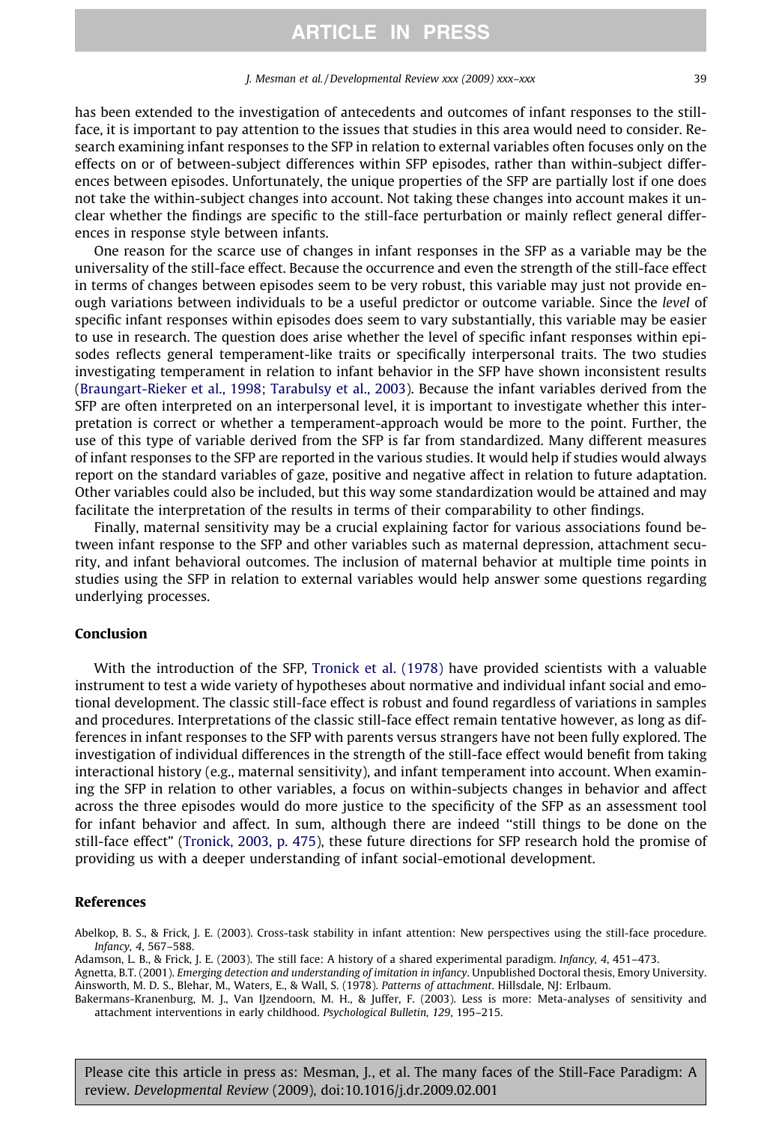<span id="page-38-0"></span>has been extended to the investigation of antecedents and outcomes of infant responses to the still-

face, it is important to pay attention to the issues that studies in this area would need to consider. Research examining infant responses to the SFP in relation to external variables often focuses only on the effects on or of between-subject differences within SFP episodes, rather than within-subject differences between episodes. Unfortunately, the unique properties of the SFP are partially lost if one does not take the within-subject changes into account. Not taking these changes into account makes it unclear whether the findings are specific to the still-face perturbation or mainly reflect general differences in response style between infants.

One reason for the scarce use of changes in infant responses in the SFP as a variable may be the universality of the still-face effect. Because the occurrence and even the strength of the still-face effect in terms of changes between episodes seem to be very robust, this variable may just not provide enough variations between individuals to be a useful predictor or outcome variable. Since the level of specific infant responses within episodes does seem to vary substantially, this variable may be easier to use in research. The question does arise whether the level of specific infant responses within episodes reflects general temperament-like traits or specifically interpersonal traits. The two studies investigating temperament in relation to infant behavior in the SFP have shown inconsistent results [\(Braungart-Rieker et al., 1998; Tarabulsy et al., 2003\)](#page-39-0). Because the infant variables derived from the SFP are often interpreted on an interpersonal level, it is important to investigate whether this interpretation is correct or whether a temperament-approach would be more to the point. Further, the use of this type of variable derived from the SFP is far from standardized. Many different measures of infant responses to the SFP are reported in the various studies. It would help if studies would always report on the standard variables of gaze, positive and negative affect in relation to future adaptation. Other variables could also be included, but this way some standardization would be attained and may facilitate the interpretation of the results in terms of their comparability to other findings.

Finally, maternal sensitivity may be a crucial explaining factor for various associations found between infant response to the SFP and other variables such as maternal depression, attachment security, and infant behavioral outcomes. The inclusion of maternal behavior at multiple time points in studies using the SFP in relation to external variables would help answer some questions regarding underlying processes.

# Conclusion

With the introduction of the SFP, [Tronick et al. \(1978\)](#page-42-0) have provided scientists with a valuable instrument to test a wide variety of hypotheses about normative and individual infant social and emotional development. The classic still-face effect is robust and found regardless of variations in samples and procedures. Interpretations of the classic still-face effect remain tentative however, as long as differences in infant responses to the SFP with parents versus strangers have not been fully explored. The investigation of individual differences in the strength of the still-face effect would benefit from taking interactional history (e.g., maternal sensitivity), and infant temperament into account. When examining the SFP in relation to other variables, a focus on within-subjects changes in behavior and affect across the three episodes would do more justice to the specificity of the SFP as an assessment tool for infant behavior and affect. In sum, although there are indeed ''still things to be done on the still-face effect" [\(Tronick, 2003, p. 475](#page-42-0)), these future directions for SFP research hold the promise of providing us with a deeper understanding of infant social-emotional development.

## References

Abelkop, B. S., & Frick, J. E. (2003). Cross-task stability in infant attention: New perspectives using the still-face procedure. Infancy, 4, 567–588.

Adamson, L. B., & Frick, J. E. (2003). The still face: A history of a shared experimental paradigm. Infancy, 4, 451–473.

Agnetta, B.T. (2001). Emerging detection and understanding of imitation in infancy. Unpublished Doctoral thesis, Emory University. Ainsworth, M. D. S., Blehar, M., Waters, E., & Wall, S. (1978). Patterns of attachment. Hillsdale, NJ: Erlbaum.

Bakermans-Kranenburg, M. J., Van IJzendoorn, M. H., & Juffer, F. (2003). Less is more: Meta-analyses of sensitivity and attachment interventions in early childhood. Psychological Bulletin, 129, 195–215.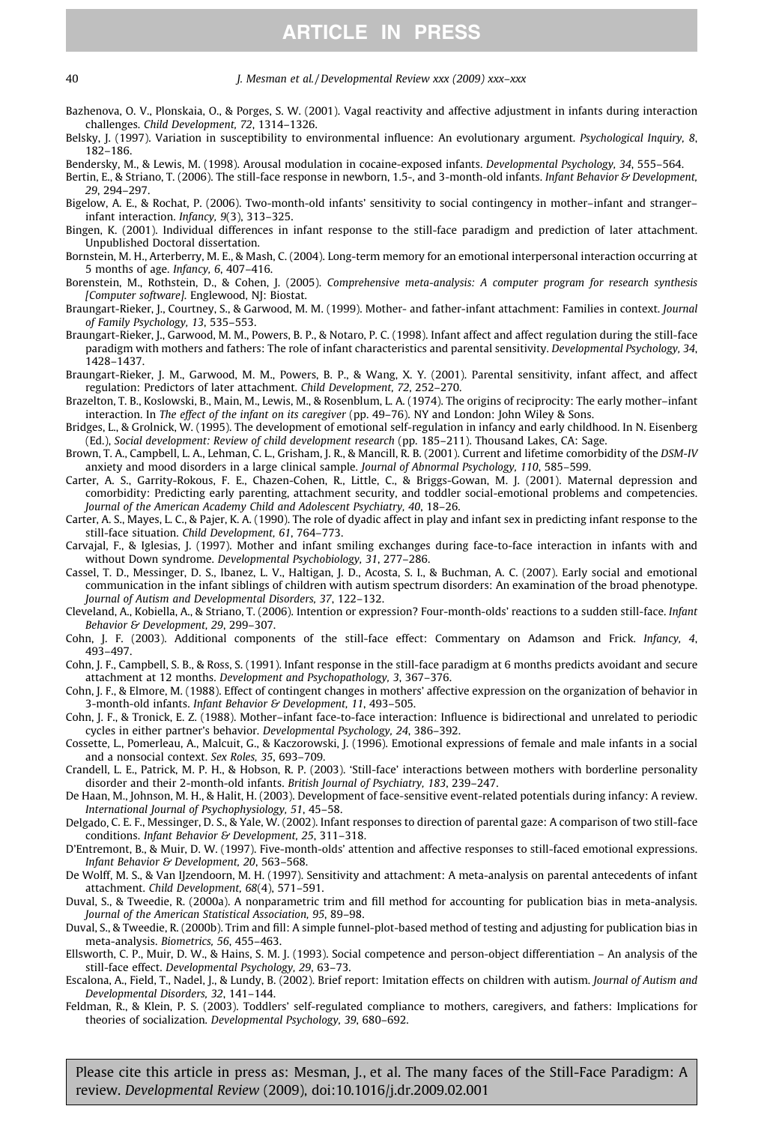- <span id="page-39-0"></span>Bazhenova, O. V., Plonskaia, O., & Porges, S. W. (2001). Vagal reactivity and affective adjustment in infants during interaction challenges. Child Development, 72, 1314–1326.
- Belsky, J. (1997). Variation in susceptibility to environmental influence: An evolutionary argument. Psychological Inquiry, 8, 182–186.

Bendersky, M., & Lewis, M. (1998). Arousal modulation in cocaine-exposed infants. Developmental Psychology, 34, 555–564.

Bertin, E., & Striano, T. (2006). The still-face response in newborn, 1.5-, and 3-month-old infants. Infant Behavior & Development, 29, 294–297.

- Bigelow, A. E., & Rochat, P. (2006). Two-month-old infants' sensitivity to social contingency in mother–infant and stranger– infant interaction. Infancy, 9(3), 313–325.
- Bingen, K. (2001). Individual differences in infant response to the still-face paradigm and prediction of later attachment. Unpublished Doctoral dissertation.
- Bornstein, M. H., Arterberry, M. E., & Mash, C. (2004). Long-term memory for an emotional interpersonal interaction occurring at 5 months of age. Infancy, 6, 407–416.
- Borenstein, M., Rothstein, D., & Cohen, J. (2005). Comprehensive meta-analysis: A computer program for research synthesis [Computer software]. Englewood, NJ: Biostat.
- Braungart-Rieker, J., Courtney, S., & Garwood, M. M. (1999). Mother- and father-infant attachment: Families in context. Journal of Family Psychology, 13, 535–553.
- Braungart-Rieker, J., Garwood, M. M., Powers, B. P., & Notaro, P. C. (1998). Infant affect and affect regulation during the still-face paradigm with mothers and fathers: The role of infant characteristics and parental sensitivity. Developmental Psychology, 34, 1428–1437.
- Braungart-Rieker, J. M., Garwood, M. M., Powers, B. P., & Wang, X. Y. (2001). Parental sensitivity, infant affect, and affect regulation: Predictors of later attachment. Child Development, 72, 252–270.
- Brazelton, T. B., Koslowski, B., Main, M., Lewis, M., & Rosenblum, L. A. (1974). The origins of reciprocity: The early mother–infant interaction. In The effect of the infant on its caregiver (pp. 49–76). NY and London: John Wiley & Sons.
- Bridges, L., & Grolnick, W. (1995). The development of emotional self-regulation in infancy and early childhood. In N. Eisenberg (Ed.), Social development: Review of child development research (pp. 185–211). Thousand Lakes, CA: Sage.
- Brown, T. A., Campbell, L. A., Lehman, C. L., Grisham, J. R., & Mancill, R. B. (2001). Current and lifetime comorbidity of the DSM-IV anxiety and mood disorders in a large clinical sample. Journal of Abnormal Psychology, 110, 585–599.
- Carter, A. S., Garrity-Rokous, F. E., Chazen-Cohen, R., Little, C., & Briggs-Gowan, M. J. (2001). Maternal depression and comorbidity: Predicting early parenting, attachment security, and toddler social-emotional problems and competencies. Journal of the American Academy Child and Adolescent Psychiatry, 40, 18–26.
- Carter, A. S., Mayes, L. C., & Pajer, K. A. (1990). The role of dyadic affect in play and infant sex in predicting infant response to the still-face situation. Child Development, 61, 764–773.
- Carvajal, F., & Iglesias, J. (1997). Mother and infant smiling exchanges during face-to-face interaction in infants with and without Down syndrome. Developmental Psychobiology, 31, 277–286.
- Cassel, T. D., Messinger, D. S., Ibanez, L. V., Haltigan, J. D., Acosta, S. I., & Buchman, A. C. (2007). Early social and emotional communication in the infant siblings of children with autism spectrum disorders: An examination of the broad phenotype. Journal of Autism and Developmental Disorders, 37, 122–132.
- Cleveland, A., Kobiella, A., & Striano, T. (2006). Intention or expression? Four-month-olds' reactions to a sudden still-face. Infant Behavior & Development, 29, 299–307.
- Cohn, J. F. (2003). Additional components of the still-face effect: Commentary on Adamson and Frick. Infancy, 4, 493–497.
- Cohn, J. F., Campbell, S. B., & Ross, S. (1991). Infant response in the still-face paradigm at 6 months predicts avoidant and secure attachment at 12 months. Development and Psychopathology, 3, 367–376.
- Cohn, J. F., & Elmore, M. (1988). Effect of contingent changes in mothers' affective expression on the organization of behavior in 3-month-old infants. Infant Behavior & Development, 11, 493–505.
- Cohn, J. F., & Tronick, E. Z. (1988). Mother–infant face-to-face interaction: Influence is bidirectional and unrelated to periodic cycles in either partner's behavior. Developmental Psychology, 24, 386–392.
- Cossette, L., Pomerleau, A., Malcuit, G., & Kaczorowski, J. (1996). Emotional expressions of female and male infants in a social and a nonsocial context. Sex Roles, 35, 693–709.
- Crandell, L. E., Patrick, M. P. H., & Hobson, R. P. (2003). 'Still-face' interactions between mothers with borderline personality disorder and their 2-month-old infants. British Journal of Psychiatry, 183, 239–247.
- De Haan, M., Johnson, M. H., & Halit, H. (2003). Development of face-sensitive event-related potentials during infancy: A review. International Journal of Psychophysiology, 51, 45–58.
- Delgado, C. E. F., Messinger, D. S., & Yale, W. (2002). Infant responses to direction of parental gaze: A comparison of two still-face conditions. Infant Behavior & Development, 25, 311–318.
- D'Entremont, B., & Muir, D. W. (1997). Five-month-olds' attention and affective responses to still-faced emotional expressions. Infant Behavior & Development, 20, 563–568.
- De Wolff, M. S., & Van IJzendoorn, M. H. (1997). Sensitivity and attachment: A meta-analysis on parental antecedents of infant attachment. Child Development, 68(4), 571–591.
- Duval, S., & Tweedie, R. (2000a). A nonparametric trim and fill method for accounting for publication bias in meta-analysis. Journal of the American Statistical Association, 95, 89–98.
- Duval, S., & Tweedie, R. (2000b). Trim and fill: A simple funnel-plot-based method of testing and adjusting for publication bias in meta-analysis. Biometrics, 56, 455–463.
- Ellsworth, C. P., Muir, D. W., & Hains, S. M. J. (1993). Social competence and person-object differentiation An analysis of the still-face effect. Developmental Psychology, 29, 63–73.
- Escalona, A., Field, T., Nadel, J., & Lundy, B. (2002). Brief report: Imitation effects on children with autism. Journal of Autism and Developmental Disorders, 32, 141–144.
- Feldman, R., & Klein, P. S. (2003). Toddlers' self-regulated compliance to mothers, caregivers, and fathers: Implications for theories of socialization. Developmental Psychology, 39, 680–692.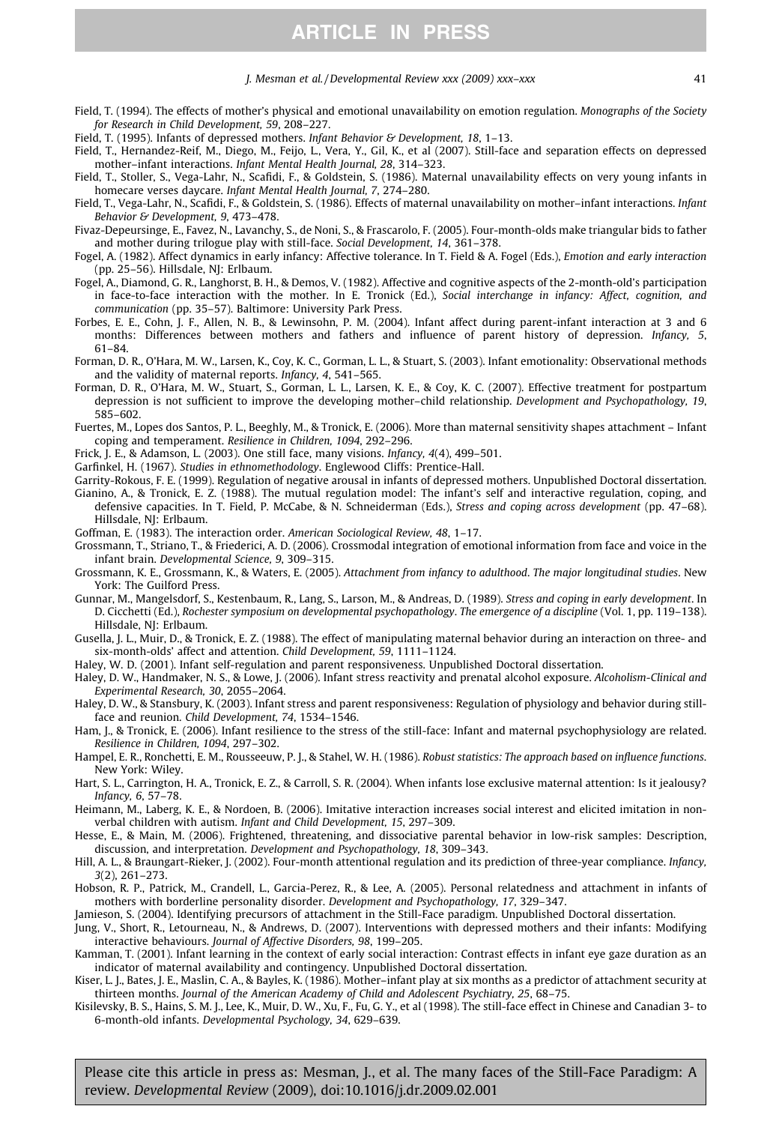<span id="page-40-0"></span>Field, T. (1994). The effects of mother's physical and emotional unavailability on emotion regulation. Monographs of the Society for Research in Child Development, 59, 208–227.

Field, T. (1995). Infants of depressed mothers. Infant Behavior & Development, 18, 1–13.

- Field, T., Hernandez-Reif, M., Diego, M., Feijo, L., Vera, Y., Gil, K., et al (2007). Still-face and separation effects on depressed mother–infant interactions. Infant Mental Health Journal, 28, 314–323.
- Field, T., Stoller, S., Vega-Lahr, N., Scafidi, F., & Goldstein, S. (1986). Maternal unavailability effects on very young infants in homecare verses daycare. Infant Mental Health Journal, 7, 274–280.
- Field, T., Vega-Lahr, N., Scafidi, F., & Goldstein, S. (1986). Effects of maternal unavailability on mother–infant interactions. Infant Behavior & Development, 9, 473–478.
- Fivaz-Depeursinge, E., Favez, N., Lavanchy, S., de Noni, S., & Frascarolo, F. (2005). Four-month-olds make triangular bids to father and mother during trilogue play with still-face. Social Development, 14, 361–378.
- Fogel, A. (1982). Affect dynamics in early infancy: Affective tolerance. In T. Field & A. Fogel (Eds.), Emotion and early interaction (pp. 25–56). Hillsdale, NJ: Erlbaum.
- Fogel, A., Diamond, G. R., Langhorst, B. H., & Demos, V. (1982). Affective and cognitive aspects of the 2-month-old's participation in face-to-face interaction with the mother. In E. Tronick (Ed.), Social interchange in infancy: Affect, cognition, and communication (pp. 35–57). Baltimore: University Park Press.
- Forbes, E. E., Cohn, J. F., Allen, N. B., & Lewinsohn, P. M. (2004). Infant affect during parent-infant interaction at 3 and 6 months: Differences between mothers and fathers and influence of parent history of depression. Infancy, 5, 61–84.
- Forman, D. R., O'Hara, M. W., Larsen, K., Coy, K. C., Gorman, L. L., & Stuart, S. (2003). Infant emotionality: Observational methods and the validity of maternal reports. Infancy, 4, 541–565.
- Forman, D. R., O'Hara, M. W., Stuart, S., Gorman, L. L., Larsen, K. E., & Coy, K. C. (2007). Effective treatment for postpartum depression is not sufficient to improve the developing mother–child relationship. Development and Psychopathology, 19, 585–602.
- Fuertes, M., Lopes dos Santos, P. L., Beeghly, M., & Tronick, E. (2006). More than maternal sensitivity shapes attachment Infant coping and temperament. Resilience in Children, 1094, 292–296.
- Frick, J. E., & Adamson, L. (2003). One still face, many visions. Infancy, 4(4), 499–501.
- Garfinkel, H. (1967). Studies in ethnomethodology. Englewood Cliffs: Prentice-Hall.
- Garrity-Rokous, F. E. (1999). Regulation of negative arousal in infants of depressed mothers. Unpublished Doctoral dissertation. Gianino, A., & Tronick, E. Z. (1988). The mutual regulation model: The infant's self and interactive regulation, coping, and defensive capacities. In T. Field, P. McCabe, & N. Schneiderman (Eds.), Stress and coping across development (pp. 47–68).
- Hillsdale, NJ: Erlbaum. Goffman, E. (1983). The interaction order. American Sociological Review, 48, 1–17.
- Grossmann, T., Striano, T., & Friederici, A. D. (2006). Crossmodal integration of emotional information from face and voice in the infant brain. Developmental Science, 9, 309–315.
- Grossmann, K. E., Grossmann, K., & Waters, E. (2005). Attachment from infancy to adulthood. The major longitudinal studies. New York: The Guilford Press.
- Gunnar, M., Mangelsdorf, S., Kestenbaum, R., Lang, S., Larson, M., & Andreas, D. (1989). Stress and coping in early development. In D. Cicchetti (Ed.), Rochester symposium on developmental psychopathology. The emergence of a discipline (Vol. 1, pp. 119–138). Hillsdale, NJ: Erlbaum.
- Gusella, J. L., Muir, D., & Tronick, E. Z. (1988). The effect of manipulating maternal behavior during an interaction on three- and six-month-olds' affect and attention. Child Development, 59, 1111–1124.
- Haley, W. D. (2001). Infant self-regulation and parent responsiveness. Unpublished Doctoral dissertation.
- Haley, D. W., Handmaker, N. S., & Lowe, J. (2006). Infant stress reactivity and prenatal alcohol exposure. Alcoholism-Clinical and Experimental Research, 30, 2055–2064.
- Haley, D. W., & Stansbury, K. (2003). Infant stress and parent responsiveness: Regulation of physiology and behavior during stillface and reunion. Child Development, 74, 1534–1546.
- Ham, J., & Tronick, E. (2006). Infant resilience to the stress of the still-face: Infant and maternal psychophysiology are related. Resilience in Children, 1094, 297–302.
- Hampel, E. R., Ronchetti, E. M., Rousseeuw, P. J., & Stahel, W. H. (1986). Robust statistics: The approach based on influence functions. New York: Wiley.
- Hart, S. L., Carrington, H. A., Tronick, E. Z., & Carroll, S. R. (2004). When infants lose exclusive maternal attention: Is it jealousy? Infancy, 6, 57–78.
- Heimann, M., Laberg, K. E., & Nordoen, B. (2006). Imitative interaction increases social interest and elicited imitation in nonverbal children with autism. Infant and Child Development, 15, 297–309.
- Hesse, E., & Main, M. (2006). Frightened, threatening, and dissociative parental behavior in low-risk samples: Description, discussion, and interpretation. Development and Psychopathology, 18, 309–343.
- Hill, A. L., & Braungart-Rieker, J. (2002). Four-month attentional regulation and its prediction of three-year compliance. Infancy, 3(2), 261–273.
- Hobson, R. P., Patrick, M., Crandell, L., Garcia-Perez, R., & Lee, A. (2005). Personal relatedness and attachment in infants of mothers with borderline personality disorder. Development and Psychopathology, 17, 329–347.
- Jamieson, S. (2004). Identifying precursors of attachment in the Still-Face paradigm. Unpublished Doctoral dissertation.
- Jung, V., Short, R., Letourneau, N., & Andrews, D. (2007). Interventions with depressed mothers and their infants: Modifying interactive behaviours. Journal of Affective Disorders, 98, 199–205.
- Kamman, T. (2001). Infant learning in the context of early social interaction: Contrast effects in infant eye gaze duration as an indicator of maternal availability and contingency. Unpublished Doctoral dissertation.
- Kiser, L. J., Bates, J. E., Maslin, C. A., & Bayles, K. (1986). Mother–infant play at six months as a predictor of attachment security at thirteen months. Journal of the American Academy of Child and Adolescent Psychiatry, 25, 68–75.
- Kisilevsky, B. S., Hains, S. M. J., Lee, K., Muir, D. W., Xu, F., Fu, G. Y., et al (1998). The still-face effect in Chinese and Canadian 3- to 6-month-old infants. Developmental Psychology, 34, 629–639.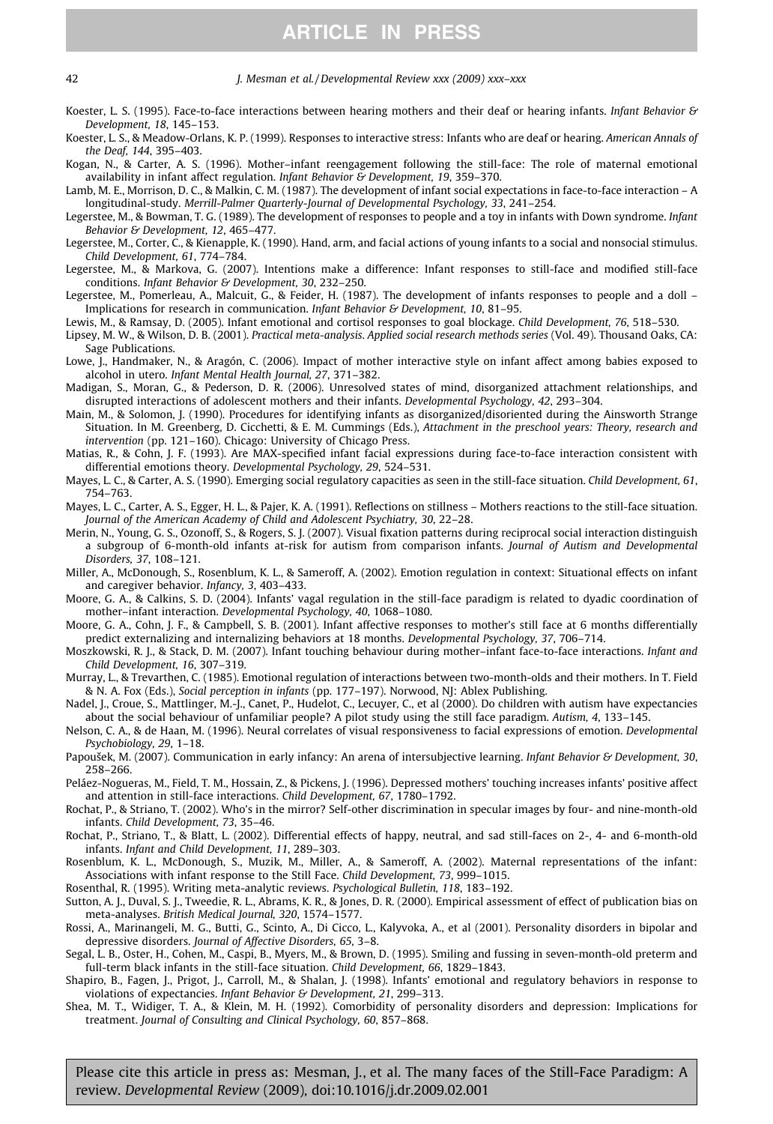### <span id="page-41-0"></span>42 J. Mesman et al. / Developmental Review xxx (2009) xxx–xxx

- Koester, L. S. (1995). Face-to-face interactions between hearing mothers and their deaf or hearing infants. Infant Behavior & Development, 18, 145–153.
- Koester, L. S., & Meadow-Orlans, K. P. (1999). Responses to interactive stress: Infants who are deaf or hearing. American Annals of the Deaf, 144, 395–403.
- Kogan, N., & Carter, A. S. (1996). Mother–infant reengagement following the still-face: The role of maternal emotional availability in infant affect regulation. Infant Behavior & Development, 19, 359–370.
- Lamb, M. E., Morrison, D. C., & Malkin, C. M. (1987). The development of infant social expectations in face-to-face interaction A longitudinal-study. Merrill-Palmer Quarterly-Journal of Developmental Psychology, 33, 241–254.
- Legerstee, M., & Bowman, T. G. (1989). The development of responses to people and a toy in infants with Down syndrome. Infant Behavior & Development, 12, 465–477.
- Legerstee, M., Corter, C., & Kienapple, K. (1990). Hand, arm, and facial actions of young infants to a social and nonsocial stimulus. Child Development, 61, 774–784.
- Legerstee, M., & Markova, G. (2007). Intentions make a difference: Infant responses to still-face and modified still-face conditions. Infant Behavior & Development, 30, 232-250.
- Legerstee, M., Pomerleau, A., Malcuit, G., & Feider, H. (1987). The development of infants responses to people and a doll Implications for research in communication. Infant Behavior & Development, 10, 81–95.
- Lewis, M., & Ramsay, D. (2005). Infant emotional and cortisol responses to goal blockage. Child Development, 76, 518–530.
- Lipsey, M. W., & Wilson, D. B. (2001). Practical meta-analysis. Applied social research methods series (Vol. 49). Thousand Oaks, CA: Sage Publications.
- Lowe, J., Handmaker, N., & Aragón, C. (2006). Impact of mother interactive style on infant affect among babies exposed to alcohol in utero. Infant Mental Health Journal, 27, 371–382.
- Madigan, S., Moran, G., & Pederson, D. R. (2006). Unresolved states of mind, disorganized attachment relationships, and disrupted interactions of adolescent mothers and their infants. Developmental Psychology, 42, 293–304.
- Main, M., & Solomon, J. (1990). Procedures for identifying infants as disorganized/disoriented during the Ainsworth Strange Situation. In M. Greenberg, D. Cicchetti, & E. M. Cummings (Eds.), Attachment in the preschool years: Theory, research and intervention (pp. 121–160). Chicago: University of Chicago Press.
- Matias, R., & Cohn, J. F. (1993). Are MAX-specified infant facial expressions during face-to-face interaction consistent with differential emotions theory. Developmental Psychology, 29, 524–531.
- Mayes, L. C., & Carter, A. S. (1990). Emerging social regulatory capacities as seen in the still-face situation. Child Development, 61, 754–763.
- Mayes, L. C., Carter, A. S., Egger, H. L., & Pajer, K. A. (1991). Reflections on stillness Mothers reactions to the still-face situation. Journal of the American Academy of Child and Adolescent Psychiatry, 30, 22–28.
- Merin, N., Young, G. S., Ozonoff, S., & Rogers, S. J. (2007). Visual fixation patterns during reciprocal social interaction distinguish a subgroup of 6-month-old infants at-risk for autism from comparison infants. Journal of Autism and Developmental Disorders, 37, 108–121.
- Miller, A., McDonough, S., Rosenblum, K. L., & Sameroff, A. (2002). Emotion regulation in context: Situational effects on infant and caregiver behavior. Infancy, 3, 403–433.
- Moore, G. A., & Calkins, S. D. (2004). Infants' vagal regulation in the still-face paradigm is related to dyadic coordination of mother–infant interaction. Developmental Psychology, 40, 1068–1080.
- Moore, G. A., Cohn, J. F., & Campbell, S. B. (2001). Infant affective responses to mother's still face at 6 months differentially predict externalizing and internalizing behaviors at 18 months. Developmental Psychology, 37, 706–714.
- Moszkowski, R. J., & Stack, D. M. (2007). Infant touching behaviour during mother–infant face-to-face interactions. Infant and Child Development, 16, 307–319.
- Murray, L., & Trevarthen, C. (1985). Emotional regulation of interactions between two-month-olds and their mothers. In T. Field & N. A. Fox (Eds.), Social perception in infants (pp. 177–197). Norwood, NJ: Ablex Publishing.
- Nadel, J., Croue, S., Mattlinger, M.-J., Canet, P., Hudelot, C., Lecuyer, C., et al (2000). Do children with autism have expectancies about the social behaviour of unfamiliar people? A pilot study using the still face paradigm. Autism, 4, 133–145.
- Nelson, C. A., & de Haan, M. (1996). Neural correlates of visual responsiveness to facial expressions of emotion. Developmental Psychobiology, 29, 1–18.
- Papoušek, M. (2007). Communication in early infancy: An arena of intersubjective learning. Infant Behavior & Development, 30, 258–266.
- Peláez-Nogueras, M., Field, T. M., Hossain, Z., & Pickens, J. (1996). Depressed mothers' touching increases infants' positive affect and attention in still-face interactions. Child Development, 67, 1780–1792.
- Rochat, P., & Striano, T. (2002). Who's in the mirror? Self-other discrimination in specular images by four- and nine-month-old infants. Child Development, 73, 35–46.
- Rochat, P., Striano, T., & Blatt, L. (2002). Differential effects of happy, neutral, and sad still-faces on 2-, 4- and 6-month-old infants. Infant and Child Development, 11, 289–303.
- Rosenblum, K. L., McDonough, S., Muzik, M., Miller, A., & Sameroff, A. (2002). Maternal representations of the infant: Associations with infant response to the Still Face. Child Development, 73, 999–1015.

Rosenthal, R. (1995). Writing meta-analytic reviews. Psychological Bulletin, 118, 183–192.

- Sutton, A. J., Duval, S. J., Tweedie, R. L., Abrams, K. R., & Jones, D. R. (2000). Empirical assessment of effect of publication bias on meta-analyses. British Medical Journal, 320, 1574–1577.
- Rossi, A., Marinangeli, M. G., Butti, G., Scinto, A., Di Cicco, L., Kalyvoka, A., et al (2001). Personality disorders in bipolar and depressive disorders. Journal of Affective Disorders, 65, 3–8.
- Segal, L. B., Oster, H., Cohen, M., Caspi, B., Myers, M., & Brown, D. (1995). Smiling and fussing in seven-month-old preterm and full-term black infants in the still-face situation. Child Development, 66, 1829–1843.
- Shapiro, B., Fagen, J., Prigot, J., Carroll, M., & Shalan, J. (1998). Infants' emotional and regulatory behaviors in response to violations of expectancies. Infant Behavior & Development, 21, 299-313.
- Shea, M. T., Widiger, T. A., & Klein, M. H. (1992). Comorbidity of personality disorders and depression: Implications for treatment. Journal of Consulting and Clinical Psychology, 60, 857–868.